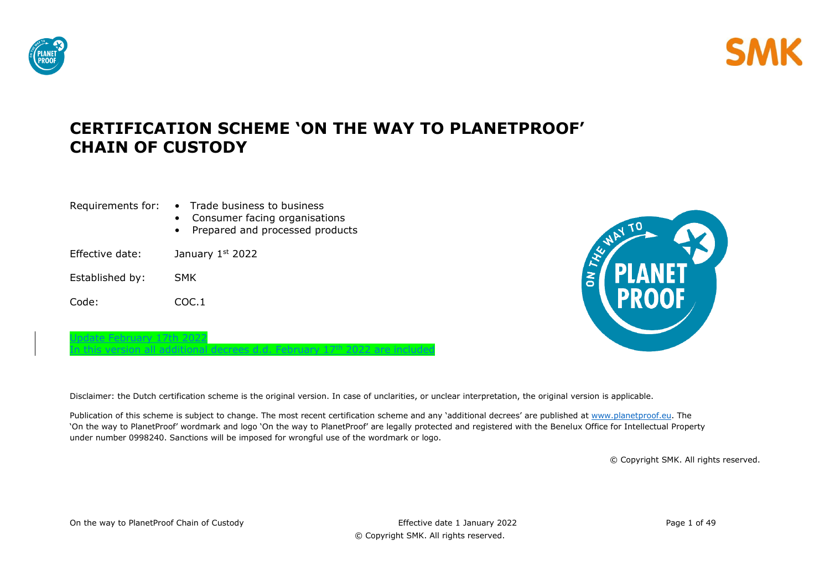

© Copyright SMK. All rights reserved.



| Requirements for:         | • Trade business to business<br>Consumer facing organisations<br>Prepared and processed products |
|---------------------------|--------------------------------------------------------------------------------------------------|
| Effective date:           | January 1st 2022                                                                                 |
| Established by:           | <b>SMK</b>                                                                                       |
| Code:                     | COC.1                                                                                            |
| Update February 17th 2022 |                                                                                                  |

n this version all additional decrees d.d. February 17<sup>th</sup> 2022 are included

ON THI

Disclaimer: the Dutch certification scheme is the original version. In case of unclarities, or unclear interpretation, the original version is applicable.

Publication of this scheme is subject to change. The most recent certification scheme and any 'additional decrees' are published at [www.planetproof.eu.](http://www.planetproof.eu/) The 'On the way to PlanetProof' wordmark and logo 'On the way to PlanetProof' are legally protected and registered with the Benelux Office for Intellectual Property under number 0998240. Sanctions will be imposed for wrongful use of the wordmark or logo.

© Copyright SMK. All rights reserved.



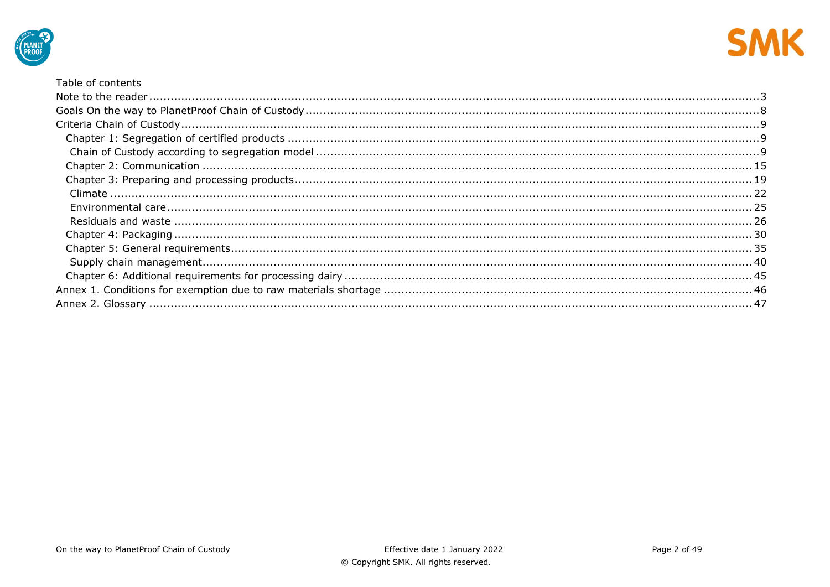



### Table of contents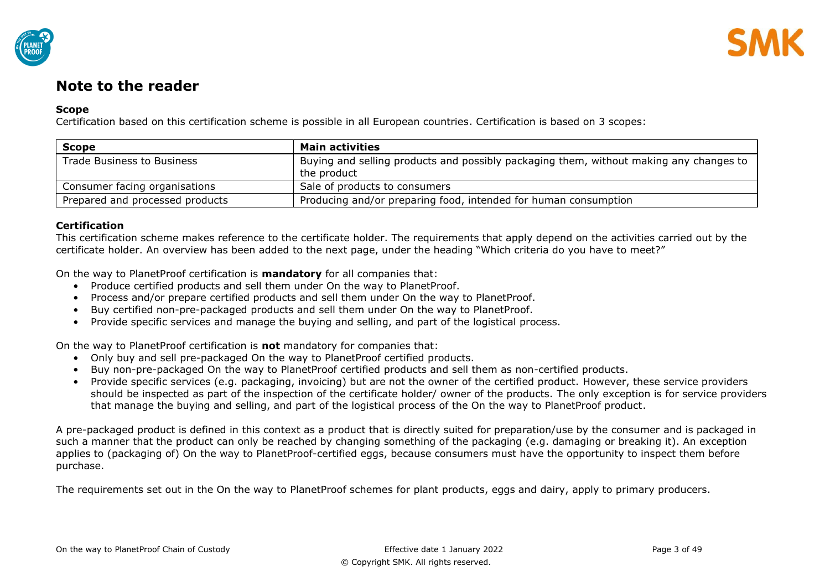

# <span id="page-2-0"></span>**Note to the reader**

## **Scope**

Certification based on this certification scheme is possible in all European countries. Certification is based on 3 scopes:

| <b>Scope</b>                    | <b>Main activities</b>                                                                                |
|---------------------------------|-------------------------------------------------------------------------------------------------------|
| Trade Business to Business      | Buying and selling products and possibly packaging them, without making any changes to<br>the product |
| Consumer facing organisations   | Sale of products to consumers                                                                         |
| Prepared and processed products | Producing and/or preparing food, intended for human consumption                                       |

## **Certification**

This certification scheme makes reference to the certificate holder. The requirements that apply depend on the activities carried out by the certificate holder. An overview has been added to the next page, under the heading "Which criteria do you have to meet?"

On the way to PlanetProof certification is **mandatory** for all companies that:

- Produce certified products and sell them under On the way to PlanetProof.
- Process and/or prepare certified products and sell them under On the way to PlanetProof.
- Buy certified non-pre-packaged products and sell them under On the way to PlanetProof.
- Provide specific services and manage the buying and selling, and part of the logistical process.

On the way to PlanetProof certification is **not** mandatory for companies that:

- Only buy and sell pre-packaged On the way to PlanetProof certified products.
- Buy non-pre-packaged On the way to PlanetProof certified products and sell them as non-certified products.
- Provide specific services (e.g. packaging, invoicing) but are not the owner of the certified product. However, these service providers should be inspected as part of the inspection of the certificate holder/ owner of the products. The only exception is for service providers that manage the buying and selling, and part of the logistical process of the On the way to PlanetProof product.

A pre-packaged product is defined in this context as a product that is directly suited for preparation/use by the consumer and is packaged in such a manner that the product can only be reached by changing something of the packaging (e.g. damaging or breaking it). An exception applies to (packaging of) On the way to PlanetProof-certified eggs, because consumers must have the opportunity to inspect them before purchase.

The requirements set out in the On the way to PlanetProof schemes for plant products, eggs and dairy, apply to primary producers.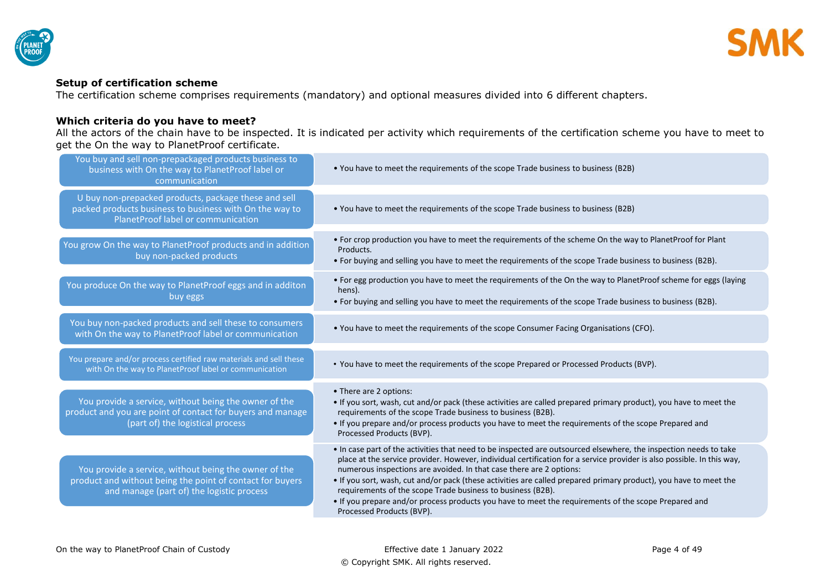

## **Setup of certification scheme**

The certification scheme comprises requirements (mandatory) and optional measures divided into 6 different chapters.

## **Which criteria do you have to meet?**

All the actors of the chain have to be inspected. It is indicated per activity which requirements of the certification scheme you have to meet to get the On the way to PlanetProof certificate.

| You buy and sell non-prepackaged products business to<br>business with On the way to PlanetProof label or<br>communication                                      | • You have to meet the requirements of the scope Trade business to business (B2B)                                                                                                                                                                                                                                                                                                                                                                                                                                                                                                                                                           |
|-----------------------------------------------------------------------------------------------------------------------------------------------------------------|---------------------------------------------------------------------------------------------------------------------------------------------------------------------------------------------------------------------------------------------------------------------------------------------------------------------------------------------------------------------------------------------------------------------------------------------------------------------------------------------------------------------------------------------------------------------------------------------------------------------------------------------|
| U buy non-prepacked products, package these and sell<br>packed products business to business with On the way to<br>PlanetProof label or communication           | . You have to meet the requirements of the scope Trade business to business (B2B)                                                                                                                                                                                                                                                                                                                                                                                                                                                                                                                                                           |
| You grow On the way to PlanetProof products and in addition<br>buy non-packed products                                                                          | • For crop production you have to meet the requirements of the scheme On the way to PlanetProof for Plant<br>Products.<br>. For buying and selling you have to meet the requirements of the scope Trade business to business (B2B).                                                                                                                                                                                                                                                                                                                                                                                                         |
| You produce On the way to PlanetProof eggs and in additon<br>buy eggs                                                                                           | • For egg production you have to meet the requirements of the On the way to PlanetProof scheme for eggs (laying<br>hens).<br>• For buying and selling you have to meet the requirements of the scope Trade business to business (B2B).                                                                                                                                                                                                                                                                                                                                                                                                      |
| You buy non-packed products and sell these to consumers<br>with On the way to PlanetProof label or communication                                                | . You have to meet the requirements of the scope Consumer Facing Organisations (CFO).                                                                                                                                                                                                                                                                                                                                                                                                                                                                                                                                                       |
| You prepare and/or process certified raw materials and sell these<br>with On the way to PlanetProof label or communication                                      | . You have to meet the requirements of the scope Prepared or Processed Products (BVP).                                                                                                                                                                                                                                                                                                                                                                                                                                                                                                                                                      |
| You provide a service, without being the owner of the<br>product and you are point of contact for buyers and manage<br>(part of) the logistical process         | • There are 2 options:<br>. If you sort, wash, cut and/or pack (these activities are called prepared primary product), you have to meet the<br>requirements of the scope Trade business to business (B2B).<br>. If you prepare and/or process products you have to meet the requirements of the scope Prepared and<br>Processed Products (BVP).                                                                                                                                                                                                                                                                                             |
| You provide a service, without being the owner of the<br>product and without being the point of contact for buyers<br>and manage (part of) the logistic process | . In case part of the activities that need to be inspected are outsourced elsewhere, the inspection needs to take<br>place at the service provider. However, individual certification for a service provider is also possible. In this way,<br>numerous inspections are avoided. In that case there are 2 options:<br>. If you sort, wash, cut and/or pack (these activities are called prepared primary product), you have to meet the<br>requirements of the scope Trade business to business (B2B).<br>• If you prepare and/or process products you have to meet the requirements of the scope Prepared and<br>Processed Products (BVP). |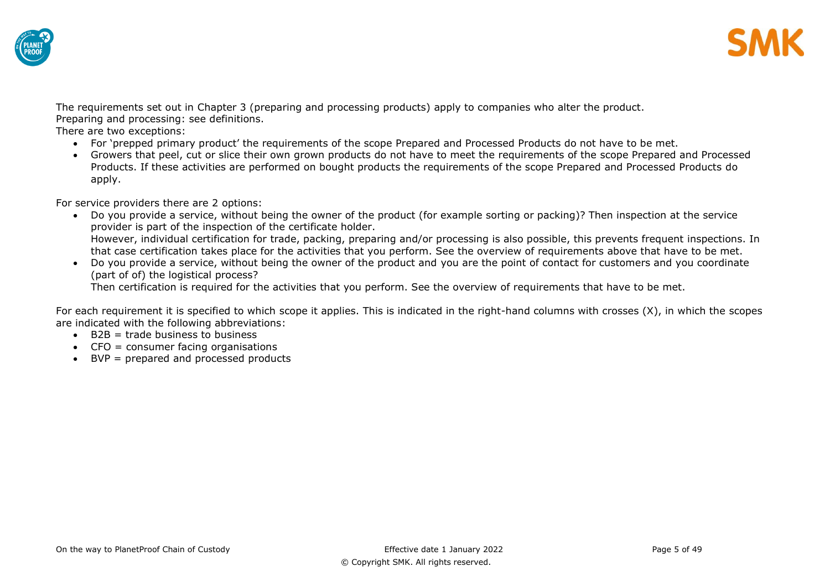



The requirements set out in Chapter 3 (preparing and processing products) apply to companies who alter the product. Preparing and processing: see definitions.

There are two exceptions:

- For 'prepped primary product' the requirements of the scope Prepared and Processed Products do not have to be met.
- Growers that peel, cut or slice their own grown products do not have to meet the requirements of the scope Prepared and Processed Products. If these activities are performed on bought products the requirements of the scope Prepared and Processed Products do apply.

For service providers there are 2 options:

- Do you provide a service, without being the owner of the product (for example sorting or packing)? Then inspection at the service provider is part of the inspection of the certificate holder. However, individual certification for trade, packing, preparing and/or processing is also possible, this prevents frequent inspections. In that case certification takes place for the activities that you perform. See the overview of requirements above that have to be met.
- Do you provide a service, without being the owner of the product and you are the point of contact for customers and you coordinate (part of of) the logistical process?

Then certification is required for the activities that you perform. See the overview of requirements that have to be met.

For each requirement it is specified to which scope it applies. This is indicated in the right-hand columns with crosses (X), in which the scopes are indicated with the following abbreviations:

- $\bullet$  B2B = trade business to business
- CFO = consumer facing organisations
- BVP = prepared and processed products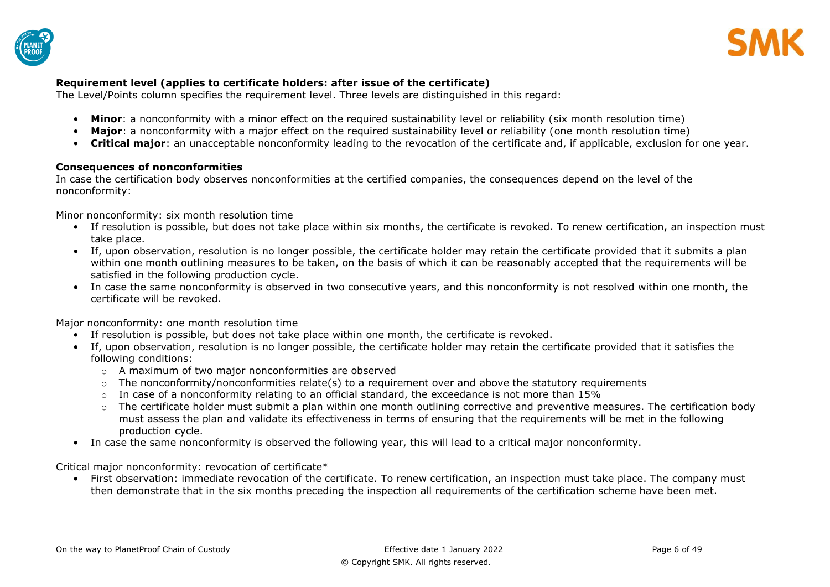



## **Requirement level (applies to certificate holders: after issue of the certificate)**

The Level/Points column specifies the requirement level. Three levels are distinguished in this regard:

- Minor: a nonconformity with a minor effect on the required sustainability level or reliability (six month resolution time)
- Major: a nonconformity with a major effect on the required sustainability level or reliability (one month resolution time)
- **Critical major**: an unacceptable nonconformity leading to the revocation of the certificate and, if applicable, exclusion for one year.

## **Consequences of nonconformities**

In case the certification body observes nonconformities at the certified companies, the consequences depend on the level of the nonconformity:

Minor nonconformity: six month resolution time

- If resolution is possible, but does not take place within six months, the certificate is revoked. To renew certification, an inspection must take place.
- If, upon observation, resolution is no longer possible, the certificate holder may retain the certificate provided that it submits a plan within one month outlining measures to be taken, on the basis of which it can be reasonably accepted that the requirements will be satisfied in the following production cycle.
- In case the same nonconformity is observed in two consecutive years, and this nonconformity is not resolved within one month, the certificate will be revoked.

Major nonconformity: one month resolution time

- If resolution is possible, but does not take place within one month, the certificate is revoked.
- If, upon observation, resolution is no longer possible, the certificate holder may retain the certificate provided that it satisfies the following conditions:
	- o A maximum of two major nonconformities are observed
	- $\circ$  The nonconformity/nonconformities relate(s) to a requirement over and above the statutory requirements
	- $\circ$  In case of a nonconformity relating to an official standard, the exceedance is not more than 15%
	- $\circ$  The certificate holder must submit a plan within one month outlining corrective and preventive measures. The certification body must assess the plan and validate its effectiveness in terms of ensuring that the requirements will be met in the following production cycle.
- In case the same nonconformity is observed the following year, this will lead to a critical major nonconformity.

Critical major nonconformity: revocation of certificate\*

• First observation: immediate revocation of the certificate. To renew certification, an inspection must take place. The company must then demonstrate that in the six months preceding the inspection all requirements of the certification scheme have been met.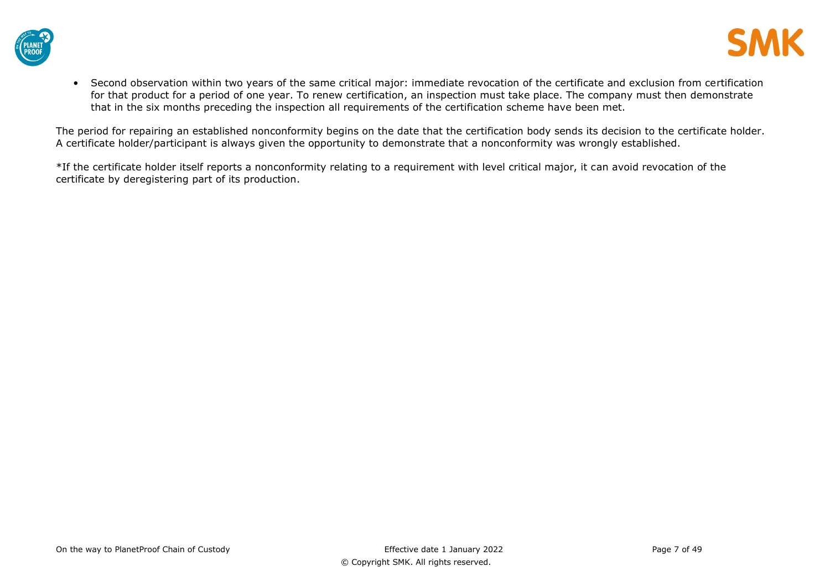



• Second observation within two years of the same critical major: immediate revocation of the certificate and exclusion from certification for that product for a period of one year. To renew certification, an inspection must take place. The company must then demonstrate that in the six months preceding the inspection all requirements of the certification scheme have been met.

The period for repairing an established nonconformity begins on the date that the certification body sends its decision to the certificate holder. A certificate holder/participant is always given the opportunity to demonstrate that a nonconformity was wrongly established.

\*If the certificate holder itself reports a nonconformity relating to a requirement with level critical major, it can avoid revocation of the certificate by deregistering part of its production.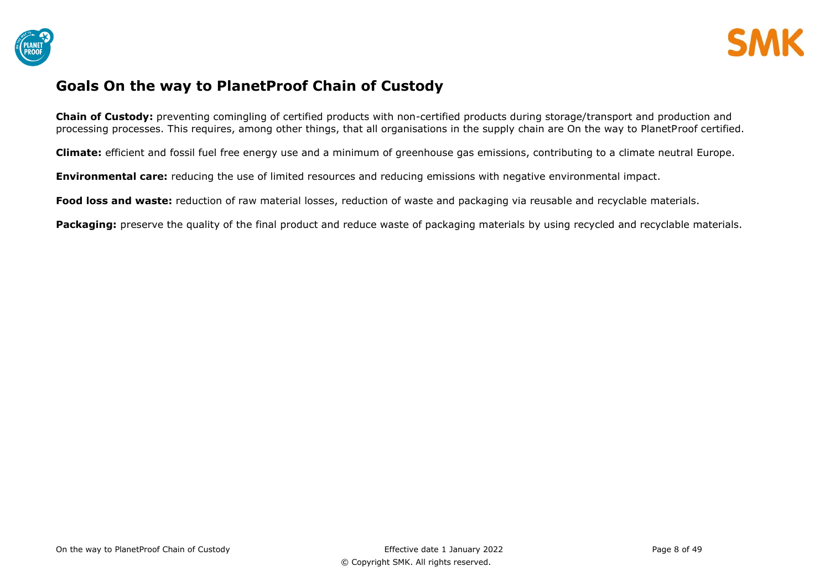



## <span id="page-7-0"></span>**Goals On the way to PlanetProof Chain of Custody**

**Chain of Custody:** preventing comingling of certified products with non-certified products during storage/transport and production and processing processes. This requires, among other things, that all organisations in the supply chain are On the way to PlanetProof certified.

**Climate:** efficient and fossil fuel free energy use and a minimum of greenhouse gas emissions, contributing to a climate neutral Europe.

**Environmental care:** reducing the use of limited resources and reducing emissions with negative environmental impact.

**Food loss and waste:** reduction of raw material losses, reduction of waste and packaging via reusable and recyclable materials.

**Packaging:** preserve the quality of the final product and reduce waste of packaging materials by using recycled and recyclable materials.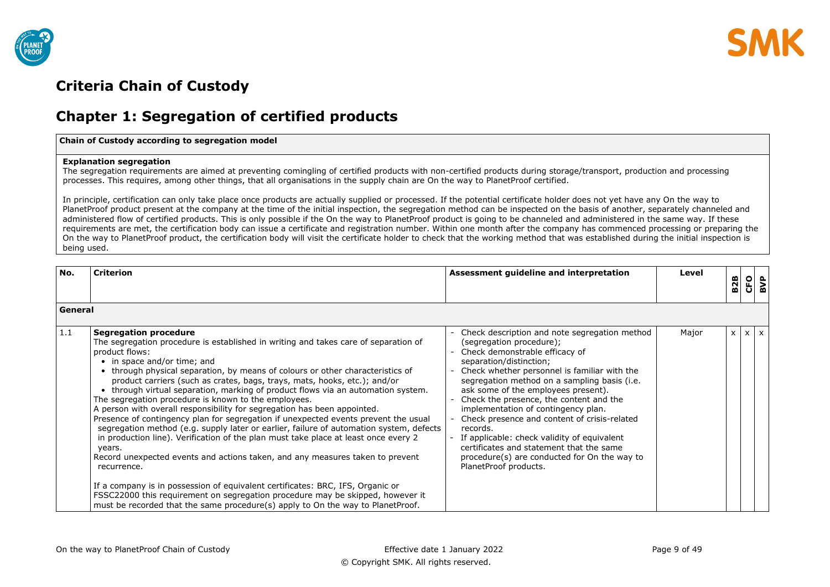



# <span id="page-8-0"></span>**Criteria Chain of Custody**

## <span id="page-8-1"></span>**Chapter 1: Segregation of certified products**

#### <span id="page-8-2"></span>**Chain of Custody according to segregation model**

#### **Explanation segregation**

The segregation requirements are aimed at preventing comingling of certified products with non-certified products during storage/transport, production and processing processes. This requires, among other things, that all organisations in the supply chain are On the way to PlanetProof certified.

In principle, certification can only take place once products are actually supplied or processed. If the potential certificate holder does not yet have any On the way to PlanetProof product present at the company at the time of the initial inspection, the segregation method can be inspected on the basis of another, separately channeled and administered flow of certified products. This is only possible if the On the way to PlanetProof product is going to be channeled and administered in the same way. If these requirements are met, the certification body can issue a certificate and registration number. Within one month after the company has commenced processing or preparing the On the way to PlanetProof product, the certification body will visit the certificate holder to check that the working method that was established during the initial inspection is being used.

| No.     | <b>Criterion</b>                                                                                                                                                                                                                                                                                                                                                                                                                                                                                                                                                                                                                                                                                                                                                                                                                                                                                                                                                                                                                                                                                                                                                                                      | Assessment guideline and interpretation                                                                                                                                                                                                                                                                                                                                                                                                                                                                                                                                                         | Level | <b>B2B</b>   | 인<br>B<br>B<br>B |  |
|---------|-------------------------------------------------------------------------------------------------------------------------------------------------------------------------------------------------------------------------------------------------------------------------------------------------------------------------------------------------------------------------------------------------------------------------------------------------------------------------------------------------------------------------------------------------------------------------------------------------------------------------------------------------------------------------------------------------------------------------------------------------------------------------------------------------------------------------------------------------------------------------------------------------------------------------------------------------------------------------------------------------------------------------------------------------------------------------------------------------------------------------------------------------------------------------------------------------------|-------------------------------------------------------------------------------------------------------------------------------------------------------------------------------------------------------------------------------------------------------------------------------------------------------------------------------------------------------------------------------------------------------------------------------------------------------------------------------------------------------------------------------------------------------------------------------------------------|-------|--------------|------------------|--|
| General |                                                                                                                                                                                                                                                                                                                                                                                                                                                                                                                                                                                                                                                                                                                                                                                                                                                                                                                                                                                                                                                                                                                                                                                                       |                                                                                                                                                                                                                                                                                                                                                                                                                                                                                                                                                                                                 |       |              |                  |  |
| 1.1     | <b>Segregation procedure</b><br>The segregation procedure is established in writing and takes care of separation of<br>product flows:<br>• in space and/or time; and<br>• through physical separation, by means of colours or other characteristics of<br>product carriers (such as crates, bags, trays, mats, hooks, etc.); and/or<br>• through virtual separation, marking of product flows via an automation system.<br>The segregation procedure is known to the employees.<br>A person with overall responsibility for segregation has been appointed.<br>Presence of contingency plan for segregation if unexpected events prevent the usual<br>segregation method (e.g. supply later or earlier, failure of automation system, defects<br>in production line). Verification of the plan must take place at least once every 2<br>years.<br>Record unexpected events and actions taken, and any measures taken to prevent<br>recurrence.<br>If a company is in possession of equivalent certificates: BRC, IFS, Organic or<br>FSSC22000 this requirement on segregation procedure may be skipped, however it<br>must be recorded that the same procedure(s) apply to On the way to PlanetProof. | Check description and note segregation method<br>(segregation procedure);<br>Check demonstrable efficacy of<br>separation/distinction;<br>Check whether personnel is familiar with the<br>segregation method on a sampling basis (i.e.<br>ask some of the employees present).<br>Check the presence, the content and the<br>implementation of contingency plan.<br>Check presence and content of crisis-related<br>records.<br>If applicable: check validity of equivalent<br>certificates and statement that the same<br>procedure(s) are conducted for On the way to<br>PlanetProof products. | Major | $\mathsf{x}$ | $x \mid x$       |  |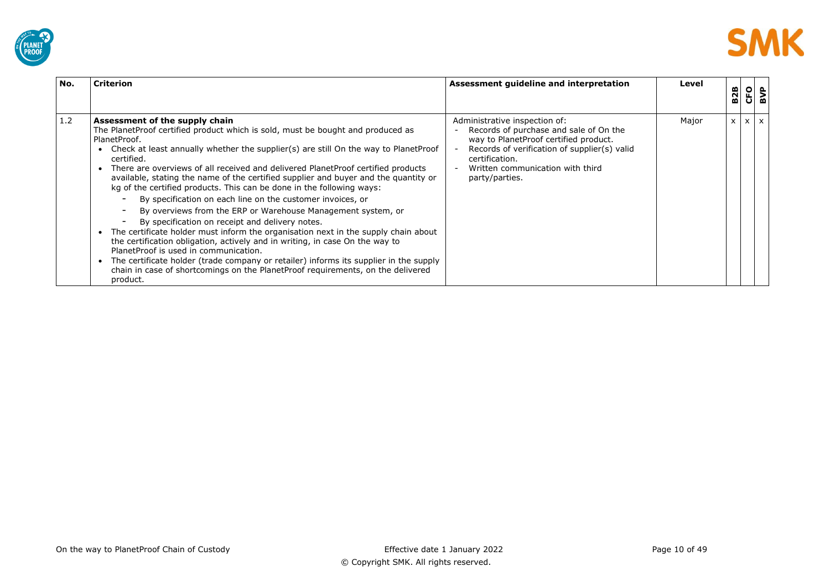



| No. | <b>Criterion</b>                                                                                                                                                                                                                                                                                                                                                                                                                                                                                                                                                                                                                                                                                                                                                                                                                                                                                                                                                                                                                                                                                                          | Assessment guideline and interpretation                                                                                                                                                                                                  | Level | <b>B2B</b>   | <b>GIS</b> |  |
|-----|---------------------------------------------------------------------------------------------------------------------------------------------------------------------------------------------------------------------------------------------------------------------------------------------------------------------------------------------------------------------------------------------------------------------------------------------------------------------------------------------------------------------------------------------------------------------------------------------------------------------------------------------------------------------------------------------------------------------------------------------------------------------------------------------------------------------------------------------------------------------------------------------------------------------------------------------------------------------------------------------------------------------------------------------------------------------------------------------------------------------------|------------------------------------------------------------------------------------------------------------------------------------------------------------------------------------------------------------------------------------------|-------|--------------|------------|--|
| 1.2 | Assessment of the supply chain<br>The PlanetProof certified product which is sold, must be bought and produced as<br>PlanetProof.<br>Check at least annually whether the supplier(s) are still On the way to PlanetProof<br>certified.<br>There are overviews of all received and delivered PlanetProof certified products<br>$\bullet$<br>available, stating the name of the certified supplier and buyer and the quantity or<br>kg of the certified products. This can be done in the following ways:<br>By specification on each line on the customer invoices, or<br>By overviews from the ERP or Warehouse Management system, or<br>By specification on receipt and delivery notes.<br>The certificate holder must inform the organisation next in the supply chain about<br>$\bullet$<br>the certification obligation, actively and in writing, in case On the way to<br>PlanetProof is used in communication.<br>The certificate holder (trade company or retailer) informs its supplier in the supply<br>$\bullet$<br>chain in case of shortcomings on the PlanetProof requirements, on the delivered<br>product. | Administrative inspection of:<br>Records of purchase and sale of On the<br>way to PlanetProof certified product.<br>Records of verification of supplier(s) valid<br>certification.<br>Written communication with third<br>party/parties. | Major | $\mathsf{x}$ | $X$ $X$    |  |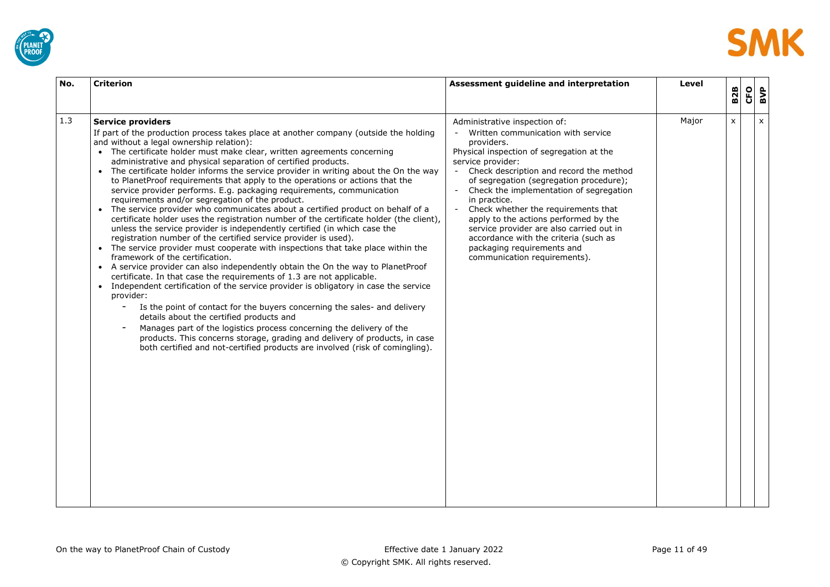



| No. | <b>Criterion</b>                                                                                                                                                                                                                                                                                                                                                                                                                                                                                                                                                                                                                                                                                                                                                                                                                                                                                                                                                                                                                                                                                                                                                                                                                                                                                                                                                                                                                                                                                                                                                                                                                                                                                                                | Assessment guideline and interpretation                                                                                                                                                                                                                                                                                                                                                                                                                                                                                                           | Level | <b>B2B</b>   | CFO | BVP            |
|-----|---------------------------------------------------------------------------------------------------------------------------------------------------------------------------------------------------------------------------------------------------------------------------------------------------------------------------------------------------------------------------------------------------------------------------------------------------------------------------------------------------------------------------------------------------------------------------------------------------------------------------------------------------------------------------------------------------------------------------------------------------------------------------------------------------------------------------------------------------------------------------------------------------------------------------------------------------------------------------------------------------------------------------------------------------------------------------------------------------------------------------------------------------------------------------------------------------------------------------------------------------------------------------------------------------------------------------------------------------------------------------------------------------------------------------------------------------------------------------------------------------------------------------------------------------------------------------------------------------------------------------------------------------------------------------------------------------------------------------------|---------------------------------------------------------------------------------------------------------------------------------------------------------------------------------------------------------------------------------------------------------------------------------------------------------------------------------------------------------------------------------------------------------------------------------------------------------------------------------------------------------------------------------------------------|-------|--------------|-----|----------------|
| 1.3 | <b>Service providers</b><br>If part of the production process takes place at another company (outside the holding<br>and without a legal ownership relation):<br>• The certificate holder must make clear, written agreements concerning<br>administrative and physical separation of certified products.<br>• The certificate holder informs the service provider in writing about the On the way<br>to PlanetProof requirements that apply to the operations or actions that the<br>service provider performs. E.g. packaging requirements, communication<br>requirements and/or segregation of the product.<br>The service provider who communicates about a certified product on behalf of a<br>certificate holder uses the registration number of the certificate holder (the client),<br>unless the service provider is independently certified (in which case the<br>registration number of the certified service provider is used).<br>• The service provider must cooperate with inspections that take place within the<br>framework of the certification.<br>• A service provider can also independently obtain the On the way to PlanetProof<br>certificate. In that case the requirements of 1.3 are not applicable.<br>Independent certification of the service provider is obligatory in case the service<br>provider:<br>Is the point of contact for the buyers concerning the sales- and delivery<br>$\overline{\phantom{a}}$<br>details about the certified products and<br>Manages part of the logistics process concerning the delivery of the<br>products. This concerns storage, grading and delivery of products, in case<br>both certified and not-certified products are involved (risk of comingling). | Administrative inspection of:<br>Written communication with service<br>providers.<br>Physical inspection of segregation at the<br>service provider:<br>Check description and record the method<br>$\sim$<br>of segregation (segregation procedure);<br>Check the implementation of segregation<br>in practice.<br>Check whether the requirements that<br>apply to the actions performed by the<br>service provider are also carried out in<br>accordance with the criteria (such as<br>packaging requirements and<br>communication requirements). | Major | $\mathsf{x}$ |     | $\pmb{\times}$ |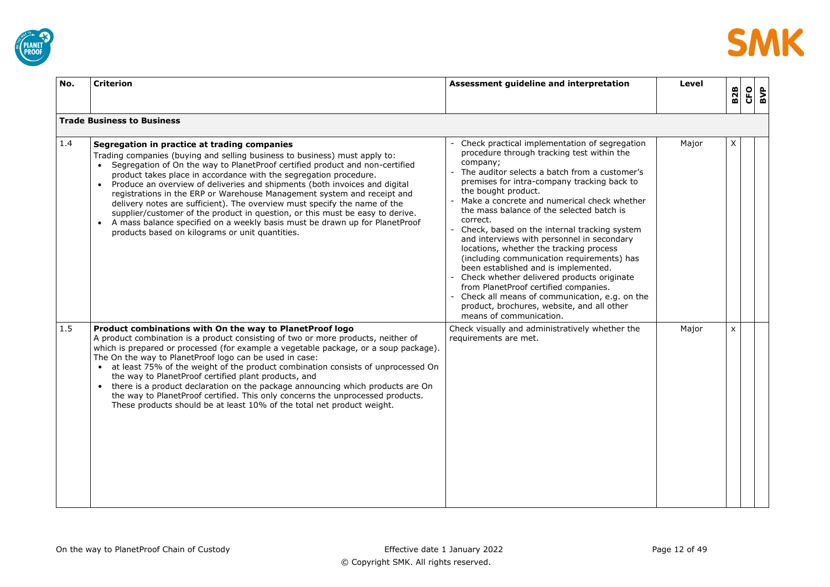



| No. | <b>Criterion</b>                                                                                                                                                                                                                                                                                                                                                                                                                                                                                                                                                                                                                                                                                                                                        | Assessment guideline and interpretation                                                                                                                                                                                                                                                                                                                                                                                                                                                                                                                                                                                                                                                                                                                                                  | Level | <b>B2B</b>   | <b>CFO</b> | BVP |
|-----|---------------------------------------------------------------------------------------------------------------------------------------------------------------------------------------------------------------------------------------------------------------------------------------------------------------------------------------------------------------------------------------------------------------------------------------------------------------------------------------------------------------------------------------------------------------------------------------------------------------------------------------------------------------------------------------------------------------------------------------------------------|------------------------------------------------------------------------------------------------------------------------------------------------------------------------------------------------------------------------------------------------------------------------------------------------------------------------------------------------------------------------------------------------------------------------------------------------------------------------------------------------------------------------------------------------------------------------------------------------------------------------------------------------------------------------------------------------------------------------------------------------------------------------------------------|-------|--------------|------------|-----|
|     | <b>Trade Business to Business</b>                                                                                                                                                                                                                                                                                                                                                                                                                                                                                                                                                                                                                                                                                                                       |                                                                                                                                                                                                                                                                                                                                                                                                                                                                                                                                                                                                                                                                                                                                                                                          |       |              |            |     |
| 1.4 | Segregation in practice at trading companies<br>Trading companies (buying and selling business to business) must apply to:<br>• Segregation of On the way to PlanetProof certified product and non-certified<br>product takes place in accordance with the segregation procedure.<br>Produce an overview of deliveries and shipments (both invoices and digital<br>registrations in the ERP or Warehouse Management system and receipt and<br>delivery notes are sufficient). The overview must specify the name of the<br>supplier/customer of the product in question, or this must be easy to derive.<br>A mass balance specified on a weekly basis must be drawn up for PlanetProof<br>$\bullet$<br>products based on kilograms or unit quantities. | Check practical implementation of segregation<br>procedure through tracking test within the<br>company;<br>The auditor selects a batch from a customer's<br>premises for intra-company tracking back to<br>the bought product.<br>Make a concrete and numerical check whether<br>the mass balance of the selected batch is<br>correct.<br>Check, based on the internal tracking system<br>and interviews with personnel in secondary<br>locations, whether the tracking process<br>(including communication requirements) has<br>been established and is implemented.<br>Check whether delivered products originate<br>from PlanetProof certified companies.<br>- Check all means of communication, e.g. on the<br>product, brochures, website, and all other<br>means of communication. | Major | X.           |            |     |
| 1.5 | Product combinations with On the way to PlanetProof logo<br>A product combination is a product consisting of two or more products, neither of<br>which is prepared or processed (for example a vegetable package, or a soup package).<br>The On the way to PlanetProof logo can be used in case:<br>at least 75% of the weight of the product combination consists of unprocessed On<br>the way to PlanetProof certified plant products, and<br>• there is a product declaration on the package announcing which products are On<br>the way to PlanetProof certified. This only concerns the unprocessed products.<br>These products should be at least 10% of the total net product weight.                                                            | Check visually and administratively whether the<br>requirements are met.                                                                                                                                                                                                                                                                                                                                                                                                                                                                                                                                                                                                                                                                                                                 | Major | $\mathsf{x}$ |            |     |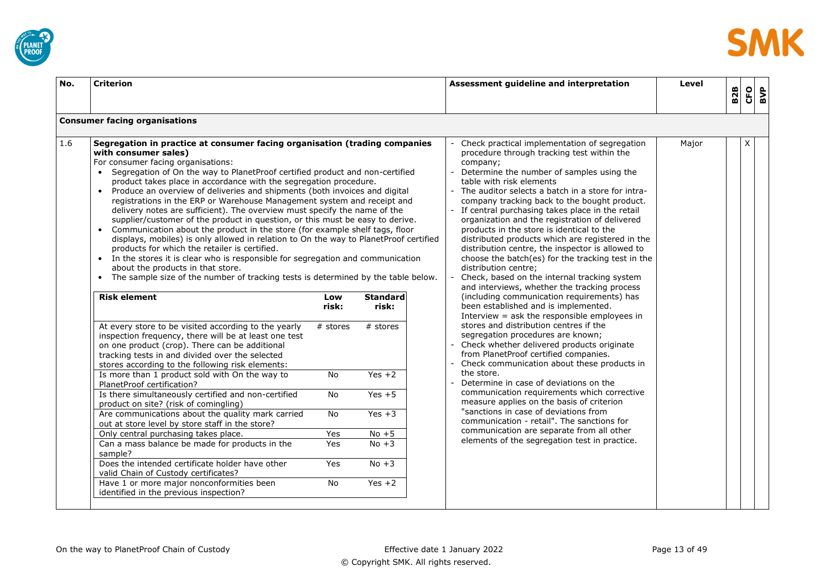



| No. | <b>Criterion</b>                                                                                                                                                                                                                                                                                                                                                                                                                                                                                                                                                                                                                                                                                                                                                                                                                                                                                                                                                                                                                                                                      |              |                          | Assessment guideline and interpretation                                                                                                                                                                                                                                                                                                                                                                                                                                                                                                                                                                                                                                      | Level |            |            |     |
|-----|---------------------------------------------------------------------------------------------------------------------------------------------------------------------------------------------------------------------------------------------------------------------------------------------------------------------------------------------------------------------------------------------------------------------------------------------------------------------------------------------------------------------------------------------------------------------------------------------------------------------------------------------------------------------------------------------------------------------------------------------------------------------------------------------------------------------------------------------------------------------------------------------------------------------------------------------------------------------------------------------------------------------------------------------------------------------------------------|--------------|--------------------------|------------------------------------------------------------------------------------------------------------------------------------------------------------------------------------------------------------------------------------------------------------------------------------------------------------------------------------------------------------------------------------------------------------------------------------------------------------------------------------------------------------------------------------------------------------------------------------------------------------------------------------------------------------------------------|-------|------------|------------|-----|
|     |                                                                                                                                                                                                                                                                                                                                                                                                                                                                                                                                                                                                                                                                                                                                                                                                                                                                                                                                                                                                                                                                                       |              |                          |                                                                                                                                                                                                                                                                                                                                                                                                                                                                                                                                                                                                                                                                              |       | <b>B2B</b> | <b>CFO</b> | BVP |
|     | <b>Consumer facing organisations</b>                                                                                                                                                                                                                                                                                                                                                                                                                                                                                                                                                                                                                                                                                                                                                                                                                                                                                                                                                                                                                                                  |              |                          |                                                                                                                                                                                                                                                                                                                                                                                                                                                                                                                                                                                                                                                                              |       |            |            |     |
| 1.6 | Segregation in practice at consumer facing organisation (trading companies<br>with consumer sales)<br>For consumer facing organisations:<br>Segregation of On the way to PlanetProof certified product and non-certified<br>product takes place in accordance with the segregation procedure.<br>Produce an overview of deliveries and shipments (both invoices and digital<br>$\bullet$<br>registrations in the ERP or Warehouse Management system and receipt and<br>delivery notes are sufficient). The overview must specify the name of the<br>supplier/customer of the product in question, or this must be easy to derive.<br>• Communication about the product in the store (for example shelf tags, floor<br>displays, mobiles) is only allowed in relation to On the way to PlanetProof certified<br>products for which the retailer is certified.<br>In the stores it is clear who is responsible for segregation and communication<br>about the products in that store.<br>The sample size of the number of tracking tests is determined by the table below.<br>$\bullet$ |              |                          | Check practical implementation of segregation<br>procedure through tracking test within the<br>company;<br>Determine the number of samples using the<br>table with risk elements<br>The auditor selects a batch in a store for intra-<br>company tracking back to the bought product.<br>If central purchasing takes place in the retail<br>organization and the registration of delivered<br>products in the store is identical to the<br>distributed products which are registered in the<br>distribution centre, the inspector is allowed to<br>choose the batch(es) for the tracking test in the<br>distribution centre;<br>Check, based on the internal tracking system | Major |            | X          |     |
|     | <b>Risk element</b>                                                                                                                                                                                                                                                                                                                                                                                                                                                                                                                                                                                                                                                                                                                                                                                                                                                                                                                                                                                                                                                                   | Low<br>risk: | <b>Standard</b><br>risk: | and interviews, whether the tracking process<br>(including communication requirements) has<br>been established and is implemented.<br>Interview $=$ ask the responsible employees in                                                                                                                                                                                                                                                                                                                                                                                                                                                                                         |       |            |            |     |
|     | At every store to be visited according to the yearly<br>inspection frequency, there will be at least one test<br>on one product (crop). There can be additional<br>tracking tests in and divided over the selected<br>stores according to the following risk elements:                                                                                                                                                                                                                                                                                                                                                                                                                                                                                                                                                                                                                                                                                                                                                                                                                | $#$ stores   | $#$ stores               | stores and distribution centres if the<br>segregation procedures are known;<br>Check whether delivered products originate<br>from PlanetProof certified companies.<br>Check communication about these products in                                                                                                                                                                                                                                                                                                                                                                                                                                                            |       |            |            |     |
|     | Is more than 1 product sold with On the way to<br>PlanetProof certification?                                                                                                                                                                                                                                                                                                                                                                                                                                                                                                                                                                                                                                                                                                                                                                                                                                                                                                                                                                                                          | <b>No</b>    | $Yes +2$                 | the store.<br>Determine in case of deviations on the                                                                                                                                                                                                                                                                                                                                                                                                                                                                                                                                                                                                                         |       |            |            |     |
|     | Is there simultaneously certified and non-certified<br>product on site? (risk of comingling)                                                                                                                                                                                                                                                                                                                                                                                                                                                                                                                                                                                                                                                                                                                                                                                                                                                                                                                                                                                          | No           | $Yes + 5$                | communication requirements which corrective<br>measure applies on the basis of criterion                                                                                                                                                                                                                                                                                                                                                                                                                                                                                                                                                                                     |       |            |            |     |
|     | Are communications about the quality mark carried<br>out at store level by store staff in the store?                                                                                                                                                                                                                                                                                                                                                                                                                                                                                                                                                                                                                                                                                                                                                                                                                                                                                                                                                                                  | No           | $Yes + 3$                | "sanctions in case of deviations from<br>communication - retail". The sanctions for                                                                                                                                                                                                                                                                                                                                                                                                                                                                                                                                                                                          |       |            |            |     |
|     | Only central purchasing takes place.                                                                                                                                                                                                                                                                                                                                                                                                                                                                                                                                                                                                                                                                                                                                                                                                                                                                                                                                                                                                                                                  | Yes          | $No + 5$                 | communication are separate from all other                                                                                                                                                                                                                                                                                                                                                                                                                                                                                                                                                                                                                                    |       |            |            |     |
|     | Can a mass balance be made for products in the<br>sample?                                                                                                                                                                                                                                                                                                                                                                                                                                                                                                                                                                                                                                                                                                                                                                                                                                                                                                                                                                                                                             | <b>Yes</b>   | $No + 3$                 | elements of the segregation test in practice.                                                                                                                                                                                                                                                                                                                                                                                                                                                                                                                                                                                                                                |       |            |            |     |
|     | Does the intended certificate holder have other<br>valid Chain of Custody certificates?                                                                                                                                                                                                                                                                                                                                                                                                                                                                                                                                                                                                                                                                                                                                                                                                                                                                                                                                                                                               | Yes          | $No + 3$                 |                                                                                                                                                                                                                                                                                                                                                                                                                                                                                                                                                                                                                                                                              |       |            |            |     |
|     | Have 1 or more major nonconformities been<br>identified in the previous inspection?                                                                                                                                                                                                                                                                                                                                                                                                                                                                                                                                                                                                                                                                                                                                                                                                                                                                                                                                                                                                   | <b>No</b>    | $Yes +2$                 |                                                                                                                                                                                                                                                                                                                                                                                                                                                                                                                                                                                                                                                                              |       |            |            |     |
|     |                                                                                                                                                                                                                                                                                                                                                                                                                                                                                                                                                                                                                                                                                                                                                                                                                                                                                                                                                                                                                                                                                       |              |                          |                                                                                                                                                                                                                                                                                                                                                                                                                                                                                                                                                                                                                                                                              |       |            |            |     |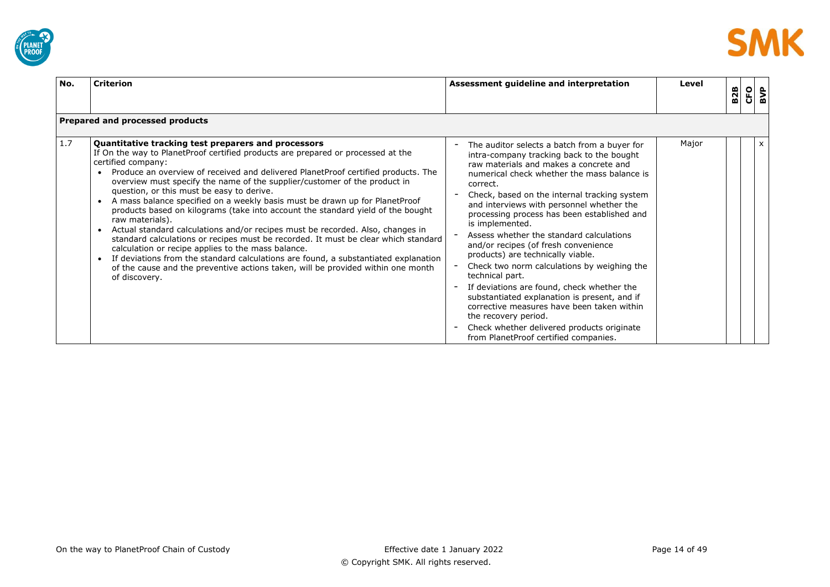



| No. | <b>Criterion</b>                                                                                                                                                                                                                                                                                                                                                                                                                                                                                                                                                                                                                                                                                                                                                                                                                                                                                                                                                                                                      | Assessment guideline and interpretation                                                                                                                                                                                                                                                                                                                                                                                                                                                                                                                                                                                                                                                                                                                                                                             | Level | <b>B2B</b> | <b>CFO</b> | BVP                       |
|-----|-----------------------------------------------------------------------------------------------------------------------------------------------------------------------------------------------------------------------------------------------------------------------------------------------------------------------------------------------------------------------------------------------------------------------------------------------------------------------------------------------------------------------------------------------------------------------------------------------------------------------------------------------------------------------------------------------------------------------------------------------------------------------------------------------------------------------------------------------------------------------------------------------------------------------------------------------------------------------------------------------------------------------|---------------------------------------------------------------------------------------------------------------------------------------------------------------------------------------------------------------------------------------------------------------------------------------------------------------------------------------------------------------------------------------------------------------------------------------------------------------------------------------------------------------------------------------------------------------------------------------------------------------------------------------------------------------------------------------------------------------------------------------------------------------------------------------------------------------------|-------|------------|------------|---------------------------|
|     | Prepared and processed products                                                                                                                                                                                                                                                                                                                                                                                                                                                                                                                                                                                                                                                                                                                                                                                                                                                                                                                                                                                       |                                                                                                                                                                                                                                                                                                                                                                                                                                                                                                                                                                                                                                                                                                                                                                                                                     |       |            |            |                           |
| 1.7 | Quantitative tracking test preparers and processors<br>If On the way to PlanetProof certified products are prepared or processed at the<br>certified company:<br>Produce an overview of received and delivered PlanetProof certified products. The<br>overview must specify the name of the supplier/customer of the product in<br>question, or this must be easy to derive.<br>A mass balance specified on a weekly basis must be drawn up for PlanetProof<br>products based on kilograms (take into account the standard yield of the bought<br>raw materials).<br>Actual standard calculations and/or recipes must be recorded. Also, changes in<br>$\bullet$<br>standard calculations or recipes must be recorded. It must be clear which standard<br>calculation or recipe applies to the mass balance.<br>If deviations from the standard calculations are found, a substantiated explanation<br>$\bullet$<br>of the cause and the preventive actions taken, will be provided within one month<br>of discovery. | The auditor selects a batch from a buyer for<br>intra-company tracking back to the bought<br>raw materials and makes a concrete and<br>numerical check whether the mass balance is<br>correct.<br>Check, based on the internal tracking system<br>and interviews with personnel whether the<br>processing process has been established and<br>is implemented.<br>Assess whether the standard calculations<br>and/or recipes (of fresh convenience<br>products) are technically viable.<br>Check two norm calculations by weighing the<br>technical part.<br>If deviations are found, check whether the<br>substantiated explanation is present, and if<br>corrective measures have been taken within<br>the recovery period.<br>Check whether delivered products originate<br>from PlanetProof certified companies. | Major |            |            | $\boldsymbol{\mathsf{x}}$ |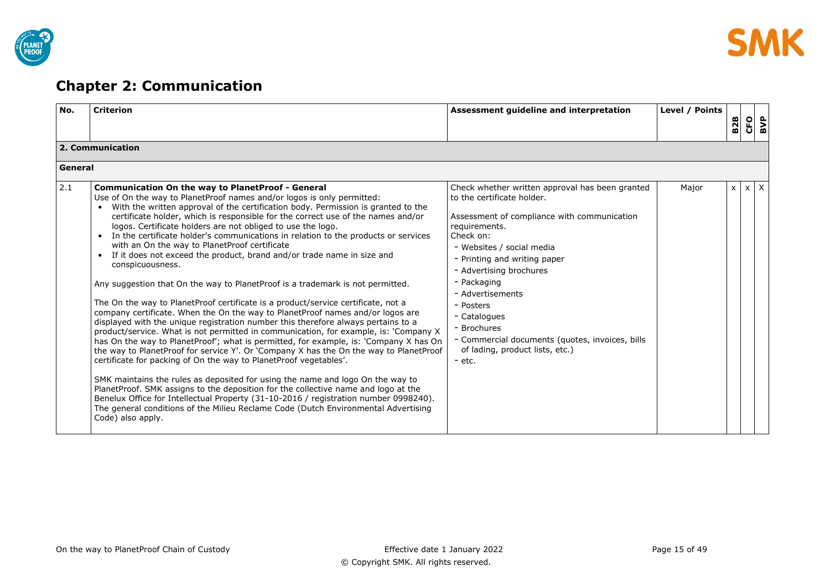

# <span id="page-14-0"></span>**Chapter 2: Communication**

| No.     | <b>Criterion</b>                                                                                                                                                                                                                                                                                                                                                                                                                                                                                                                                                                                                                                                                                                                                                                                                                                                                                                                                                                                                                                                                                                                                                                                                                                                                                                                                                                                                                                                                                                                                                                                                                                                                                        | Assessment guideline and interpretation                                                                                                                                                                                                                                                                                                                                                                                             | Level / Points | <b>B2B</b> | CFO        | BVP |
|---------|---------------------------------------------------------------------------------------------------------------------------------------------------------------------------------------------------------------------------------------------------------------------------------------------------------------------------------------------------------------------------------------------------------------------------------------------------------------------------------------------------------------------------------------------------------------------------------------------------------------------------------------------------------------------------------------------------------------------------------------------------------------------------------------------------------------------------------------------------------------------------------------------------------------------------------------------------------------------------------------------------------------------------------------------------------------------------------------------------------------------------------------------------------------------------------------------------------------------------------------------------------------------------------------------------------------------------------------------------------------------------------------------------------------------------------------------------------------------------------------------------------------------------------------------------------------------------------------------------------------------------------------------------------------------------------------------------------|-------------------------------------------------------------------------------------------------------------------------------------------------------------------------------------------------------------------------------------------------------------------------------------------------------------------------------------------------------------------------------------------------------------------------------------|----------------|------------|------------|-----|
|         | 2. Communication                                                                                                                                                                                                                                                                                                                                                                                                                                                                                                                                                                                                                                                                                                                                                                                                                                                                                                                                                                                                                                                                                                                                                                                                                                                                                                                                                                                                                                                                                                                                                                                                                                                                                        |                                                                                                                                                                                                                                                                                                                                                                                                                                     |                |            |            |     |
| General |                                                                                                                                                                                                                                                                                                                                                                                                                                                                                                                                                                                                                                                                                                                                                                                                                                                                                                                                                                                                                                                                                                                                                                                                                                                                                                                                                                                                                                                                                                                                                                                                                                                                                                         |                                                                                                                                                                                                                                                                                                                                                                                                                                     |                |            |            |     |
| 2.1     | <b>Communication On the way to PlanetProof - General</b><br>Use of On the way to PlanetProof names and/or logos is only permitted:<br>With the written approval of the certification body. Permission is granted to the<br>certificate holder, which is responsible for the correct use of the names and/or<br>logos. Certificate holders are not obliged to use the logo.<br>In the certificate holder's communications in relation to the products or services<br>with an On the way to PlanetProof certificate<br>If it does not exceed the product, brand and/or trade name in size and<br>$\bullet$<br>conspicuousness.<br>Any suggestion that On the way to Planet Proof is a trademark is not permitted.<br>The On the way to PlanetProof certificate is a product/service certificate, not a<br>company certificate. When the On the way to PlanetProof names and/or logos are<br>displayed with the unique registration number this therefore always pertains to a<br>product/service. What is not permitted in communication, for example, is: 'Company X<br>has On the way to PlanetProof'; what is permitted, for example, is: 'Company X has On<br>the way to PlanetProof for service Y'. Or 'Company X has the On the way to PlanetProof<br>certificate for packing of On the way to Planet Proof vegetables'.<br>SMK maintains the rules as deposited for using the name and logo On the way to<br>PlanetProof. SMK assigns to the deposition for the collective name and logo at the<br>Benelux Office for Intellectual Property (31-10-2016 / registration number 0998240).<br>The general conditions of the Milieu Reclame Code (Dutch Environmental Advertising<br>Code) also apply. | Check whether written approval has been granted<br>to the certificate holder.<br>Assessment of compliance with communication<br>requirements.<br>Check on:<br>- Websites / social media<br>- Printing and writing paper<br>- Advertising brochures<br>- Packaging<br>- Advertisements<br>- Posters<br>- Catalogues<br>- Brochures<br>- Commercial documents (quotes, invoices, bills<br>of lading, product lists, etc.)<br>$-$ etc. | Major          | $\times$   | $x \times$ |     |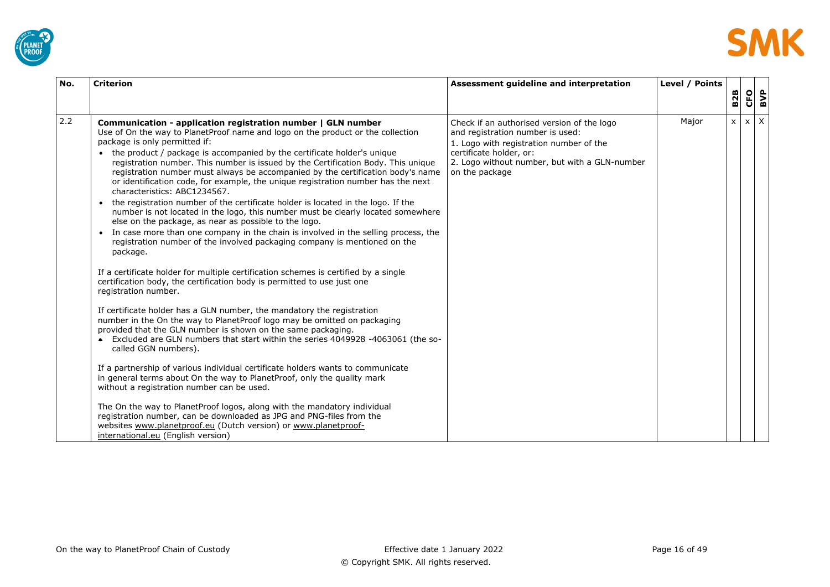



| No. | <b>Criterion</b>                                                                                                                                                                                                                                                                                                                                                                                                                                                                                                                                                                                                                                                                                                                                                                                                                                                                                                                                                                                                                                                                                                                                                                                                                                                                                                                                                                                                                                                                                                                                                                                                                                                                                                                                                                                                                                                                                                                                                                            | Assessment quideline and interpretation                                                                                                                                                                                 | Level / Points | <b>B2B</b>   | <b>CFO</b> |            | BVP |
|-----|---------------------------------------------------------------------------------------------------------------------------------------------------------------------------------------------------------------------------------------------------------------------------------------------------------------------------------------------------------------------------------------------------------------------------------------------------------------------------------------------------------------------------------------------------------------------------------------------------------------------------------------------------------------------------------------------------------------------------------------------------------------------------------------------------------------------------------------------------------------------------------------------------------------------------------------------------------------------------------------------------------------------------------------------------------------------------------------------------------------------------------------------------------------------------------------------------------------------------------------------------------------------------------------------------------------------------------------------------------------------------------------------------------------------------------------------------------------------------------------------------------------------------------------------------------------------------------------------------------------------------------------------------------------------------------------------------------------------------------------------------------------------------------------------------------------------------------------------------------------------------------------------------------------------------------------------------------------------------------------------|-------------------------------------------------------------------------------------------------------------------------------------------------------------------------------------------------------------------------|----------------|--------------|------------|------------|-----|
| 2.2 | Communication - application registration number   GLN number<br>Use of On the way to PlanetProof name and logo on the product or the collection<br>package is only permitted if:<br>the product / package is accompanied by the certificate holder's unique<br>registration number. This number is issued by the Certification Body. This unique<br>registration number must always be accompanied by the certification body's name<br>or identification code, for example, the unique registration number has the next<br>characteristics: ABC1234567.<br>the registration number of the certificate holder is located in the logo. If the<br>number is not located in the logo, this number must be clearly located somewhere<br>else on the package, as near as possible to the logo.<br>In case more than one company in the chain is involved in the selling process, the<br>$\bullet$<br>registration number of the involved packaging company is mentioned on the<br>package.<br>If a certificate holder for multiple certification schemes is certified by a single<br>certification body, the certification body is permitted to use just one<br>registration number.<br>If certificate holder has a GLN number, the mandatory the registration<br>number in the On the way to Planet Proof logo may be omitted on packaging<br>provided that the GLN number is shown on the same packaging.<br>• Excluded are GLN numbers that start within the series 4049928 -4063061 (the so-<br>called GGN numbers).<br>If a partnership of various individual certificate holders wants to communicate<br>in general terms about On the way to PlanetProof, only the quality mark<br>without a registration number can be used.<br>The On the way to PlanetProof logos, along with the mandatory individual<br>registration number, can be downloaded as JPG and PNG-files from the<br>websites www.planetproof.eu (Dutch version) or www.planetproof-<br>international.eu (English version) | Check if an authorised version of the logo<br>and registration number is used:<br>1. Logo with registration number of the<br>certificate holder, or:<br>2. Logo without number, but with a GLN-number<br>on the package | Major          | $\mathsf{x}$ |            | $x \mid X$ |     |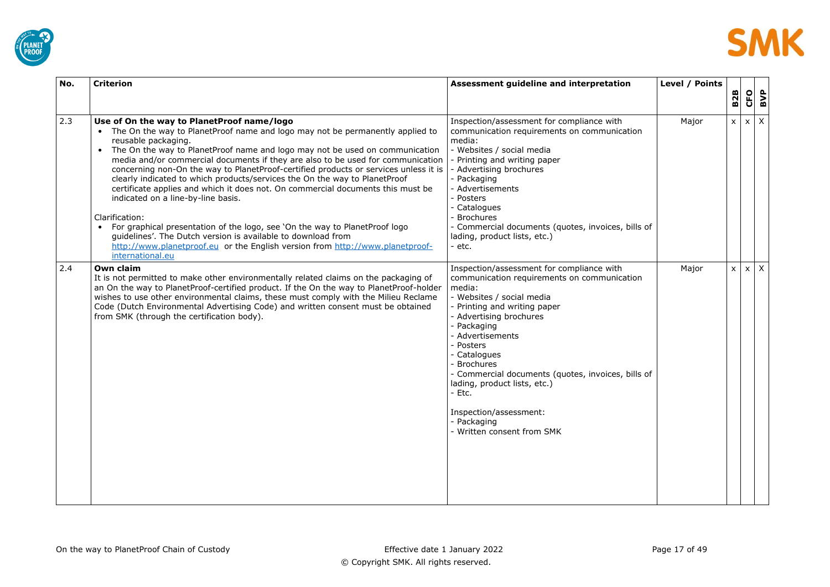



| No. | <b>Criterion</b>                                                                                                                                                                                                                                                                                                                                                                                                                                                                                                                                                                                                                                                                                                                                                                                                                                                                               | Assessment guideline and interpretation                                                                                                                                                                                                                                                                                                                                                                                                          | Level / Points |              |              |              |     |
|-----|------------------------------------------------------------------------------------------------------------------------------------------------------------------------------------------------------------------------------------------------------------------------------------------------------------------------------------------------------------------------------------------------------------------------------------------------------------------------------------------------------------------------------------------------------------------------------------------------------------------------------------------------------------------------------------------------------------------------------------------------------------------------------------------------------------------------------------------------------------------------------------------------|--------------------------------------------------------------------------------------------------------------------------------------------------------------------------------------------------------------------------------------------------------------------------------------------------------------------------------------------------------------------------------------------------------------------------------------------------|----------------|--------------|--------------|--------------|-----|
|     |                                                                                                                                                                                                                                                                                                                                                                                                                                                                                                                                                                                                                                                                                                                                                                                                                                                                                                |                                                                                                                                                                                                                                                                                                                                                                                                                                                  |                | <b>B2B</b>   | CFO          |              | BVP |
| 2.3 | Use of On the way to PlanetProof name/logo<br>• The On the way to PlanetProof name and logo may not be permanently applied to<br>reusable packaging.<br>• The On the way to PlanetProof name and logo may not be used on communication<br>media and/or commercial documents if they are also to be used for communication<br>concerning non-On the way to PlanetProof-certified products or services unless it is<br>clearly indicated to which products/services the On the way to PlanetProof<br>certificate applies and which it does not. On commercial documents this must be<br>indicated on a line-by-line basis.<br>Clarification:<br>For graphical presentation of the logo, see 'On the way to PlanetProof logo<br>quidelines'. The Dutch version is available to download from<br>http://www.planetproof.eu or the English version from http://www.planetproof-<br>international.eu | Inspection/assessment for compliance with<br>communication requirements on communication<br>media:<br>- Websites / social media<br>- Printing and writing paper<br>- Advertising brochures<br>- Packaging<br>- Advertisements<br>- Posters<br>- Catalogues<br>- Brochures<br>- Commercial documents (quotes, invoices, bills of<br>lading, product lists, etc.)<br>- etc.                                                                        | Major          | $\mathsf{x}$ | $\mathsf{x}$ | $\mathsf{X}$ |     |
| 2.4 | Own claim<br>It is not permitted to make other environmentally related claims on the packaging of<br>an On the way to PlanetProof-certified product. If the On the way to PlanetProof-holder<br>wishes to use other environmental claims, these must comply with the Milieu Reclame<br>Code (Dutch Environmental Advertising Code) and written consent must be obtained<br>from SMK (through the certification body).                                                                                                                                                                                                                                                                                                                                                                                                                                                                          | Inspection/assessment for compliance with<br>communication requirements on communication<br>media:<br>- Websites / social media<br>- Printing and writing paper<br>- Advertising brochures<br>- Packaging<br>- Advertisements<br>- Posters<br>- Catalogues<br>- Brochures<br>- Commercial documents (quotes, invoices, bills of<br>lading, product lists, etc.)<br>- Etc.<br>Inspection/assessment:<br>- Packaging<br>- Written consent from SMK | Major          | $\mathsf{x}$ |              | $x \mid X$   |     |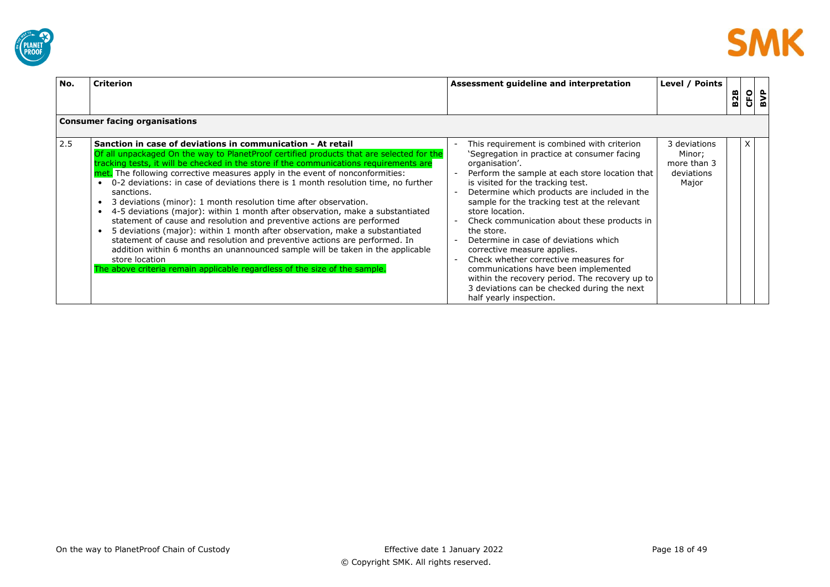



| No. | <b>Criterion</b>                                                                                                                                                                                                                                                                                                                                                                                                                                                                                                                                                                                                                                                                                                                                                                                                                                                                                                                                                                                                       | Level / Points<br>Assessment guideline and interpretation                                                                                                                                                                                                                                                                                                                                                                                                                                                                                                                                                                                                                                                                                | <b>B2B</b> |   | $rac{CD}{2}$ |
|-----|------------------------------------------------------------------------------------------------------------------------------------------------------------------------------------------------------------------------------------------------------------------------------------------------------------------------------------------------------------------------------------------------------------------------------------------------------------------------------------------------------------------------------------------------------------------------------------------------------------------------------------------------------------------------------------------------------------------------------------------------------------------------------------------------------------------------------------------------------------------------------------------------------------------------------------------------------------------------------------------------------------------------|------------------------------------------------------------------------------------------------------------------------------------------------------------------------------------------------------------------------------------------------------------------------------------------------------------------------------------------------------------------------------------------------------------------------------------------------------------------------------------------------------------------------------------------------------------------------------------------------------------------------------------------------------------------------------------------------------------------------------------------|------------|---|--------------|
|     | <b>Consumer facing organisations</b>                                                                                                                                                                                                                                                                                                                                                                                                                                                                                                                                                                                                                                                                                                                                                                                                                                                                                                                                                                                   |                                                                                                                                                                                                                                                                                                                                                                                                                                                                                                                                                                                                                                                                                                                                          |            |   |              |
| 2.5 | Sanction in case of deviations in communication - At retail<br>Of all unpackaged On the way to PlanetProof certified products that are selected for the<br>tracking tests, it will be checked in the store if the communications requirements are<br>met. The following corrective measures apply in the event of nonconformities:<br>0-2 deviations: in case of deviations there is 1 month resolution time, no further<br>sanctions.<br>3 deviations (minor): 1 month resolution time after observation.<br>4-5 deviations (major): within 1 month after observation, make a substantiated<br>statement of cause and resolution and preventive actions are performed<br>5 deviations (major): within 1 month after observation, make a substantiated<br>statement of cause and resolution and preventive actions are performed. In<br>addition within 6 months an unannounced sample will be taken in the applicable<br>store location<br>The above criteria remain applicable regardless of the size of the sample. | This requirement is combined with criterion<br>3 deviations<br>'Segregation in practice at consumer facing<br>Minor;<br>organisation'.<br>more than 3<br>Perform the sample at each store location that<br>deviations<br>is visited for the tracking test.<br>Major<br>Determine which products are included in the<br>sample for the tracking test at the relevant<br>store location.<br>Check communication about these products in<br>the store.<br>Determine in case of deviations which<br>corrective measure applies.<br>Check whether corrective measures for<br>communications have been implemented<br>within the recovery period. The recovery up to<br>3 deviations can be checked during the next<br>half yearly inspection. |            | x |              |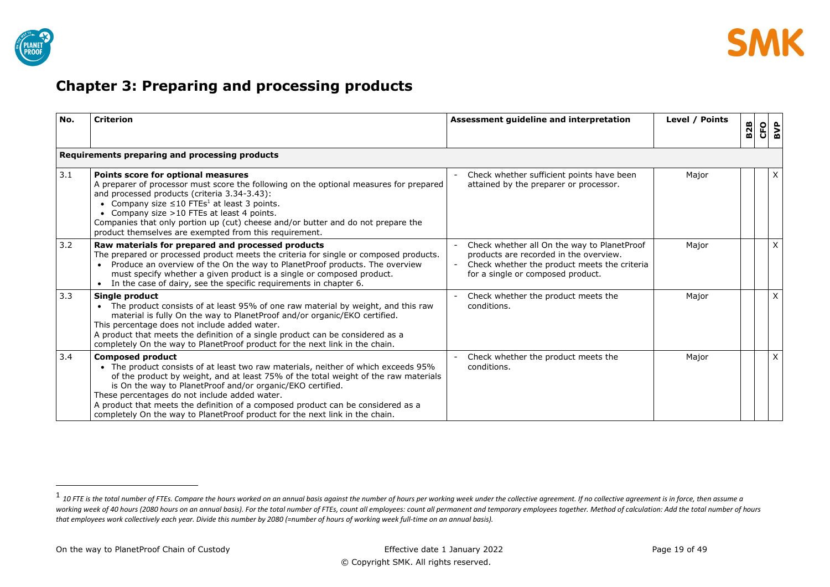

# <span id="page-18-0"></span>**Chapter 3: Preparing and processing products**

| No. | <b>Criterion</b>                                                                                                                                                                                                                                                                                                                                                                                                                                                                        | Assessment guideline and interpretation                                                                                                                                    | Level / Points | <b>B2B</b> | CFO | BVP |
|-----|-----------------------------------------------------------------------------------------------------------------------------------------------------------------------------------------------------------------------------------------------------------------------------------------------------------------------------------------------------------------------------------------------------------------------------------------------------------------------------------------|----------------------------------------------------------------------------------------------------------------------------------------------------------------------------|----------------|------------|-----|-----|
|     | Requirements preparing and processing products                                                                                                                                                                                                                                                                                                                                                                                                                                          |                                                                                                                                                                            |                |            |     |     |
| 3.1 | Points score for optional measures<br>A preparer of processor must score the following on the optional measures for prepared<br>and processed products (criteria 3.34-3.43):<br>• Company size $\leq 10$ FTEs <sup>1</sup> at least 3 points.<br>• Company size >10 FTEs at least 4 points.<br>Companies that only portion up (cut) cheese and/or butter and do not prepare the<br>product themselves are exempted from this requirement.                                               | Check whether sufficient points have been<br>attained by the preparer or processor.                                                                                        | Major          |            |     | X   |
| 3.2 | Raw materials for prepared and processed products<br>The prepared or processed product meets the criteria for single or composed products.<br>Produce an overview of the On the way to PlanetProof products. The overview<br>must specify whether a given product is a single or composed product.<br>In the case of dairy, see the specific requirements in chapter 6.                                                                                                                 | Check whether all On the way to PlanetProof<br>products are recorded in the overview.<br>Check whether the product meets the criteria<br>for a single or composed product. | Major          |            |     | X   |
| 3.3 | Single product<br>The product consists of at least 95% of one raw material by weight, and this raw<br>material is fully On the way to PlanetProof and/or organic/EKO certified.<br>This percentage does not include added water.<br>A product that meets the definition of a single product can be considered as a<br>completely On the way to PlanetProof product for the next link in the chain.                                                                                      | Check whether the product meets the<br>conditions.                                                                                                                         | Major          |            |     | X   |
| 3.4 | <b>Composed product</b><br>• The product consists of at least two raw materials, neither of which exceeds 95%<br>of the product by weight, and at least 75% of the total weight of the raw materials<br>is On the way to PlanetProof and/or organic/EKO certified.<br>These percentages do not include added water.<br>A product that meets the definition of a composed product can be considered as a<br>completely On the way to PlanetProof product for the next link in the chain. | Check whether the product meets the<br>conditions.                                                                                                                         | Major          |            |     | X   |

<sup>&</sup>lt;sup>1</sup> 10 FTE is the total number of FTEs. Compare the hours worked on an annual basis against the number of hours per working week under the collective agreement. If no collective agreement is in force, then assume a working week of 40 hours (2080 hours on an annual basis). For the total number of FTEs, count all employees: count all permanent and temporary employees together. Method of calculation: Add the total number of hours *that employees work collectively each year. Divide this number by 2080 (=number of hours of working week full-time on an annual basis).*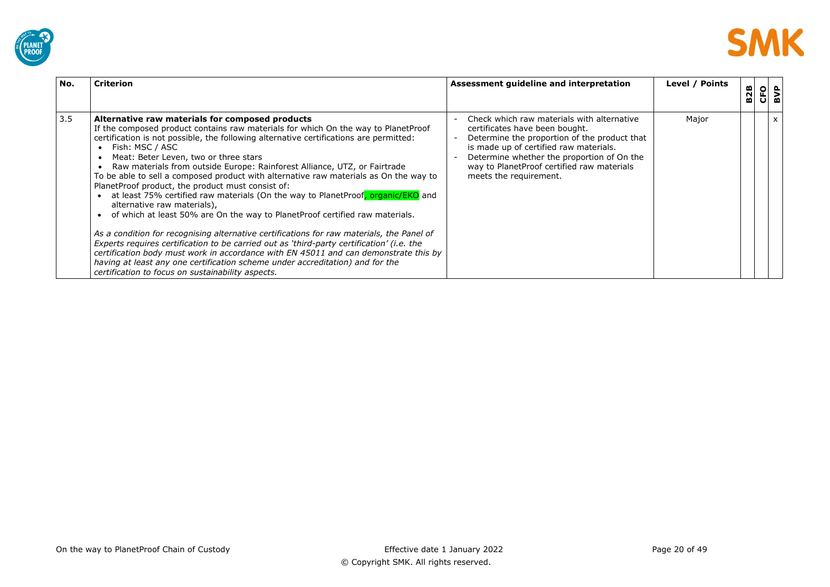



| No. | <b>Criterion</b>                                                                                                                                                                                                                                                                                                                                                                                                                                                                                                                                                                                                                                                                                                                                                                                                                                                                                                                                                                                                                                                                                                                                  | Assessment guideline and interpretation                                                                                                                                                                                                                                                      | Level / Points | <b>B2B</b> | <b>CFO</b> | BVP |
|-----|---------------------------------------------------------------------------------------------------------------------------------------------------------------------------------------------------------------------------------------------------------------------------------------------------------------------------------------------------------------------------------------------------------------------------------------------------------------------------------------------------------------------------------------------------------------------------------------------------------------------------------------------------------------------------------------------------------------------------------------------------------------------------------------------------------------------------------------------------------------------------------------------------------------------------------------------------------------------------------------------------------------------------------------------------------------------------------------------------------------------------------------------------|----------------------------------------------------------------------------------------------------------------------------------------------------------------------------------------------------------------------------------------------------------------------------------------------|----------------|------------|------------|-----|
| 3.5 | Alternative raw materials for composed products<br>If the composed product contains raw materials for which On the way to PlanetProof<br>certification is not possible, the following alternative certifications are permitted:<br>Fish: MSC / ASC<br>Meat: Beter Leven, two or three stars<br>Raw materials from outside Europe: Rainforest Alliance, UTZ, or Fairtrade<br>To be able to sell a composed product with alternative raw materials as On the way to<br>PlanetProof product, the product must consist of:<br>at least 75% certified raw materials (On the way to PlanetProof, organic/EKO and<br>alternative raw materials),<br>of which at least 50% are On the way to PlanetProof certified raw materials.<br>As a condition for recognising alternative certifications for raw materials, the Panel of<br>Experts requires certification to be carried out as 'third-party certification' (i.e. the<br>certification body must work in accordance with EN 45011 and can demonstrate this by<br>having at least any one certification scheme under accreditation) and for the<br>certification to focus on sustainability aspects. | Check which raw materials with alternative<br>certificates have been bought.<br>Determine the proportion of the product that<br>is made up of certified raw materials.<br>Determine whether the proportion of On the<br>way to PlanetProof certified raw materials<br>meets the requirement. | Major          |            |            | X   |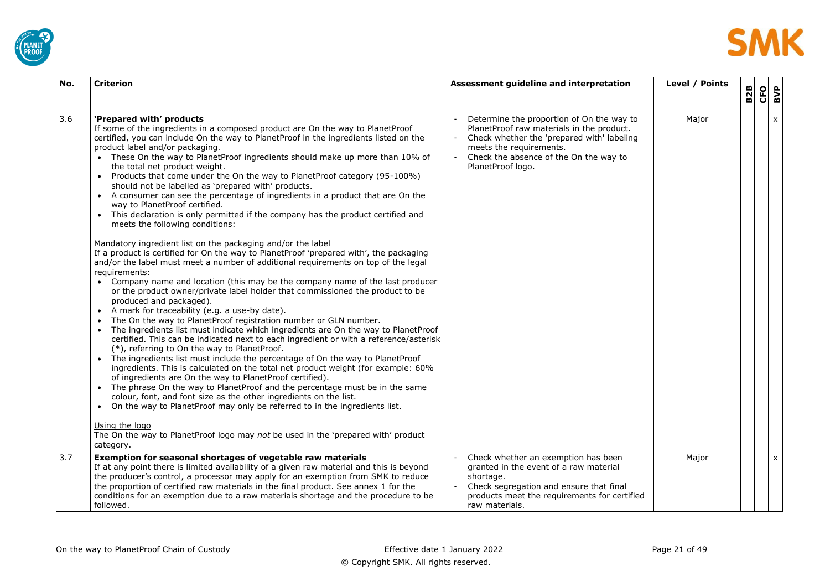



| No. | <b>Criterion</b>                                                                                                                                                                                                                                                                                                                                                                                                                                                                                                                                                                                                                                                                                                                                                                                                                                                                                                                                                                                                                                                                                                                                                                                                                                                                                                                                                                                                                                                                                                                                                                                                                                                                                                                                                                                                                                                                                                                                                                                                                                                                                                                                                    | Assessment guideline and interpretation                                                                                                                                                                                        | Level / Points | <b>B2B</b> | <b>CFO</b><br>BVP |  |
|-----|---------------------------------------------------------------------------------------------------------------------------------------------------------------------------------------------------------------------------------------------------------------------------------------------------------------------------------------------------------------------------------------------------------------------------------------------------------------------------------------------------------------------------------------------------------------------------------------------------------------------------------------------------------------------------------------------------------------------------------------------------------------------------------------------------------------------------------------------------------------------------------------------------------------------------------------------------------------------------------------------------------------------------------------------------------------------------------------------------------------------------------------------------------------------------------------------------------------------------------------------------------------------------------------------------------------------------------------------------------------------------------------------------------------------------------------------------------------------------------------------------------------------------------------------------------------------------------------------------------------------------------------------------------------------------------------------------------------------------------------------------------------------------------------------------------------------------------------------------------------------------------------------------------------------------------------------------------------------------------------------------------------------------------------------------------------------------------------------------------------------------------------------------------------------|--------------------------------------------------------------------------------------------------------------------------------------------------------------------------------------------------------------------------------|----------------|------------|-------------------|--|
| 3.6 | 'Prepared with' products<br>If some of the ingredients in a composed product are On the way to PlanetProof<br>certified, you can include On the way to PlanetProof in the ingredients listed on the<br>product label and/or packaging.<br>• These On the way to PlanetProof ingredients should make up more than 10% of<br>the total net product weight.<br>• Products that come under the On the way to Planet Proof category (95-100%)<br>should not be labelled as 'prepared with' products.<br>• A consumer can see the percentage of ingredients in a product that are On the<br>way to PlanetProof certified.<br>This declaration is only permitted if the company has the product certified and<br>meets the following conditions:<br>Mandatory ingredient list on the packaging and/or the label<br>If a product is certified for On the way to PlanetProof 'prepared with', the packaging<br>and/or the label must meet a number of additional requirements on top of the legal<br>requirements:<br>• Company name and location (this may be the company name of the last producer<br>or the product owner/private label holder that commissioned the product to be<br>produced and packaged).<br>• A mark for traceability (e.g. a use-by date).<br>The On the way to PlanetProof registration number or GLN number.<br>The ingredients list must indicate which ingredients are On the way to PlanetProof<br>certified. This can be indicated next to each ingredient or with a reference/asterisk<br>(*), referring to On the way to PlanetProof.<br>The ingredients list must include the percentage of On the way to PlanetProof<br>ingredients. This is calculated on the total net product weight (for example: 60%)<br>of ingredients are On the way to PlanetProof certified).<br>The phrase On the way to PlanetProof and the percentage must be in the same<br>colour, font, and font size as the other ingredients on the list.<br>On the way to PlanetProof may only be referred to in the ingredients list.<br>$\bullet$<br>Using the logo<br>The On the way to PlanetProof logo may not be used in the 'prepared with' product<br>category. | Determine the proportion of On the way to<br>PlanetProof raw materials in the product.<br>Check whether the 'prepared with' labeling<br>meets the requirements.<br>Check the absence of the On the way to<br>PlanetProof logo. | Major          |            | $\pmb{\times}$    |  |
| 3.7 | Exemption for seasonal shortages of vegetable raw materials<br>If at any point there is limited availability of a given raw material and this is beyond<br>the producer's control, a processor may apply for an exemption from SMK to reduce<br>the proportion of certified raw materials in the final product. See annex 1 for the<br>conditions for an exemption due to a raw materials shortage and the procedure to be<br>followed.                                                                                                                                                                                                                                                                                                                                                                                                                                                                                                                                                                                                                                                                                                                                                                                                                                                                                                                                                                                                                                                                                                                                                                                                                                                                                                                                                                                                                                                                                                                                                                                                                                                                                                                             | Check whether an exemption has been<br>granted in the event of a raw material<br>shortage.<br>Check segregation and ensure that final<br>products meet the requirements for certified<br>raw materials.                        | Major          |            | $\mathsf{x}$      |  |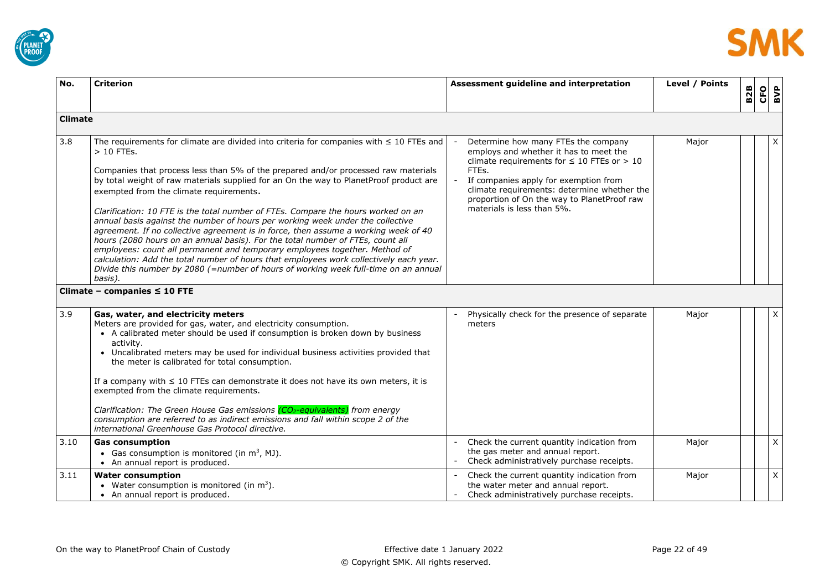



<span id="page-21-0"></span>

| No.            | <b>Criterion</b>                                                                                                                                                                                                                                                                                                                                                                                                                                                                                                                                                                                                                                                                                                                                                                                                                                                                                                                                                 | Assessment guideline and interpretation                                                                                                                                                                                                                                                                          | Level / Points | <b>B2B</b> | <b>CFO</b><br>BVP |
|----------------|------------------------------------------------------------------------------------------------------------------------------------------------------------------------------------------------------------------------------------------------------------------------------------------------------------------------------------------------------------------------------------------------------------------------------------------------------------------------------------------------------------------------------------------------------------------------------------------------------------------------------------------------------------------------------------------------------------------------------------------------------------------------------------------------------------------------------------------------------------------------------------------------------------------------------------------------------------------|------------------------------------------------------------------------------------------------------------------------------------------------------------------------------------------------------------------------------------------------------------------------------------------------------------------|----------------|------------|-------------------|
| <b>Climate</b> |                                                                                                                                                                                                                                                                                                                                                                                                                                                                                                                                                                                                                                                                                                                                                                                                                                                                                                                                                                  |                                                                                                                                                                                                                                                                                                                  |                |            |                   |
| 3.8            | The requirements for climate are divided into criteria for companies with $\leq 10$ FTEs and<br>$>10$ FTEs.<br>Companies that process less than 5% of the prepared and/or processed raw materials<br>by total weight of raw materials supplied for an On the way to PlanetProof product are<br>exempted from the climate requirements.<br>Clarification: 10 FTE is the total number of FTEs. Compare the hours worked on an<br>annual basis against the number of hours per working week under the collective<br>agreement. If no collective agreement is in force, then assume a working week of 40<br>hours (2080 hours on an annual basis). For the total number of FTEs, count all<br>employees: count all permanent and temporary employees together. Method of<br>calculation: Add the total number of hours that employees work collectively each year.<br>Divide this number by 2080 (=number of hours of working week full-time on an annual<br>basis). | Determine how many FTEs the company<br>employs and whether it has to meet the<br>climate requirements for $\leq 10$ FTEs or $> 10$<br>FTEs.<br>If companies apply for exemption from<br>climate requirements: determine whether the<br>proportion of On the way to PlanetProof raw<br>materials is less than 5%. | Major          |            | Χ                 |
|                | Climate - companies $\leq 10$ FTE                                                                                                                                                                                                                                                                                                                                                                                                                                                                                                                                                                                                                                                                                                                                                                                                                                                                                                                                |                                                                                                                                                                                                                                                                                                                  |                |            |                   |
| 3.9            | Gas, water, and electricity meters<br>Meters are provided for gas, water, and electricity consumption.<br>• A calibrated meter should be used if consumption is broken down by business<br>activity.<br>• Uncalibrated meters may be used for individual business activities provided that<br>the meter is calibrated for total consumption.<br>If a company with $\leq 10$ FTEs can demonstrate it does not have its own meters, it is<br>exempted from the climate requirements.<br>Clarification: The Green House Gas emissions (CO <sub>2</sub> -equivalents) from energy<br>consumption are referred to as indirect emissions and fall within scope 2 of the<br>international Greenhouse Gas Protocol directive.                                                                                                                                                                                                                                            | Physically check for the presence of separate<br>meters                                                                                                                                                                                                                                                          | Major          |            | X                 |
| 3.10           | <b>Gas consumption</b><br>• Gas consumption is monitored (in $m^3$ , MJ).<br>• An annual report is produced.                                                                                                                                                                                                                                                                                                                                                                                                                                                                                                                                                                                                                                                                                                                                                                                                                                                     | Check the current quantity indication from<br>the gas meter and annual report.<br>Check administratively purchase receipts.                                                                                                                                                                                      | Major          |            | X                 |
| 3.11           | <b>Water consumption</b><br>• Water consumption is monitored (in $m^3$ ).<br>• An annual report is produced.                                                                                                                                                                                                                                                                                                                                                                                                                                                                                                                                                                                                                                                                                                                                                                                                                                                     | Check the current quantity indication from<br>the water meter and annual report.<br>Check administratively purchase receipts.                                                                                                                                                                                    | Major          |            | $\mathsf{X}$      |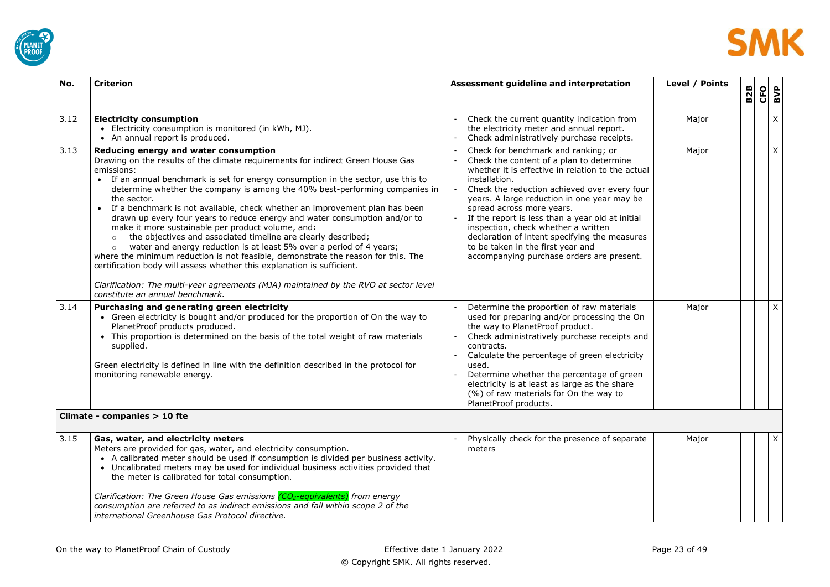



| No.  | <b>Criterion</b>                                                                                                                                                                                                                                                                                                                                                                                                                                                                                                                                                                                                                                                                                                                                                                                                                                                                                                                                                                                    | Assessment guideline and interpretation                                                                                                                                                                                                                                                                                                                                                                                                                                                                         | Level / Points | 82B | <b>CFO</b> | BVP          |
|------|-----------------------------------------------------------------------------------------------------------------------------------------------------------------------------------------------------------------------------------------------------------------------------------------------------------------------------------------------------------------------------------------------------------------------------------------------------------------------------------------------------------------------------------------------------------------------------------------------------------------------------------------------------------------------------------------------------------------------------------------------------------------------------------------------------------------------------------------------------------------------------------------------------------------------------------------------------------------------------------------------------|-----------------------------------------------------------------------------------------------------------------------------------------------------------------------------------------------------------------------------------------------------------------------------------------------------------------------------------------------------------------------------------------------------------------------------------------------------------------------------------------------------------------|----------------|-----|------------|--------------|
| 3.12 | <b>Electricity consumption</b><br>• Electricity consumption is monitored (in kWh, MJ).<br>• An annual report is produced.                                                                                                                                                                                                                                                                                                                                                                                                                                                                                                                                                                                                                                                                                                                                                                                                                                                                           | Check the current quantity indication from<br>the electricity meter and annual report.<br>Check administratively purchase receipts.                                                                                                                                                                                                                                                                                                                                                                             | Major          |     |            | X            |
| 3.13 | Reducing energy and water consumption<br>Drawing on the results of the climate requirements for indirect Green House Gas<br>emissions:<br>• If an annual benchmark is set for energy consumption in the sector, use this to<br>determine whether the company is among the 40% best-performing companies in<br>the sector.<br>If a benchmark is not available, check whether an improvement plan has been<br>drawn up every four years to reduce energy and water consumption and/or to<br>make it more sustainable per product volume, and:<br>the objectives and associated timeline are clearly described;<br>$\circ$<br>water and energy reduction is at least 5% over a period of 4 years;<br>$\circ$<br>where the minimum reduction is not feasible, demonstrate the reason for this. The<br>certification body will assess whether this explanation is sufficient.<br>Clarification: The multi-year agreements (MJA) maintained by the RVO at sector level<br>constitute an annual benchmark. | Check for benchmark and ranking; or<br>Check the content of a plan to determine<br>whether it is effective in relation to the actual<br>installation.<br>Check the reduction achieved over every four<br>years. A large reduction in one year may be<br>spread across more years.<br>If the report is less than a year old at initial<br>inspection, check whether a written<br>declaration of intent specifying the measures<br>to be taken in the first year and<br>accompanying purchase orders are present. | Major          |     |            | X            |
| 3.14 | Purchasing and generating green electricity<br>• Green electricity is bought and/or produced for the proportion of On the way to<br>PlanetProof products produced.<br>• This proportion is determined on the basis of the total weight of raw materials<br>supplied.<br>Green electricity is defined in line with the definition described in the protocol for<br>monitoring renewable energy.                                                                                                                                                                                                                                                                                                                                                                                                                                                                                                                                                                                                      | Determine the proportion of raw materials<br>used for preparing and/or processing the On<br>the way to PlanetProof product.<br>Check administratively purchase receipts and<br>contracts.<br>Calculate the percentage of green electricity<br>used.<br>Determine whether the percentage of green<br>electricity is at least as large as the share<br>(%) of raw materials for On the way to<br>PlanetProof products.                                                                                            | Major          |     |            | $\mathsf{X}$ |
|      | Climate - companies > 10 fte                                                                                                                                                                                                                                                                                                                                                                                                                                                                                                                                                                                                                                                                                                                                                                                                                                                                                                                                                                        |                                                                                                                                                                                                                                                                                                                                                                                                                                                                                                                 |                |     |            |              |
| 3.15 | Gas, water, and electricity meters<br>Meters are provided for gas, water, and electricity consumption.<br>• A calibrated meter should be used if consumption is divided per business activity.<br>• Uncalibrated meters may be used for individual business activities provided that<br>the meter is calibrated for total consumption.<br>Clarification: The Green House Gas emissions (CO <sub>2</sub> -equivalents) from energy<br>consumption are referred to as indirect emissions and fall within scope 2 of the<br>international Greenhouse Gas Protocol directive.                                                                                                                                                                                                                                                                                                                                                                                                                           | Physically check for the presence of separate<br>meters                                                                                                                                                                                                                                                                                                                                                                                                                                                         | Major          |     |            | X            |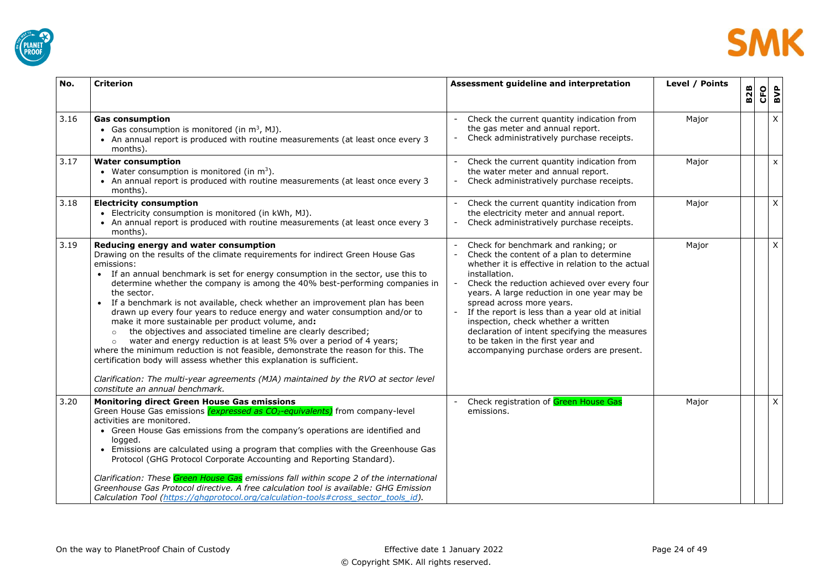



| No.  | <b>Criterion</b>                                                                                                                                                                                                                                                                                                                                                                                                                                                                                                                                                                                                                                                                                                                                                                                                                                                                                                                                                                                                 | Assessment guideline and interpretation                                                                                                                                                                                                                                                                                                                                                                                                                                                                         | Level / Points | <b>B2B</b> | CFO<br>BVP     |
|------|------------------------------------------------------------------------------------------------------------------------------------------------------------------------------------------------------------------------------------------------------------------------------------------------------------------------------------------------------------------------------------------------------------------------------------------------------------------------------------------------------------------------------------------------------------------------------------------------------------------------------------------------------------------------------------------------------------------------------------------------------------------------------------------------------------------------------------------------------------------------------------------------------------------------------------------------------------------------------------------------------------------|-----------------------------------------------------------------------------------------------------------------------------------------------------------------------------------------------------------------------------------------------------------------------------------------------------------------------------------------------------------------------------------------------------------------------------------------------------------------------------------------------------------------|----------------|------------|----------------|
| 3.16 | <b>Gas consumption</b><br>• Gas consumption is monitored (in $m^3$ , MJ).<br>• An annual report is produced with routine measurements (at least once every 3<br>months).                                                                                                                                                                                                                                                                                                                                                                                                                                                                                                                                                                                                                                                                                                                                                                                                                                         | Check the current quantity indication from<br>the gas meter and annual report.<br>Check administratively purchase receipts.                                                                                                                                                                                                                                                                                                                                                                                     | Major          |            | X              |
| 3.17 | <b>Water consumption</b><br>• Water consumption is monitored (in $m^3$ ).<br>• An annual report is produced with routine measurements (at least once every 3<br>months).                                                                                                                                                                                                                                                                                                                                                                                                                                                                                                                                                                                                                                                                                                                                                                                                                                         | Check the current quantity indication from<br>the water meter and annual report.<br>Check administratively purchase receipts.                                                                                                                                                                                                                                                                                                                                                                                   | Major          |            | $\mathsf{x}$   |
| 3.18 | <b>Electricity consumption</b><br>• Electricity consumption is monitored (in kWh, MJ).<br>• An annual report is produced with routine measurements (at least once every 3<br>months).                                                                                                                                                                                                                                                                                                                                                                                                                                                                                                                                                                                                                                                                                                                                                                                                                            | Check the current quantity indication from<br>the electricity meter and annual report.<br>Check administratively purchase receipts.                                                                                                                                                                                                                                                                                                                                                                             | Major          |            | $\pmb{\times}$ |
| 3.19 | Reducing energy and water consumption<br>Drawing on the results of the climate requirements for indirect Green House Gas<br>emissions:<br>• If an annual benchmark is set for energy consumption in the sector, use this to<br>determine whether the company is among the 40% best-performing companies in<br>the sector.<br>If a benchmark is not available, check whether an improvement plan has been<br>$\bullet$<br>drawn up every four years to reduce energy and water consumption and/or to<br>make it more sustainable per product volume, and:<br>the objectives and associated timeline are clearly described;<br>$\circ$<br>water and energy reduction is at least 5% over a period of 4 years;<br>$\circ$<br>where the minimum reduction is not feasible, demonstrate the reason for this. The<br>certification body will assess whether this explanation is sufficient.<br>Clarification: The multi-year agreements (MJA) maintained by the RVO at sector level<br>constitute an annual benchmark. | Check for benchmark and ranking; or<br>Check the content of a plan to determine<br>whether it is effective in relation to the actual<br>installation.<br>Check the reduction achieved over every four<br>years. A large reduction in one year may be<br>spread across more years.<br>If the report is less than a year old at initial<br>inspection, check whether a written<br>declaration of intent specifying the measures<br>to be taken in the first year and<br>accompanying purchase orders are present. | Major          |            | X              |
| 3.20 | <b>Monitoring direct Green House Gas emissions</b><br>Green House Gas emissions (expressed as CO <sub>2</sub> -equivalents) from company-level<br>activities are monitored.<br>• Green House Gas emissions from the company's operations are identified and<br>logged.<br>• Emissions are calculated using a program that complies with the Greenhouse Gas<br>Protocol (GHG Protocol Corporate Accounting and Reporting Standard).<br>Clarification: These Green House Gas emissions fall within scope 2 of the international<br>Greenhouse Gas Protocol directive. A free calculation tool is available: GHG Emission<br>Calculation Tool (https://ghgprotocol.org/calculation-tools#cross sector tools id).                                                                                                                                                                                                                                                                                                    | Check registration of Green House Gas<br>emissions.                                                                                                                                                                                                                                                                                                                                                                                                                                                             | Major          |            | $\mathsf X$    |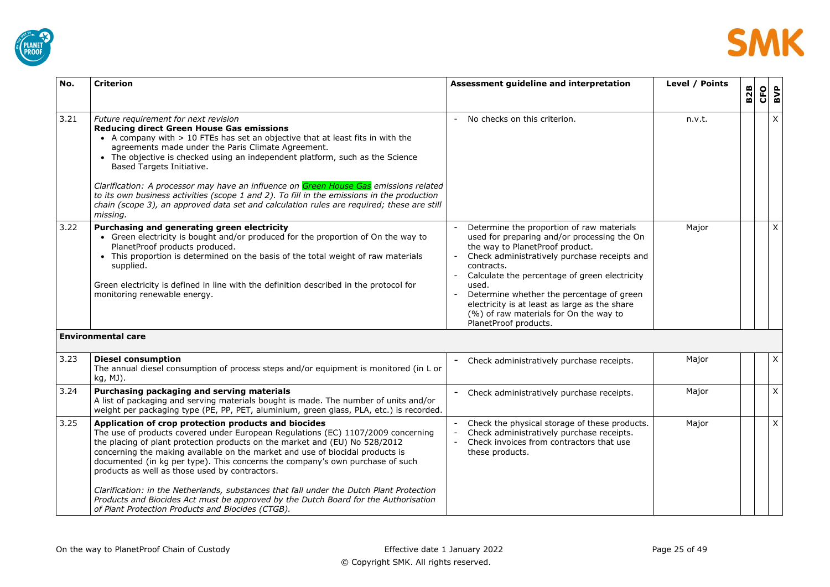



<span id="page-24-0"></span>

| No.  | <b>Criterion</b>                                                                                                                                                                                                                                                                                                                                                                                                                                                                                                                                                                                                                                                                    | Assessment guideline and interpretation                                                                                                                                                                                                                                                                                                                                                                              | Level / Points | <b>B2B</b> | CFO | BVP          |
|------|-------------------------------------------------------------------------------------------------------------------------------------------------------------------------------------------------------------------------------------------------------------------------------------------------------------------------------------------------------------------------------------------------------------------------------------------------------------------------------------------------------------------------------------------------------------------------------------------------------------------------------------------------------------------------------------|----------------------------------------------------------------------------------------------------------------------------------------------------------------------------------------------------------------------------------------------------------------------------------------------------------------------------------------------------------------------------------------------------------------------|----------------|------------|-----|--------------|
| 3.21 | Future requirement for next revision<br><b>Reducing direct Green House Gas emissions</b><br>• A company with > 10 FTEs has set an objective that at least fits in with the<br>agreements made under the Paris Climate Agreement.<br>• The objective is checked using an independent platform, such as the Science<br>Based Targets Initiative.<br>Clarification: A processor may have an influence on Green House Gas emissions related<br>to its own business activities (scope 1 and 2). To fill in the emissions in the production<br>chain (scope 3), an approved data set and calculation rules are required; these are still<br>missing.                                      | No checks on this criterion.                                                                                                                                                                                                                                                                                                                                                                                         | n.v.t.         |            |     | $\mathsf{X}$ |
| 3.22 | Purchasing and generating green electricity<br>• Green electricity is bought and/or produced for the proportion of On the way to<br>PlanetProof products produced.<br>• This proportion is determined on the basis of the total weight of raw materials<br>supplied.<br>Green electricity is defined in line with the definition described in the protocol for<br>monitoring renewable energy.                                                                                                                                                                                                                                                                                      | Determine the proportion of raw materials<br>used for preparing and/or processing the On<br>the way to PlanetProof product.<br>Check administratively purchase receipts and<br>contracts.<br>Calculate the percentage of green electricity<br>used.<br>Determine whether the percentage of green<br>electricity is at least as large as the share<br>(%) of raw materials for On the way to<br>PlanetProof products. | Major          |            |     | $\mathsf{X}$ |
|      | <b>Environmental care</b>                                                                                                                                                                                                                                                                                                                                                                                                                                                                                                                                                                                                                                                           |                                                                                                                                                                                                                                                                                                                                                                                                                      |                |            |     |              |
| 3.23 | <b>Diesel consumption</b><br>The annual diesel consumption of process steps and/or equipment is monitored (in L or<br>kg, MJ).                                                                                                                                                                                                                                                                                                                                                                                                                                                                                                                                                      | Check administratively purchase receipts.                                                                                                                                                                                                                                                                                                                                                                            | Major          |            |     | X            |
| 3.24 | Purchasing packaging and serving materials<br>A list of packaging and serving materials bought is made. The number of units and/or<br>weight per packaging type (PE, PP, PET, aluminium, green glass, PLA, etc.) is recorded.                                                                                                                                                                                                                                                                                                                                                                                                                                                       | Check administratively purchase receipts.                                                                                                                                                                                                                                                                                                                                                                            | Major          |            |     | X            |
| 3.25 | Application of crop protection products and biocides<br>The use of products covered under European Regulations (EC) 1107/2009 concerning<br>the placing of plant protection products on the market and (EU) No 528/2012<br>concerning the making available on the market and use of biocidal products is<br>documented (in kg per type). This concerns the company's own purchase of such<br>products as well as those used by contractors.<br>Clarification: in the Netherlands, substances that fall under the Dutch Plant Protection<br>Products and Biocides Act must be approved by the Dutch Board for the Authorisation<br>of Plant Protection Products and Biocides (CTGB). | Check the physical storage of these products.<br>Check administratively purchase receipts.<br>Check invoices from contractors that use<br>these products.                                                                                                                                                                                                                                                            | Major          |            |     | $\mathsf{X}$ |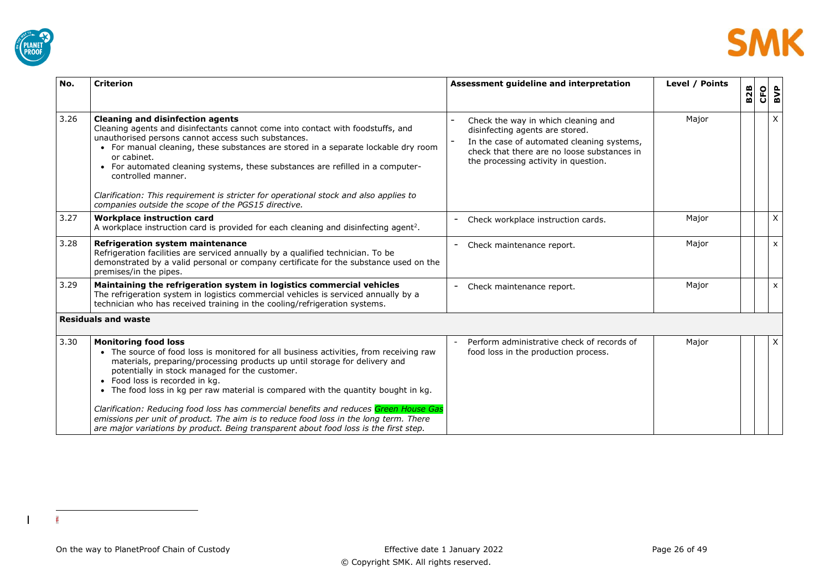



| No.  | <b>Criterion</b>                                                                                                                                                                                                                                                                                                                                                                                                                                                                                                                                                                                                                                         | Assessment guideline and interpretation                                                                                                                                                                     | Level / Points | <b>B2B</b> | <b>CFO</b> | BVP          |
|------|----------------------------------------------------------------------------------------------------------------------------------------------------------------------------------------------------------------------------------------------------------------------------------------------------------------------------------------------------------------------------------------------------------------------------------------------------------------------------------------------------------------------------------------------------------------------------------------------------------------------------------------------------------|-------------------------------------------------------------------------------------------------------------------------------------------------------------------------------------------------------------|----------------|------------|------------|--------------|
| 3.26 | <b>Cleaning and disinfection agents</b><br>Cleaning agents and disinfectants cannot come into contact with foodstuffs, and<br>unauthorised persons cannot access such substances.<br>• For manual cleaning, these substances are stored in a separate lockable dry room<br>or cabinet.<br>• For automated cleaning systems, these substances are refilled in a computer-<br>controlled manner.<br>Clarification: This requirement is stricter for operational stock and also applies to<br>companies outside the scope of the PGS15 directive.                                                                                                           | Check the way in which cleaning and<br>disinfecting agents are stored.<br>In the case of automated cleaning systems,<br>check that there are no loose substances in<br>the processing activity in question. | Major          |            |            | $\mathsf{X}$ |
| 3.27 | <b>Workplace instruction card</b><br>A workplace instruction card is provided for each cleaning and disinfecting agent <sup>2</sup> .                                                                                                                                                                                                                                                                                                                                                                                                                                                                                                                    | Check workplace instruction cards.                                                                                                                                                                          | Major          |            |            | X            |
| 3.28 | <b>Refrigeration system maintenance</b><br>Refrigeration facilities are serviced annually by a qualified technician. To be<br>demonstrated by a valid personal or company certificate for the substance used on the<br>premises/in the pipes.                                                                                                                                                                                                                                                                                                                                                                                                            | Check maintenance report.                                                                                                                                                                                   | Major          |            |            | $\mathsf{x}$ |
| 3.29 | Maintaining the refrigeration system in logistics commercial vehicles<br>The refrigeration system in logistics commercial vehicles is serviced annually by a<br>technician who has received training in the cooling/refrigeration systems.                                                                                                                                                                                                                                                                                                                                                                                                               | Check maintenance report.                                                                                                                                                                                   | Major          |            |            | $\mathsf{x}$ |
|      | <b>Residuals and waste</b>                                                                                                                                                                                                                                                                                                                                                                                                                                                                                                                                                                                                                               |                                                                                                                                                                                                             |                |            |            |              |
| 3.30 | <b>Monitoring food loss</b><br>• The source of food loss is monitored for all business activities, from receiving raw<br>materials, preparing/processing products up until storage for delivery and<br>potentially in stock managed for the customer.<br>• Food loss is recorded in kg.<br>• The food loss in kg per raw material is compared with the quantity bought in kg.<br>Clarification: Reducing food loss has commercial benefits and reduces Green House Gas<br>emissions per unit of product. The aim is to reduce food loss in the long term. There<br>are major variations by product. Being transparent about food loss is the first step. | Perform administrative check of records of<br>food loss in the production process.                                                                                                                          | Major          |            |            | X            |

<span id="page-25-0"></span>f

 $\overline{\phantom{a}}$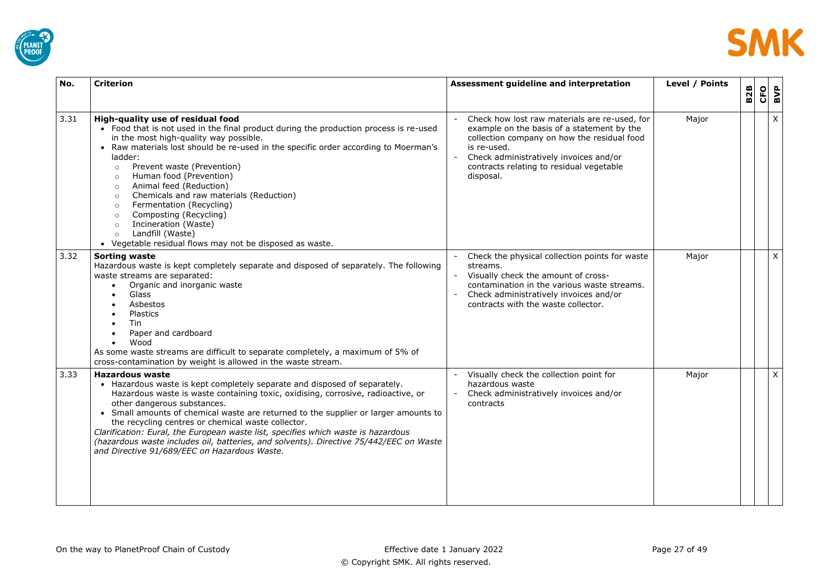



| No.  | <b>Criterion</b>                                                                                                                                                                                                                                                                                                                                                                                                                                                                                                                                                                                                                                            | Assessment guideline and interpretation                                                                                                                                                                                                                      | Level / Points | <b>B2B</b> | <b>CFO</b> | BVP |
|------|-------------------------------------------------------------------------------------------------------------------------------------------------------------------------------------------------------------------------------------------------------------------------------------------------------------------------------------------------------------------------------------------------------------------------------------------------------------------------------------------------------------------------------------------------------------------------------------------------------------------------------------------------------------|--------------------------------------------------------------------------------------------------------------------------------------------------------------------------------------------------------------------------------------------------------------|----------------|------------|------------|-----|
| 3.31 | High-quality use of residual food<br>• Food that is not used in the final product during the production process is re-used<br>in the most high-quality way possible.<br>• Raw materials lost should be re-used in the specific order according to Moerman's<br>ladder:<br>Prevent waste (Prevention)<br>$\circ$<br>Human food (Prevention)<br>$\circ$<br>Animal feed (Reduction)<br>$\circ$<br>Chemicals and raw materials (Reduction)<br>$\circ$<br>Fermentation (Recycling)<br>$\circ$<br>Composting (Recycling)<br>$\circ$<br>Incineration (Waste)<br>$\circ$<br>Landfill (Waste)<br>$\circ$<br>• Vegetable residual flows may not be disposed as waste. | Check how lost raw materials are re-used, for<br>example on the basis of a statement by the<br>collection company on how the residual food<br>is re-used.<br>Check administratively invoices and/or<br>contracts relating to residual vegetable<br>disposal. | Major          |            |            | X   |
| 3.32 | <b>Sorting waste</b><br>Hazardous waste is kept completely separate and disposed of separately. The following<br>waste streams are separated:<br>Organic and inorganic waste<br>Glass<br>Asbestos<br>Plastics<br>Tin<br>Paper and cardboard<br>Wood<br>$\bullet$<br>As some waste streams are difficult to separate completely, a maximum of 5% of<br>cross-contamination by weight is allowed in the waste stream.                                                                                                                                                                                                                                         | Check the physical collection points for waste<br>streams.<br>Visually check the amount of cross-<br>contamination in the various waste streams.<br>Check administratively invoices and/or<br>contracts with the waste collector.                            | Major          |            |            | X   |
| 3.33 | <b>Hazardous waste</b><br>• Hazardous waste is kept completely separate and disposed of separately.<br>Hazardous waste is waste containing toxic, oxidising, corrosive, radioactive, or<br>other dangerous substances.<br>• Small amounts of chemical waste are returned to the supplier or larger amounts to<br>the recycling centres or chemical waste collector.<br>Clarification: Eural, the European waste list, specifies which waste is hazardous<br>(hazardous waste includes oil, batteries, and solvents). Directive 75/442/EEC on Waste<br>and Directive 91/689/EEC on Hazardous Waste.                                                          | Visually check the collection point for<br>hazardous waste<br>Check administratively invoices and/or<br>contracts                                                                                                                                            | Major          |            |            | X   |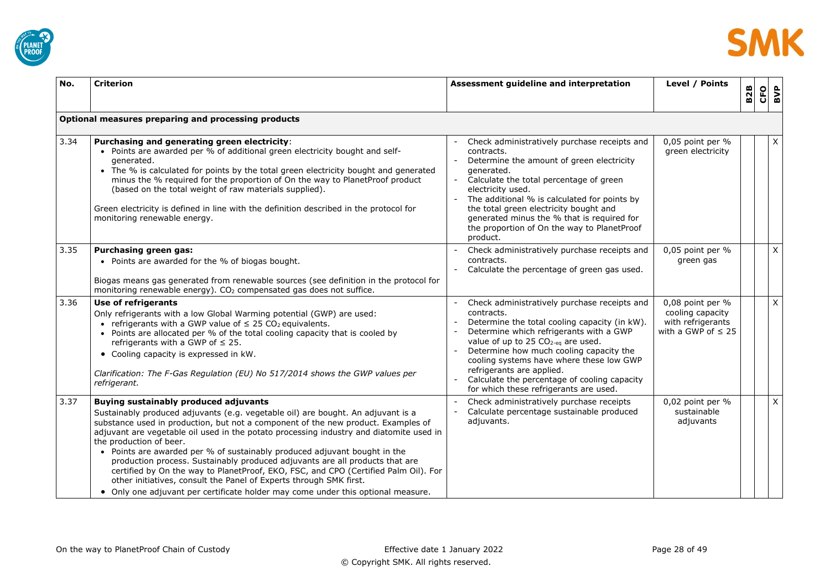



| No.  | <b>Criterion</b>                                                                                                                                                                                                                                                                                                                                                                                                                                                                                                                                                                                                                                                                                                                                          | Assessment guideline and interpretation                                                                                                                                                                                                                                                                                                                                                                                | Level / Points                                                                       | <b>B2B</b> | CFO | BVP          |
|------|-----------------------------------------------------------------------------------------------------------------------------------------------------------------------------------------------------------------------------------------------------------------------------------------------------------------------------------------------------------------------------------------------------------------------------------------------------------------------------------------------------------------------------------------------------------------------------------------------------------------------------------------------------------------------------------------------------------------------------------------------------------|------------------------------------------------------------------------------------------------------------------------------------------------------------------------------------------------------------------------------------------------------------------------------------------------------------------------------------------------------------------------------------------------------------------------|--------------------------------------------------------------------------------------|------------|-----|--------------|
|      | Optional measures preparing and processing products                                                                                                                                                                                                                                                                                                                                                                                                                                                                                                                                                                                                                                                                                                       |                                                                                                                                                                                                                                                                                                                                                                                                                        |                                                                                      |            |     |              |
| 3.34 | Purchasing and generating green electricity:<br>• Points are awarded per % of additional green electricity bought and self-<br>generated.<br>• The % is calculated for points by the total green electricity bought and generated<br>minus the % required for the proportion of On the way to PlanetProof product<br>(based on the total weight of raw materials supplied).<br>Green electricity is defined in line with the definition described in the protocol for<br>monitoring renewable energy.                                                                                                                                                                                                                                                     | Check administratively purchase receipts and<br>contracts.<br>Determine the amount of green electricity<br>generated.<br>Calculate the total percentage of green<br>electricity used.<br>The additional % is calculated for points by<br>the total green electricity bought and<br>generated minus the % that is required for<br>the proportion of On the way to PlanetProof<br>product.                               | 0,05 point per %<br>green electricity                                                |            |     | X            |
| 3.35 | Purchasing green gas:<br>• Points are awarded for the % of biogas bought.<br>Biogas means gas generated from renewable sources (see definition in the protocol for<br>monitoring renewable energy). CO <sub>2</sub> compensated gas does not suffice.                                                                                                                                                                                                                                                                                                                                                                                                                                                                                                     | Check administratively purchase receipts and<br>contracts.<br>Calculate the percentage of green gas used.                                                                                                                                                                                                                                                                                                              | 0,05 point per %<br>green gas                                                        |            |     | $\mathsf{X}$ |
| 3.36 | Use of refrigerants<br>Only refrigerants with a low Global Warming potential (GWP) are used:<br>• refrigerants with a GWP value of $\leq 25 \text{ CO}_2$ equivalents.<br>• Points are allocated per % of the total cooling capacity that is cooled by<br>refrigerants with a GWP of $\leq$ 25.<br>• Cooling capacity is expressed in kW.<br>Clarification: The F-Gas Regulation (EU) No 517/2014 shows the GWP values per<br>refrigerant.                                                                                                                                                                                                                                                                                                                | Check administratively purchase receipts and<br>contracts.<br>Determine the total cooling capacity (in kW).<br>Determine which refrigerants with a GWP<br>value of up to 25 CO <sub>2-eq</sub> are used.<br>Determine how much cooling capacity the<br>cooling systems have where these low GWP<br>refrigerants are applied.<br>Calculate the percentage of cooling capacity<br>for which these refrigerants are used. | 0,08 point per %<br>cooling capacity<br>with refrigerants<br>with a GWP of $\leq 25$ |            |     | $\times$     |
| 3.37 | <b>Buying sustainably produced adjuvants</b><br>Sustainably produced adjuvants (e.g. vegetable oil) are bought. An adjuvant is a<br>substance used in production, but not a component of the new product. Examples of<br>adjuvant are vegetable oil used in the potato processing industry and diatomite used in<br>the production of beer.<br>• Points are awarded per % of sustainably produced adjuvant bought in the<br>production process. Sustainably produced adjuvants are all products that are<br>certified by On the way to PlanetProof, EKO, FSC, and CPO (Certified Palm Oil). For<br>other initiatives, consult the Panel of Experts through SMK first.<br>. Only one adjuvant per certificate holder may come under this optional measure. | Check administratively purchase receipts<br>Calculate percentage sustainable produced<br>adjuvants.                                                                                                                                                                                                                                                                                                                    | 0,02 point per %<br>sustainable<br>adjuvants                                         |            |     | $\mathsf{X}$ |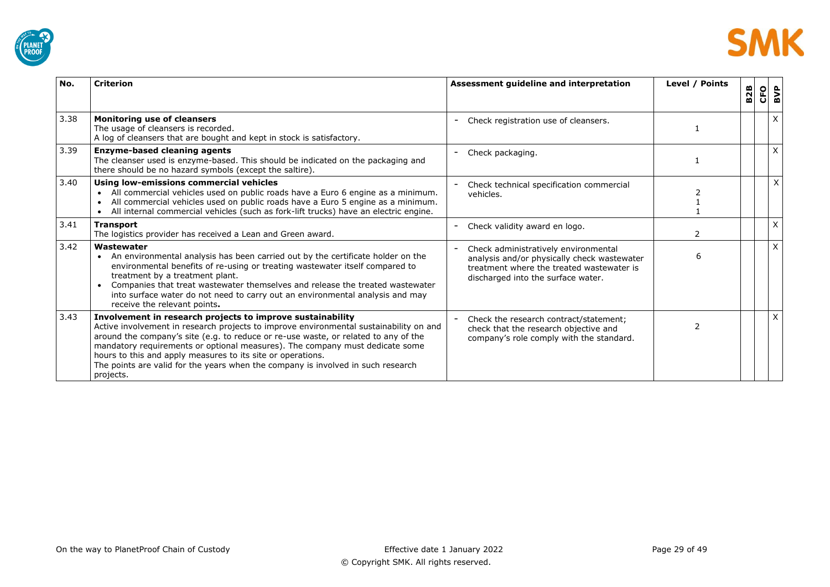



| No.  | <b>Criterion</b>                                                                                                                                                                                                                                                                                                                                                                                                                                                                            | Assessment guideline and interpretation                                                                                                                                | Level / Points | <b>B2B</b> | CFO | BVP      |
|------|---------------------------------------------------------------------------------------------------------------------------------------------------------------------------------------------------------------------------------------------------------------------------------------------------------------------------------------------------------------------------------------------------------------------------------------------------------------------------------------------|------------------------------------------------------------------------------------------------------------------------------------------------------------------------|----------------|------------|-----|----------|
| 3.38 | <b>Monitoring use of cleansers</b><br>The usage of cleansers is recorded.<br>A log of cleansers that are bought and kept in stock is satisfactory.                                                                                                                                                                                                                                                                                                                                          | Check registration use of cleansers.                                                                                                                                   |                |            |     | X        |
| 3.39 | <b>Enzyme-based cleaning agents</b><br>The cleanser used is enzyme-based. This should be indicated on the packaging and<br>there should be no hazard symbols (except the saltire).                                                                                                                                                                                                                                                                                                          | Check packaging.                                                                                                                                                       |                |            |     | $\times$ |
| 3.40 | Using low-emissions commercial vehicles<br>All commercial vehicles used on public roads have a Euro 6 engine as a minimum.<br>All commercial vehicles used on public roads have a Euro 5 engine as a minimum.<br>All internal commercial vehicles (such as fork-lift trucks) have an electric engine.                                                                                                                                                                                       | Check technical specification commercial<br>vehicles.                                                                                                                  |                |            |     | $\times$ |
| 3.41 | <b>Transport</b><br>The logistics provider has received a Lean and Green award.                                                                                                                                                                                                                                                                                                                                                                                                             | Check validity award en logo.                                                                                                                                          | $\mathcal{P}$  |            |     | X        |
| 3.42 | Wastewater<br>An environmental analysis has been carried out by the certificate holder on the<br>$\bullet$<br>environmental benefits of re-using or treating wastewater itself compared to<br>treatment by a treatment plant.<br>Companies that treat wastewater themselves and release the treated wastewater<br>$\bullet$<br>into surface water do not need to carry out an environmental analysis and may<br>receive the relevant points.                                                | Check administratively environmental<br>analysis and/or physically check wastewater<br>treatment where the treated wastewater is<br>discharged into the surface water. | 6              |            |     | $\times$ |
| 3.43 | Involvement in research projects to improve sustainability<br>Active involvement in research projects to improve environmental sustainability on and<br>around the company's site (e.g. to reduce or re-use waste, or related to any of the<br>mandatory requirements or optional measures). The company must dedicate some<br>hours to this and apply measures to its site or operations.<br>The points are valid for the years when the company is involved in such research<br>projects. | Check the research contract/statement;<br>check that the research objective and<br>company's role comply with the standard.                                            |                |            |     | $\times$ |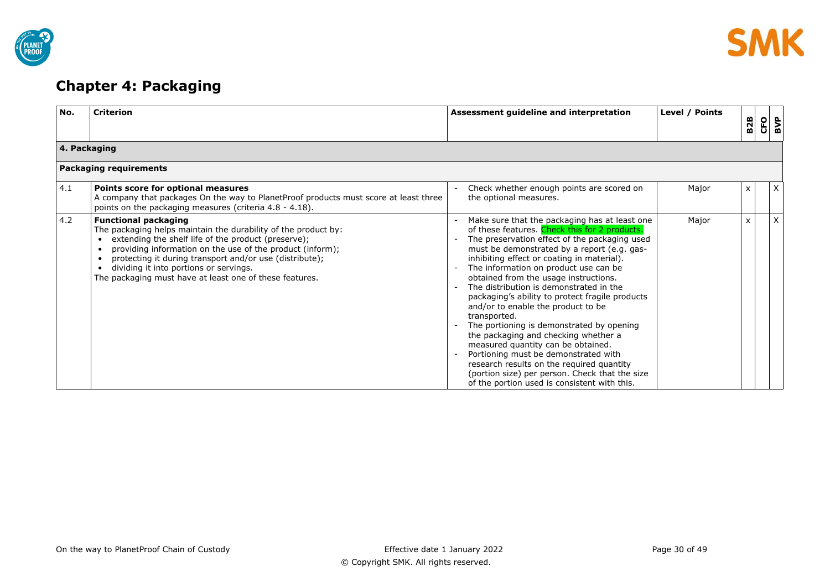



# <span id="page-29-0"></span>**Chapter 4: Packaging**

| No. | <b>Criterion</b>                                                                                                                                                                                                                                                                                                                                                                  | Assessment guideline and interpretation                                                                                                                                                                                                                                                                                                                                                                                                                                                                                                                                                                                                                                                                                                                                                              | Level / Points | <b>B2B</b> | CFO | $\frac{3}{2}$ |
|-----|-----------------------------------------------------------------------------------------------------------------------------------------------------------------------------------------------------------------------------------------------------------------------------------------------------------------------------------------------------------------------------------|------------------------------------------------------------------------------------------------------------------------------------------------------------------------------------------------------------------------------------------------------------------------------------------------------------------------------------------------------------------------------------------------------------------------------------------------------------------------------------------------------------------------------------------------------------------------------------------------------------------------------------------------------------------------------------------------------------------------------------------------------------------------------------------------------|----------------|------------|-----|---------------|
|     | 4. Packaging                                                                                                                                                                                                                                                                                                                                                                      |                                                                                                                                                                                                                                                                                                                                                                                                                                                                                                                                                                                                                                                                                                                                                                                                      |                |            |     |               |
|     | Packaging requirements                                                                                                                                                                                                                                                                                                                                                            |                                                                                                                                                                                                                                                                                                                                                                                                                                                                                                                                                                                                                                                                                                                                                                                                      |                |            |     |               |
| 4.1 | Points score for optional measures<br>A company that packages On the way to PlanetProof products must score at least three<br>points on the packaging measures (criteria 4.8 - 4.18).                                                                                                                                                                                             | Check whether enough points are scored on<br>the optional measures.                                                                                                                                                                                                                                                                                                                                                                                                                                                                                                                                                                                                                                                                                                                                  | Major          | x          |     | $\mathsf{X}$  |
| 4.2 | <b>Functional packaging</b><br>The packaging helps maintain the durability of the product by:<br>extending the shelf life of the product (preserve);<br>providing information on the use of the product (inform);<br>protecting it during transport and/or use (distribute);<br>dividing it into portions or servings.<br>The packaging must have at least one of these features. | Make sure that the packaging has at least one<br>of these features. Check this for 2 products.<br>The preservation effect of the packaging used<br>must be demonstrated by a report (e.g. gas-<br>inhibiting effect or coating in material).<br>The information on product use can be<br>obtained from the usage instructions.<br>The distribution is demonstrated in the<br>packaging's ability to protect fragile products<br>and/or to enable the product to be<br>transported.<br>The portioning is demonstrated by opening<br>the packaging and checking whether a<br>measured quantity can be obtained.<br>Portioning must be demonstrated with<br>research results on the required quantity<br>(portion size) per person. Check that the size<br>of the portion used is consistent with this. | Major          | X          |     | X             |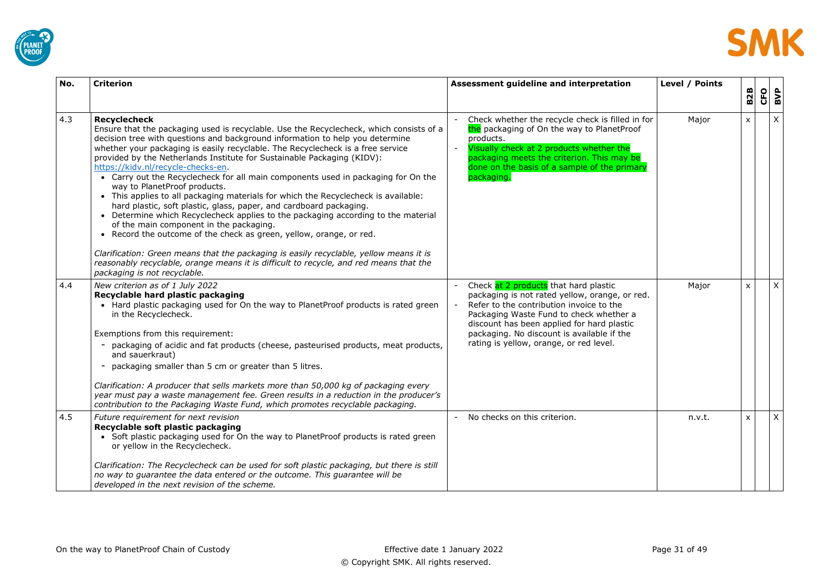



| No. | <b>Criterion</b>                                                                                                                                                                                                                                                                                                                                                                                                                                                                                                                                                                                                                                                                                                                                                                                                                                                                                                                                                                                                                                                                                                | Assessment guideline and interpretation                                                                                                                                                                                                                                                                               | Level / Points | <b>B2B</b>   | CFO | BVP |
|-----|-----------------------------------------------------------------------------------------------------------------------------------------------------------------------------------------------------------------------------------------------------------------------------------------------------------------------------------------------------------------------------------------------------------------------------------------------------------------------------------------------------------------------------------------------------------------------------------------------------------------------------------------------------------------------------------------------------------------------------------------------------------------------------------------------------------------------------------------------------------------------------------------------------------------------------------------------------------------------------------------------------------------------------------------------------------------------------------------------------------------|-----------------------------------------------------------------------------------------------------------------------------------------------------------------------------------------------------------------------------------------------------------------------------------------------------------------------|----------------|--------------|-----|-----|
| 4.3 | <b>Recyclecheck</b><br>Ensure that the packaging used is recyclable. Use the Recyclecheck, which consists of a<br>decision tree with questions and background information to help you determine<br>whether your packaging is easily recyclable. The Recyclecheck is a free service<br>provided by the Netherlands Institute for Sustainable Packaging (KIDV):<br>https://kidv.nl/recycle-checks-en-<br>• Carry out the Recyclecheck for all main components used in packaging for On the<br>way to PlanetProof products.<br>• This applies to all packaging materials for which the Recyclecheck is available:<br>hard plastic, soft plastic, glass, paper, and cardboard packaging.<br>• Determine which Recyclecheck applies to the packaging according to the material<br>of the main component in the packaging.<br>• Record the outcome of the check as green, yellow, orange, or red.<br>Clarification: Green means that the packaging is easily recyclable, yellow means it is<br>reasonably recyclable, orange means it is difficult to recycle, and red means that the<br>packaging is not recyclable. | Check whether the recycle check is filled in for<br>the packaging of On the way to PlanetProof<br>products.<br>Visually check at 2 products whether the<br>packaging meets the criterion. This may be<br>done on the basis of a sample of the primary<br>packaging.                                                   | Major          | $\mathsf{x}$ |     | X   |
| 4.4 | New criterion as of 1 July 2022<br>Recyclable hard plastic packaging<br>• Hard plastic packaging used for On the way to PlanetProof products is rated green<br>in the Recyclecheck.<br>Exemptions from this requirement:<br>- packaging of acidic and fat products (cheese, pasteurised products, meat products,<br>and sauerkraut)<br>- packaging smaller than 5 cm or greater than 5 litres.<br>Clarification: A producer that sells markets more than 50,000 kg of packaging every<br>year must pay a waste management fee. Green results in a reduction in the producer's<br>contribution to the Packaging Waste Fund, which promotes recyclable packaging.                                                                                                                                                                                                                                                                                                                                                                                                                                                 | Check at 2 products that hard plastic<br>packaging is not rated yellow, orange, or red.<br>Refer to the contribution invoice to the<br>Packaging Waste Fund to check whether a<br>discount has been applied for hard plastic<br>packaging. No discount is available if the<br>rating is yellow, orange, or red level. | Major          | $\mathsf{x}$ |     | X   |
| 4.5 | Future requirement for next revision<br>Recyclable soft plastic packaging<br>• Soft plastic packaging used for On the way to PlanetProof products is rated green<br>or yellow in the Recyclecheck.<br>Clarification: The Recyclecheck can be used for soft plastic packaging, but there is still<br>no way to guarantee the data entered or the outcome. This guarantee will be<br>developed in the next revision of the scheme.                                                                                                                                                                                                                                                                                                                                                                                                                                                                                                                                                                                                                                                                                | No checks on this criterion.                                                                                                                                                                                                                                                                                          | n.v.t.         | $\mathsf{x}$ |     | X   |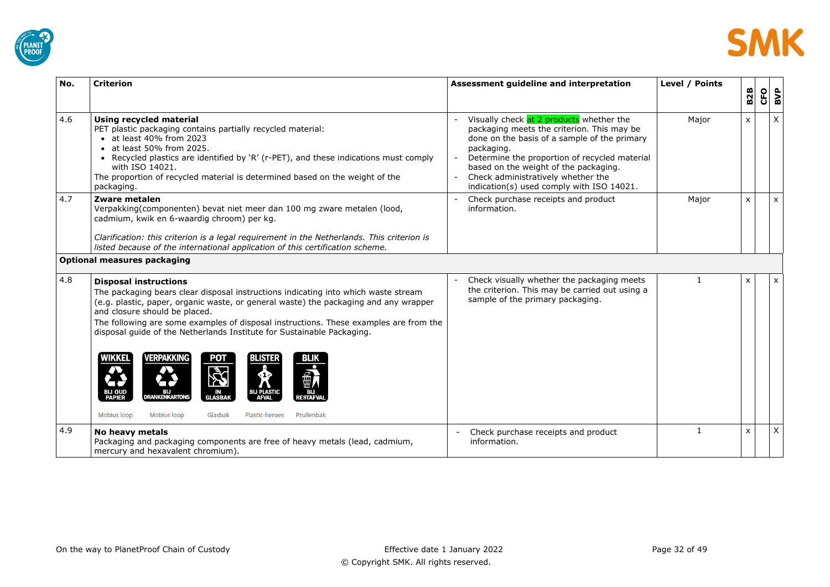



| No. | <b>Criterion</b>                                                                                                                                                                                                                                                                                                                                                                                                                                                                                                                                                                                                                                                                     | Assessment guideline and interpretation                                                                                                                                                                                                                                                                                           | Level / Points | <b>B2B</b>   | <b>CFO</b> | BVP            |
|-----|--------------------------------------------------------------------------------------------------------------------------------------------------------------------------------------------------------------------------------------------------------------------------------------------------------------------------------------------------------------------------------------------------------------------------------------------------------------------------------------------------------------------------------------------------------------------------------------------------------------------------------------------------------------------------------------|-----------------------------------------------------------------------------------------------------------------------------------------------------------------------------------------------------------------------------------------------------------------------------------------------------------------------------------|----------------|--------------|------------|----------------|
| 4.6 | Using recycled material<br>PET plastic packaging contains partially recycled material:<br>• at least 40% from 2023<br>• at least 50% from 2025.<br>• Recycled plastics are identified by 'R' (r-PET), and these indications must comply<br>with ISO 14021.<br>The proportion of recycled material is determined based on the weight of the<br>packaging.                                                                                                                                                                                                                                                                                                                             | Visually check at 2 products whether the<br>packaging meets the criterion. This may be<br>done on the basis of a sample of the primary<br>packaging.<br>Determine the proportion of recycled material<br>based on the weight of the packaging.<br>Check administratively whether the<br>indication(s) used comply with ISO 14021. | Major          | $\mathsf{x}$ |            | $\pmb{\times}$ |
| 4.7 | Zware metalen<br>Verpakking(componenten) bevat niet meer dan 100 mg zware metalen (lood,<br>cadmium, kwik en 6-waardig chroom) per kg.<br>Clarification: this criterion is a legal requirement in the Netherlands. This criterion is<br>listed because of the international application of this certification scheme.                                                                                                                                                                                                                                                                                                                                                                | Check purchase receipts and product<br>information.                                                                                                                                                                                                                                                                               | Major          | $\mathsf{x}$ |            | X              |
|     | <b>Optional measures packaging</b>                                                                                                                                                                                                                                                                                                                                                                                                                                                                                                                                                                                                                                                   |                                                                                                                                                                                                                                                                                                                                   |                |              |            |                |
| 4.8 | <b>Disposal instructions</b><br>The packaging bears clear disposal instructions indicating into which waste stream<br>(e.g. plastic, paper, organic waste, or general waste) the packaging and any wrapper<br>and closure should be placed.<br>The following are some examples of disposal instructions. These examples are from the<br>disposal guide of the Netherlands Institute for Sustainable Packaging.<br>WIKKEL<br>VERPAKKING<br><b>BLISTER</b><br>$\boldsymbol{\lambda}$<br>W)<br>œ<br><b>BIJ OUD<br/>PAPIER</b><br>BIJ<br>IJ PLASTI<br>DRANKENKARTONS<br><b>GLASBAK</b><br><b>RESTAFV</b><br>Mobius loop<br><b>Mobius loop</b><br>Prullenbak<br>Glasbak<br>Plastic-heroes | Check visually whether the packaging meets<br>the criterion. This may be carried out using a<br>sample of the primary packaging.                                                                                                                                                                                                  | 1              | X            |            | X              |
|     |                                                                                                                                                                                                                                                                                                                                                                                                                                                                                                                                                                                                                                                                                      |                                                                                                                                                                                                                                                                                                                                   |                |              |            |                |
| 4.9 | No heavy metals<br>Packaging and packaging components are free of heavy metals (lead, cadmium,<br>mercury and hexavalent chromium).                                                                                                                                                                                                                                                                                                                                                                                                                                                                                                                                                  | Check purchase receipts and product<br>information.                                                                                                                                                                                                                                                                               | 1              | X            |            | $\pmb{\times}$ |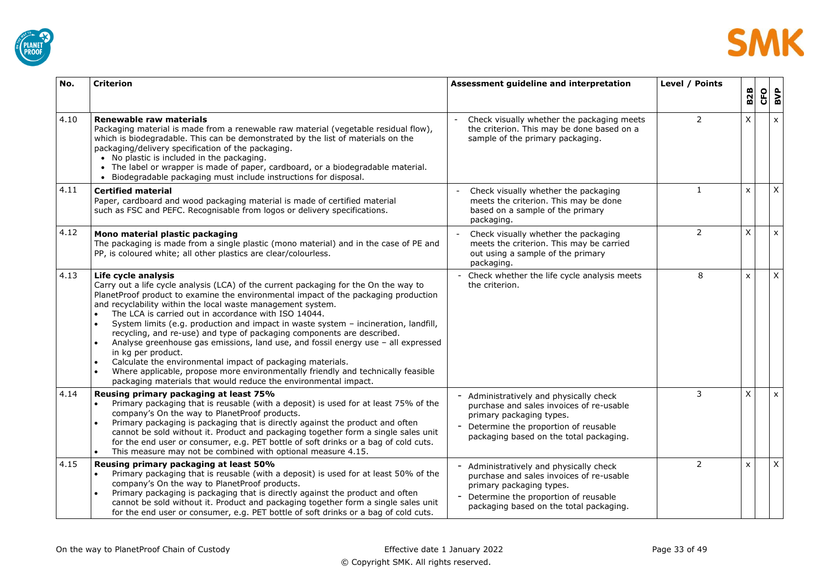



| No.  | <b>Criterion</b>                                                                                                                                                                                                                                                                                                                                                                                                                                                                                                                                                                                                                                                                                                                                                                                                           | Assessment guideline and interpretation                                                                                                                                                          | Level / Points | <b>B2B</b>                | CFO | BVP            |
|------|----------------------------------------------------------------------------------------------------------------------------------------------------------------------------------------------------------------------------------------------------------------------------------------------------------------------------------------------------------------------------------------------------------------------------------------------------------------------------------------------------------------------------------------------------------------------------------------------------------------------------------------------------------------------------------------------------------------------------------------------------------------------------------------------------------------------------|--------------------------------------------------------------------------------------------------------------------------------------------------------------------------------------------------|----------------|---------------------------|-----|----------------|
| 4.10 | Renewable raw materials<br>Packaging material is made from a renewable raw material (vegetable residual flow),<br>which is biodegradable. This can be demonstrated by the list of materials on the<br>packaging/delivery specification of the packaging.<br>• No plastic is included in the packaging.<br>• The label or wrapper is made of paper, cardboard, or a biodegradable material.<br>Biodegradable packaging must include instructions for disposal.                                                                                                                                                                                                                                                                                                                                                              | Check visually whether the packaging meets<br>the criterion. This may be done based on a<br>sample of the primary packaging.                                                                     | $\overline{2}$ | X                         |     | $\pmb{\chi}$   |
| 4.11 | <b>Certified material</b><br>Paper, cardboard and wood packaging material is made of certified material<br>such as FSC and PEFC. Recognisable from logos or delivery specifications.                                                                                                                                                                                                                                                                                                                                                                                                                                                                                                                                                                                                                                       | Check visually whether the packaging<br>meets the criterion. This may be done<br>based on a sample of the primary<br>packaging.                                                                  | 1              | X                         |     | $\mathsf X$    |
| 4.12 | Mono material plastic packaging<br>The packaging is made from a single plastic (mono material) and in the case of PE and<br>PP, is coloured white; all other plastics are clear/colourless.                                                                                                                                                                                                                                                                                                                                                                                                                                                                                                                                                                                                                                | Check visually whether the packaging<br>meets the criterion. This may be carried<br>out using a sample of the primary<br>packaging.                                                              | 2              | X                         |     | $\pmb{\chi}$   |
| 4.13 | Life cycle analysis<br>Carry out a life cycle analysis (LCA) of the current packaging for the On the way to<br>PlanetProof product to examine the environmental impact of the packaging production<br>and recyclability within the local waste management system.<br>The LCA is carried out in accordance with ISO 14044.<br>System limits (e.g. production and impact in waste system - incineration, landfill,<br>recycling, and re-use) and type of packaging components are described.<br>Analyse greenhouse gas emissions, land use, and fossil energy use - all expressed<br>in kg per product.<br>Calculate the environmental impact of packaging materials.<br>Where applicable, propose more environmentally friendly and technically feasible<br>packaging materials that would reduce the environmental impact. | Check whether the life cycle analysis meets<br>the criterion.                                                                                                                                    | 8              | $\boldsymbol{\mathsf{x}}$ |     | X              |
| 4.14 | Reusing primary packaging at least 75%<br>Primary packaging that is reusable (with a deposit) is used for at least 75% of the<br>company's On the way to PlanetProof products.<br>Primary packaging is packaging that is directly against the product and often<br>cannot be sold without it. Product and packaging together form a single sales unit<br>for the end user or consumer, e.g. PET bottle of soft drinks or a bag of cold cuts.<br>This measure may not be combined with optional measure 4.15.<br>$\bullet$                                                                                                                                                                                                                                                                                                  | Administratively and physically check<br>purchase and sales invoices of re-usable<br>primary packaging types.<br>Determine the proportion of reusable<br>packaging based on the total packaging. | 3              | X                         |     | $\pmb{\times}$ |
| 4.15 | Reusing primary packaging at least 50%<br>Primary packaging that is reusable (with a deposit) is used for at least 50% of the<br>company's On the way to PlanetProof products.<br>Primary packaging is packaging that is directly against the product and often<br>cannot be sold without it. Product and packaging together form a single sales unit<br>for the end user or consumer, e.g. PET bottle of soft drinks or a bag of cold cuts.                                                                                                                                                                                                                                                                                                                                                                               | Administratively and physically check<br>purchase and sales invoices of re-usable<br>primary packaging types.<br>Determine the proportion of reusable<br>packaging based on the total packaging. | $\overline{2}$ | $\mathsf{x}$              |     | $\pmb{\times}$ |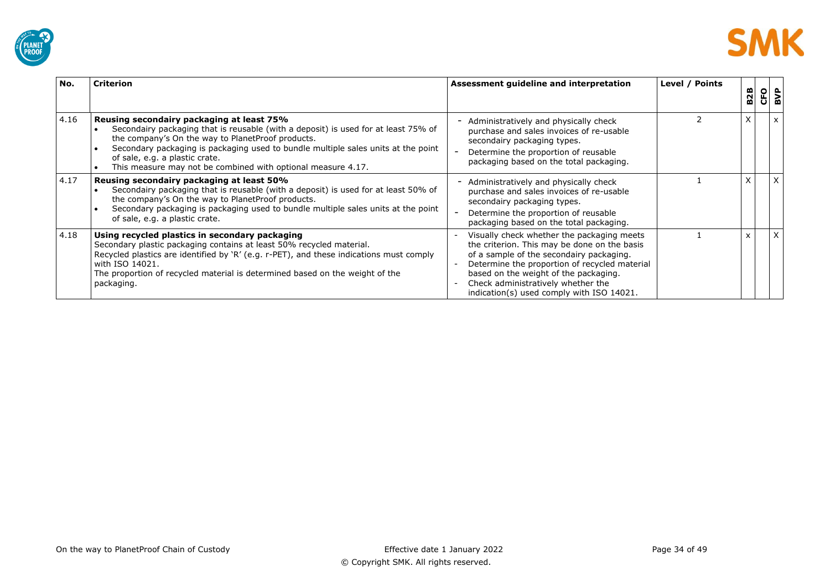



| No.  | <b>Criterion</b>                                                                                                                                                                                                                                                                                                                                                             | Assessment guideline and interpretation                                                                                                                                                                                                                                                                             | Level / Points | <b>B2B</b> | <b>CFO</b> | BVP |
|------|------------------------------------------------------------------------------------------------------------------------------------------------------------------------------------------------------------------------------------------------------------------------------------------------------------------------------------------------------------------------------|---------------------------------------------------------------------------------------------------------------------------------------------------------------------------------------------------------------------------------------------------------------------------------------------------------------------|----------------|------------|------------|-----|
| 4.16 | Reusing secondairy packaging at least 75%<br>Secondairy packaging that is reusable (with a deposit) is used for at least 75% of<br>the company's On the way to Planet Proof products.<br>Secondary packaging is packaging used to bundle multiple sales units at the point<br>of sale, e.g. a plastic crate.<br>This measure may not be combined with optional measure 4.17. | Administratively and physically check<br>purchase and sales invoices of re-usable<br>secondairy packaging types.<br>Determine the proportion of reusable<br>packaging based on the total packaging.                                                                                                                 |                | v          |            |     |
| 4.17 | Reusing secondairy packaging at least 50%<br>Secondairy packaging that is reusable (with a deposit) is used for at least 50% of<br>the company's On the way to Planet Proof products.<br>Secondary packaging is packaging used to bundle multiple sales units at the point<br>of sale, e.g. a plastic crate.                                                                 | Administratively and physically check<br>purchase and sales invoices of re-usable<br>secondairy packaging types.<br>Determine the proportion of reusable<br>packaging based on the total packaging.                                                                                                                 |                |            |            | X   |
| 4.18 | Using recycled plastics in secondary packaging<br>Secondary plastic packaging contains at least 50% recycled material.<br>Recycled plastics are identified by 'R' (e.g. r-PET), and these indications must comply<br>with ISO 14021.<br>The proportion of recycled material is determined based on the weight of the<br>packaging.                                           | Visually check whether the packaging meets<br>the criterion. This may be done on the basis<br>of a sample of the secondairy packaging.<br>Determine the proportion of recycled material<br>based on the weight of the packaging.<br>Check administratively whether the<br>indication(s) used comply with ISO 14021. |                | X          |            | X   |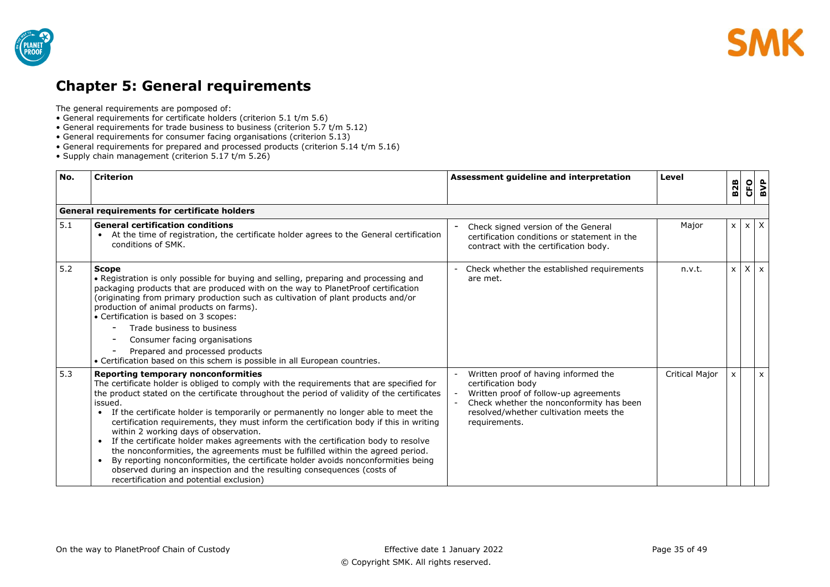



# <span id="page-34-0"></span>**Chapter 5: General requirements**

The general requirements are pomposed of:

- General requirements for certificate holders (criterion 5.1 t/m 5.6)
- General requirements for trade business to business (criterion 5.7 t/m 5.12)
- General requirements for consumer facing organisations (criterion 5.13)
- General requirements for prepared and processed products (criterion 5.14 t/m 5.16)
- Supply chain management (criterion 5.17 t/m 5.26)

| No. | <b>Criterion</b>                                                                                                                                                                                                                                                                                                                                                                                                                                                                                                                                                                                                                                                                                                                                                                                                                                                                                    | Assessment guideline and interpretation                                                                                                                                                                    | Level                 | <b>B2B</b>   | CFO | BVP          |
|-----|-----------------------------------------------------------------------------------------------------------------------------------------------------------------------------------------------------------------------------------------------------------------------------------------------------------------------------------------------------------------------------------------------------------------------------------------------------------------------------------------------------------------------------------------------------------------------------------------------------------------------------------------------------------------------------------------------------------------------------------------------------------------------------------------------------------------------------------------------------------------------------------------------------|------------------------------------------------------------------------------------------------------------------------------------------------------------------------------------------------------------|-----------------------|--------------|-----|--------------|
|     | <b>General requirements for certificate holders</b>                                                                                                                                                                                                                                                                                                                                                                                                                                                                                                                                                                                                                                                                                                                                                                                                                                                 |                                                                                                                                                                                                            |                       |              |     |              |
| 5.1 | <b>General certification conditions</b><br>At the time of registration, the certificate holder agrees to the General certification<br>conditions of SMK.                                                                                                                                                                                                                                                                                                                                                                                                                                                                                                                                                                                                                                                                                                                                            | Check signed version of the General<br>certification conditions or statement in the<br>contract with the certification body.                                                                               | Major                 | $\times$     |     | $x \mid X$   |
| 5.2 | <b>Scope</b><br>• Registration is only possible for buying and selling, preparing and processing and<br>packaging products that are produced with on the way to PlanetProof certification<br>(originating from primary production such as cultivation of plant products and/or<br>production of animal products on farms).<br>• Certification is based on 3 scopes:<br>Trade business to business<br>Consumer facing organisations<br>Prepared and processed products<br>• Certification based on this schem is possible in all European countries.                                                                                                                                                                                                                                                                                                                                                 | Check whether the established requirements<br>are met.                                                                                                                                                     | n.v.t.                | $\mathsf{x}$ |     | $X \times$   |
| 5.3 | <b>Reporting temporary nonconformities</b><br>The certificate holder is obliged to comply with the requirements that are specified for<br>the product stated on the certificate throughout the period of validity of the certificates<br>issued.<br>If the certificate holder is temporarily or permanently no longer able to meet the<br>$\bullet$<br>certification requirements, they must inform the certification body if this in writing<br>within 2 working days of observation.<br>If the certificate holder makes agreements with the certification body to resolve<br>$\bullet$<br>the nonconformities, the agreements must be fulfilled within the agreed period.<br>By reporting nonconformities, the certificate holder avoids nonconformities being<br>$\bullet$<br>observed during an inspection and the resulting consequences (costs of<br>recertification and potential exclusion) | Written proof of having informed the<br>certification body<br>Written proof of follow-up agreements<br>Check whether the nonconformity has been<br>resolved/whether cultivation meets the<br>requirements. | <b>Critical Major</b> | $\times$     |     | $\mathsf{x}$ |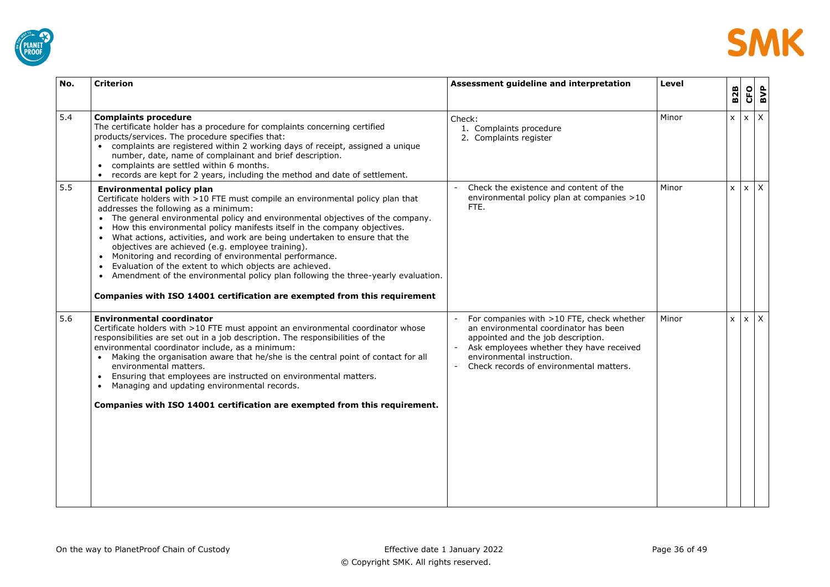



| No. | <b>Criterion</b>                                                                                                                                                                                                                                                                                                                                                                                                                                                                                                                                                                                                                                                                                                                                                        | Assessment guideline and interpretation                                                                                                                                                                                                       | Level | <b>B2B</b>   | <b>CFO</b> | BVP |
|-----|-------------------------------------------------------------------------------------------------------------------------------------------------------------------------------------------------------------------------------------------------------------------------------------------------------------------------------------------------------------------------------------------------------------------------------------------------------------------------------------------------------------------------------------------------------------------------------------------------------------------------------------------------------------------------------------------------------------------------------------------------------------------------|-----------------------------------------------------------------------------------------------------------------------------------------------------------------------------------------------------------------------------------------------|-------|--------------|------------|-----|
| 5.4 | <b>Complaints procedure</b><br>The certificate holder has a procedure for complaints concerning certified<br>products/services. The procedure specifies that:<br>• complaints are registered within 2 working days of receipt, assigned a unique<br>number, date, name of complainant and brief description.<br>complaints are settled within 6 months.<br>records are kept for 2 years, including the method and date of settlement.                                                                                                                                                                                                                                                                                                                                   | Check:<br>1. Complaints procedure<br>2. Complaints register                                                                                                                                                                                   | Minor | $\mathsf{x}$ | $x \mid X$ |     |
| 5.5 | <b>Environmental policy plan</b><br>Certificate holders with >10 FTE must compile an environmental policy plan that<br>addresses the following as a minimum:<br>• The general environmental policy and environmental objectives of the company.<br>• How this environmental policy manifests itself in the company objectives.<br>What actions, activities, and work are being undertaken to ensure that the<br>objectives are achieved (e.g. employee training).<br>• Monitoring and recording of environmental performance.<br>Evaluation of the extent to which objects are achieved.<br>Amendment of the environmental policy plan following the three-yearly evaluation.<br>$\bullet$<br>Companies with ISO 14001 certification are exempted from this requirement | Check the existence and content of the<br>environmental policy plan at companies >10<br>FTE.                                                                                                                                                  | Minor | $\mathsf{x}$ | $x \mid X$ |     |
| 5.6 | <b>Environmental coordinator</b><br>Certificate holders with >10 FTE must appoint an environmental coordinator whose<br>responsibilities are set out in a job description. The responsibilities of the<br>environmental coordinator include, as a minimum:<br>Making the organisation aware that he/she is the central point of contact for all<br>$\bullet$<br>environmental matters.<br>Ensuring that employees are instructed on environmental matters.<br>Managing and updating environmental records.<br>$\bullet$<br>Companies with ISO 14001 certification are exempted from this requirement.                                                                                                                                                                   | For companies with >10 FTE, check whether<br>an environmental coordinator has been<br>appointed and the job description.<br>Ask employees whether they have received<br>environmental instruction.<br>Check records of environmental matters. | Minor | $\mathsf{x}$ | $x \mid X$ |     |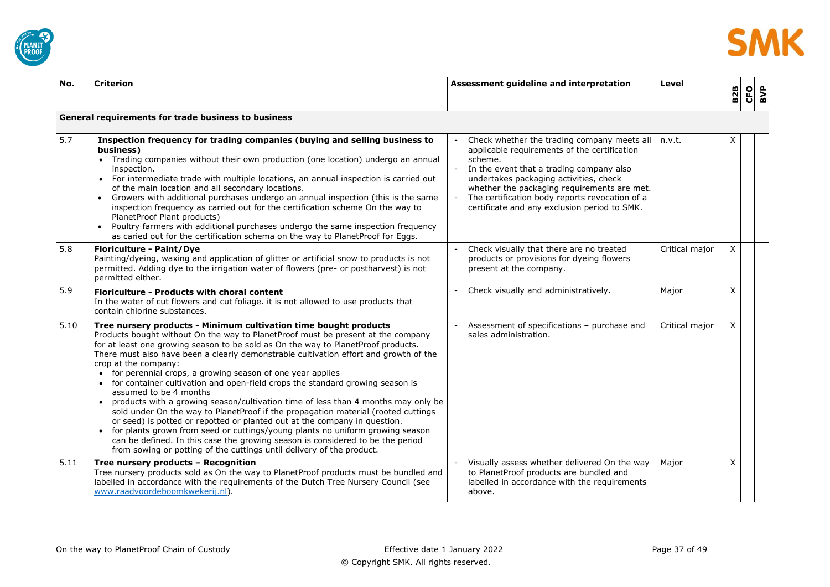



| No.  | <b>Criterion</b>                                                                                                                                                                                                                                                                                                                                                                                                                                                                                                                                                                                                                                                                                                                                                                                                                                                                                                                                                                                                                            | Assessment guideline and interpretation                                                                                                                                                                                                                                                                                                       | Level          | <b>B2B</b>   | <b>CFO</b> | BVP |
|------|---------------------------------------------------------------------------------------------------------------------------------------------------------------------------------------------------------------------------------------------------------------------------------------------------------------------------------------------------------------------------------------------------------------------------------------------------------------------------------------------------------------------------------------------------------------------------------------------------------------------------------------------------------------------------------------------------------------------------------------------------------------------------------------------------------------------------------------------------------------------------------------------------------------------------------------------------------------------------------------------------------------------------------------------|-----------------------------------------------------------------------------------------------------------------------------------------------------------------------------------------------------------------------------------------------------------------------------------------------------------------------------------------------|----------------|--------------|------------|-----|
|      |                                                                                                                                                                                                                                                                                                                                                                                                                                                                                                                                                                                                                                                                                                                                                                                                                                                                                                                                                                                                                                             |                                                                                                                                                                                                                                                                                                                                               |                |              |            |     |
|      | General requirements for trade business to business                                                                                                                                                                                                                                                                                                                                                                                                                                                                                                                                                                                                                                                                                                                                                                                                                                                                                                                                                                                         |                                                                                                                                                                                                                                                                                                                                               |                |              |            |     |
| 5.7  | Inspection frequency for trading companies (buying and selling business to<br>business)<br>• Trading companies without their own production (one location) undergo an annual<br>inspection.<br>• For intermediate trade with multiple locations, an annual inspection is carried out<br>of the main location and all secondary locations.<br>Growers with additional purchases undergo an annual inspection (this is the same<br>$\bullet$<br>inspection frequency as carried out for the certification scheme On the way to<br>PlanetProof Plant products)<br>• Poultry farmers with additional purchases undergo the same inspection frequency<br>as caried out for the certification schema on the way to PlanetProof for Eggs.                                                                                                                                                                                                                                                                                                          | Check whether the trading company meets all<br>applicable requirements of the certification<br>scheme.<br>In the event that a trading company also<br>undertakes packaging activities, check<br>whether the packaging requirements are met.<br>The certification body reports revocation of a<br>certificate and any exclusion period to SMK. | n.v.t.         | X            |            |     |
| 5.8  | <b>Floriculture - Paint/Dye</b><br>Painting/dyeing, waxing and application of glitter or artificial snow to products is not<br>permitted. Adding dye to the irrigation water of flowers (pre- or postharvest) is not<br>permitted either.                                                                                                                                                                                                                                                                                                                                                                                                                                                                                                                                                                                                                                                                                                                                                                                                   | Check visually that there are no treated<br>products or provisions for dyeing flowers<br>present at the company.                                                                                                                                                                                                                              | Critical major | X            |            |     |
| 5.9  | <b>Floriculture - Products with choral content</b><br>In the water of cut flowers and cut foliage. it is not allowed to use products that<br>contain chlorine substances.                                                                                                                                                                                                                                                                                                                                                                                                                                                                                                                                                                                                                                                                                                                                                                                                                                                                   | - Check visually and administratively.                                                                                                                                                                                                                                                                                                        | Major          | $\mathsf{X}$ |            |     |
| 5.10 | Tree nursery products - Minimum cultivation time bought products<br>Products bought without On the way to PlanetProof must be present at the company<br>for at least one growing season to be sold as On the way to PlanetProof products.<br>There must also have been a clearly demonstrable cultivation effort and growth of the<br>crop at the company:<br>• for perennial crops, a growing season of one year applies<br>• for container cultivation and open-field crops the standard growing season is<br>assumed to be 4 months<br>products with a growing season/cultivation time of less than 4 months may only be<br>sold under On the way to PlanetProof if the propagation material (rooted cuttings<br>or seed) is potted or repotted or planted out at the company in question.<br>• for plants grown from seed or cuttings/young plants no uniform growing season<br>can be defined. In this case the growing season is considered to be the period<br>from sowing or potting of the cuttings until delivery of the product. | Assessment of specifications - purchase and<br>sales administration.                                                                                                                                                                                                                                                                          | Critical major | $\times$     |            |     |
| 5.11 | Tree nursery products - Recognition<br>Tree nursery products sold as On the way to PlanetProof products must be bundled and<br>labelled in accordance with the requirements of the Dutch Tree Nursery Council (see<br>www.raadvoordeboomkwekerij.nl)                                                                                                                                                                                                                                                                                                                                                                                                                                                                                                                                                                                                                                                                                                                                                                                        | Visually assess whether delivered On the way<br>to PlanetProof products are bundled and<br>labelled in accordance with the requirements<br>above.                                                                                                                                                                                             | Major          | X            |            |     |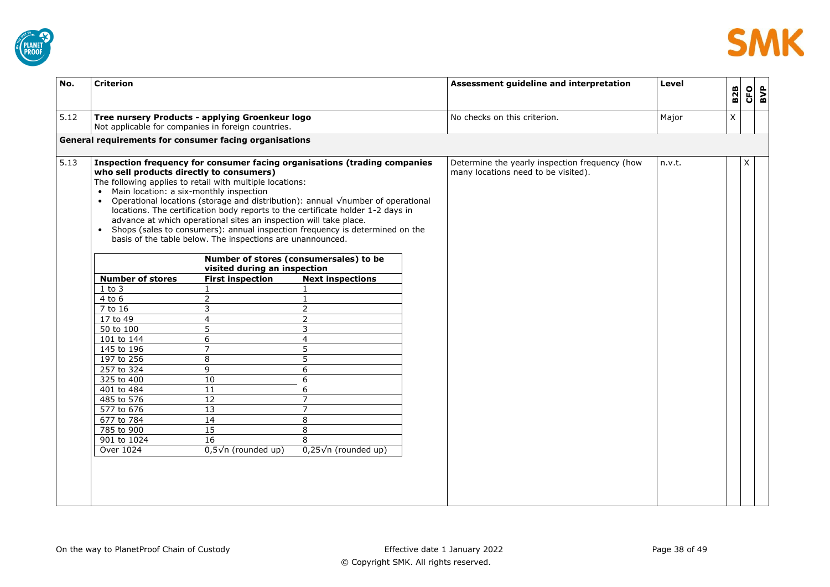



| No.  | <b>Criterion</b>                                                                                                                                                                                                                                                                                                                                                                                                                                      |                                                                                                                                                                                                                                                                                                                                                                                 |                                                                                                                                                                                                                                                                                                                                                                                                                                                                                                                                                                                            | Assessment guideline and interpretation                                               | Level  | <b>B2B</b> | <b>CFO</b> | BVP |
|------|-------------------------------------------------------------------------------------------------------------------------------------------------------------------------------------------------------------------------------------------------------------------------------------------------------------------------------------------------------------------------------------------------------------------------------------------------------|---------------------------------------------------------------------------------------------------------------------------------------------------------------------------------------------------------------------------------------------------------------------------------------------------------------------------------------------------------------------------------|--------------------------------------------------------------------------------------------------------------------------------------------------------------------------------------------------------------------------------------------------------------------------------------------------------------------------------------------------------------------------------------------------------------------------------------------------------------------------------------------------------------------------------------------------------------------------------------------|---------------------------------------------------------------------------------------|--------|------------|------------|-----|
| 5.12 | Tree nursery Products - applying Groenkeur logo<br>Not applicable for companies in foreign countries.                                                                                                                                                                                                                                                                                                                                                 |                                                                                                                                                                                                                                                                                                                                                                                 |                                                                                                                                                                                                                                                                                                                                                                                                                                                                                                                                                                                            | No checks on this criterion.                                                          | Major  | X          |            |     |
|      | General requirements for consumer facing organisations                                                                                                                                                                                                                                                                                                                                                                                                |                                                                                                                                                                                                                                                                                                                                                                                 |                                                                                                                                                                                                                                                                                                                                                                                                                                                                                                                                                                                            |                                                                                       |        |            |            |     |
| 5.13 | who sell products directly to consumers)<br>The following applies to retail with multiple locations:<br>Main location: a six-monthly inspection<br>$\bullet$<br>$\bullet$<br>$\bullet$<br><b>Number of stores</b><br>$1$ to $3$<br>4 to 6<br>7 to 16<br>17 to 49<br>50 to 100<br>101 to 144<br>145 to 196<br>197 to 256<br>257 to 324<br>325 to 400<br>401 to 484<br>485 to 576<br>577 to 676<br>677 to 784<br>785 to 900<br>901 to 1024<br>Over 1024 | advance at which operational sites an inspection will take place.<br>basis of the table below. The inspections are unannounced.<br>visited during an inspection<br><b>First inspection</b><br>2<br>3<br>$\overline{4}$<br>5<br>6<br>$\overline{7}$<br>$\overline{8}$<br>9<br>10<br>$11\,$<br>12<br>$\overline{13}$<br>14<br>15<br>$\overline{16}$<br>$0,5\sqrt{n}$ (rounded up) | Inspection frequency for consumer facing organisations (trading companies<br>Operational locations (storage and distribution): annual $\sqrt{\ }$ number of operational<br>locations. The certification body reports to the certificate holder 1-2 days in<br>Shops (sales to consumers): annual inspection frequency is determined on the<br>Number of stores (consumersales) to be<br><b>Next inspections</b><br>1<br>$\overline{2}$<br>$\overline{2}$<br>3<br>4<br>5<br>5<br>6<br>$\overline{6}$<br>6<br>$\overline{7}$<br>$\overline{7}$<br>8<br>8<br>8<br>$0,25\sqrt{n}$ (rounded up) | Determine the yearly inspection frequency (how<br>many locations need to be visited). | n.v.t. |            | X          |     |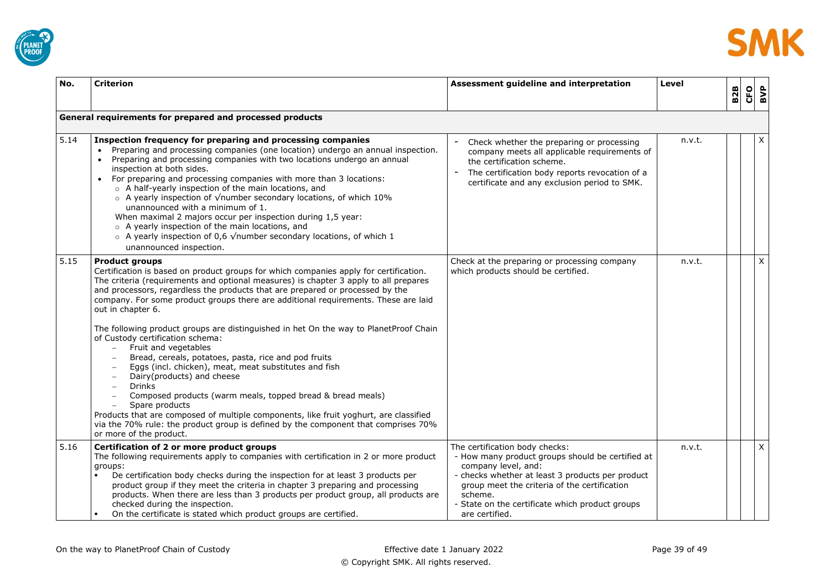



| No.  | <b>Criterion</b>                                                                                                                                                                                                                                                                                                                                                                                                                                                                                                                                                                                                                                                                                                                                                                                                                                                                                                                                                                                                                                                                                           | Assessment guideline and interpretation                                                                                                                                                                                                                                                     | Level  | <b>B2B</b> | CFO | BVP          |
|------|------------------------------------------------------------------------------------------------------------------------------------------------------------------------------------------------------------------------------------------------------------------------------------------------------------------------------------------------------------------------------------------------------------------------------------------------------------------------------------------------------------------------------------------------------------------------------------------------------------------------------------------------------------------------------------------------------------------------------------------------------------------------------------------------------------------------------------------------------------------------------------------------------------------------------------------------------------------------------------------------------------------------------------------------------------------------------------------------------------|---------------------------------------------------------------------------------------------------------------------------------------------------------------------------------------------------------------------------------------------------------------------------------------------|--------|------------|-----|--------------|
|      | General requirements for prepared and processed products                                                                                                                                                                                                                                                                                                                                                                                                                                                                                                                                                                                                                                                                                                                                                                                                                                                                                                                                                                                                                                                   |                                                                                                                                                                                                                                                                                             |        |            |     |              |
| 5.14 | Inspection frequency for preparing and processing companies<br>Preparing and processing companies (one location) undergo an annual inspection.<br>Preparing and processing companies with two locations undergo an annual<br>inspection at both sides.<br>For preparing and processing companies with more than 3 locations:<br>$\bullet$<br>○ A half-yearly inspection of the main locations, and<br>$\circ$ A yearly inspection of $\sqrt{\ }$ number secondary locations, of which 10%<br>unannounced with a minimum of 1.<br>When maximal 2 majors occur per inspection during 1,5 year:<br>o A yearly inspection of the main locations, and<br>$\circ$ A yearly inspection of 0,6 $\sqrt$ number secondary locations, of which 1<br>unannounced inspection.                                                                                                                                                                                                                                                                                                                                           | Check whether the preparing or processing<br>company meets all applicable requirements of<br>the certification scheme.<br>The certification body reports revocation of a<br>certificate and any exclusion period to SMK.                                                                    | n.v.t. |            |     | X            |
| 5.15 | <b>Product groups</b><br>Certification is based on product groups for which companies apply for certification.<br>The criteria (requirements and optional measures) is chapter 3 apply to all prepares<br>and processors, regardless the products that are prepared or processed by the<br>company. For some product groups there are additional requirements. These are laid<br>out in chapter 6.<br>The following product groups are distinguished in het On the way to PlanetProof Chain<br>of Custody certification schema:<br>Fruit and vegetables<br>$\equiv$<br>Bread, cereals, potatoes, pasta, rice and pod fruits<br>$\overline{\phantom{0}}$<br>Eggs (incl. chicken), meat, meat substitutes and fish<br>Dairy(products) and cheese<br><b>Drinks</b><br>$\overline{\phantom{0}}$<br>Composed products (warm meals, topped bread & bread meals)<br>Spare products<br>$\qquad \qquad -$<br>Products that are composed of multiple components, like fruit yoghurt, are classified<br>via the 70% rule: the product group is defined by the component that comprises 70%<br>or more of the product. | Check at the preparing or processing company<br>which products should be certified.                                                                                                                                                                                                         | n.v.t. |            |     | $\mathsf{X}$ |
| 5.16 | Certification of 2 or more product groups<br>The following requirements apply to companies with certification in 2 or more product<br>groups:<br>De certification body checks during the inspection for at least 3 products per<br>product group if they meet the criteria in chapter 3 preparing and processing<br>products. When there are less than 3 products per product group, all products are<br>checked during the inspection.<br>On the certificate is stated which product groups are certified.                                                                                                                                                                                                                                                                                                                                                                                                                                                                                                                                                                                                | The certification body checks:<br>- How many product groups should be certified at<br>company level, and:<br>- checks whether at least 3 products per product<br>group meet the criteria of the certification<br>scheme.<br>State on the certificate which product groups<br>are certified. | n.v.t. |            |     | $\mathsf X$  |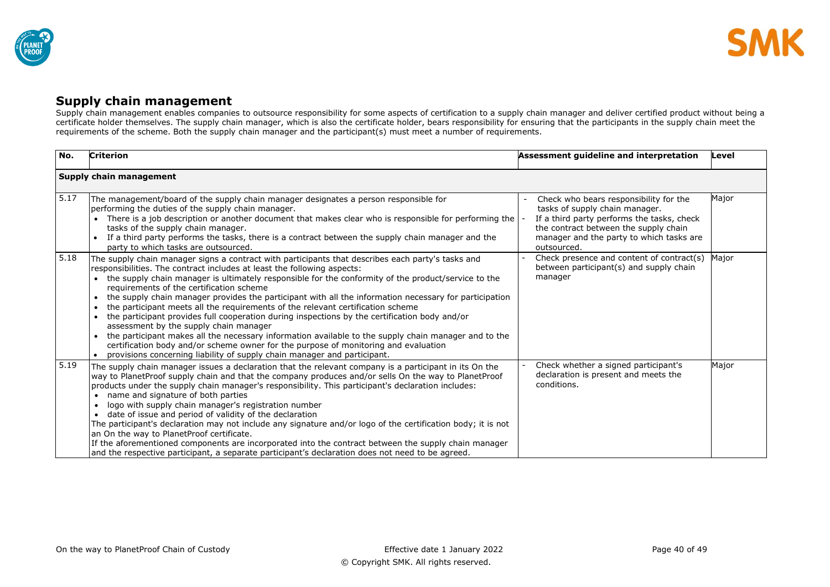

## **Supply chain management**

Supply chain management enables companies to outsource responsibility for some aspects of certification to a supply chain manager and deliver certified product without being a certificate holder themselves. The supply chain manager, which is also the certificate holder, bears responsibility for ensuring that the participants in the supply chain meet the requirements of the scheme. Both the supply chain manager and the participant(s) must meet a number of requirements.

<span id="page-39-0"></span>

| No.  | <b>Criterion</b>                                                                                                                                                                                                                                                                                                                                                                                                                                                                                                                                                                                                                                                                                                                                                                                                                                                                                                                                                                                       | Assessment guideline and interpretation                                                                                                                                                                                    | Level |
|------|--------------------------------------------------------------------------------------------------------------------------------------------------------------------------------------------------------------------------------------------------------------------------------------------------------------------------------------------------------------------------------------------------------------------------------------------------------------------------------------------------------------------------------------------------------------------------------------------------------------------------------------------------------------------------------------------------------------------------------------------------------------------------------------------------------------------------------------------------------------------------------------------------------------------------------------------------------------------------------------------------------|----------------------------------------------------------------------------------------------------------------------------------------------------------------------------------------------------------------------------|-------|
|      | Supply chain management                                                                                                                                                                                                                                                                                                                                                                                                                                                                                                                                                                                                                                                                                                                                                                                                                                                                                                                                                                                |                                                                                                                                                                                                                            |       |
| 5.17 | The management/board of the supply chain manager designates a person responsible for<br>performing the duties of the supply chain manager.<br>There is a job description or another document that makes clear who is responsible for performing the<br>tasks of the supply chain manager.<br>If a third party performs the tasks, there is a contract between the supply chain manager and the<br>party to which tasks are outsourced.                                                                                                                                                                                                                                                                                                                                                                                                                                                                                                                                                                 | Check who bears responsibility for the<br>tasks of supply chain manager.<br>If a third party performs the tasks, check<br>the contract between the supply chain<br>manager and the party to which tasks are<br>outsourced. | Major |
| 5.18 | The supply chain manager signs a contract with participants that describes each party's tasks and<br>responsibilities. The contract includes at least the following aspects:<br>the supply chain manager is ultimately responsible for the conformity of the product/service to the<br>$\bullet$<br>requirements of the certification scheme<br>the supply chain manager provides the participant with all the information necessary for participation<br>$\bullet$<br>the participant meets all the requirements of the relevant certification scheme<br>the participant provides full cooperation during inspections by the certification body and/or<br>$\bullet$<br>assessment by the supply chain manager<br>the participant makes all the necessary information available to the supply chain manager and to the<br>$\bullet$<br>certification body and/or scheme owner for the purpose of monitoring and evaluation<br>provisions concerning liability of supply chain manager and participant. | Check presence and content of contract(s)<br>between participant(s) and supply chain<br>manager                                                                                                                            | Major |
| 5.19 | The supply chain manager issues a declaration that the relevant company is a participant in its On the<br>way to PlanetProof supply chain and that the company produces and/or sells On the way to PlanetProof<br>products under the supply chain manager's responsibility. This participant's declaration includes:<br>name and signature of both parties<br>logo with supply chain manager's registration number<br>date of issue and period of validity of the declaration<br>$\bullet$<br>The participant's declaration may not include any signature and/or logo of the certification body; it is not<br>an On the way to PlanetProof certificate.<br>If the aforementioned components are incorporated into the contract between the supply chain manager<br>and the respective participant, a separate participant's declaration does not need to be agreed.                                                                                                                                    | Check whether a signed participant's<br>declaration is present and meets the<br>conditions.                                                                                                                                | Major |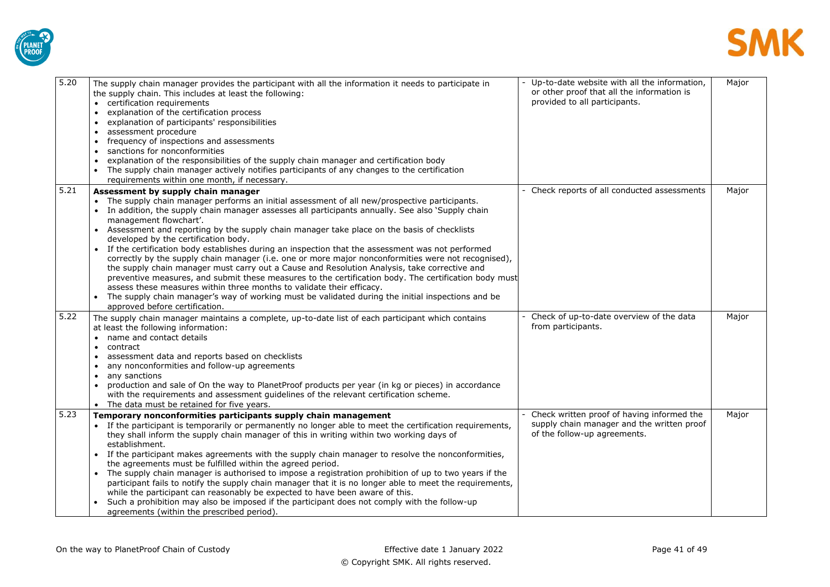



| 5.20 | The supply chain manager provides the participant with all the information it needs to participate in<br>the supply chain. This includes at least the following:<br>• certification requirements<br>explanation of the certification process<br>$\bullet$<br>explanation of participants' responsibilities<br>assessment procedure<br>$\bullet$<br>frequency of inspections and assessments<br>sanctions for nonconformities<br>$\bullet$<br>explanation of the responsibilities of the supply chain manager and certification body<br>The supply chain manager actively notifies participants of any changes to the certification<br>requirements within one month, if necessary.                                                                                                                                                                                                                                                                                                                                                           | - Up-to-date website with all the information,<br>or other proof that all the information is<br>provided to all participants. | Major |
|------|----------------------------------------------------------------------------------------------------------------------------------------------------------------------------------------------------------------------------------------------------------------------------------------------------------------------------------------------------------------------------------------------------------------------------------------------------------------------------------------------------------------------------------------------------------------------------------------------------------------------------------------------------------------------------------------------------------------------------------------------------------------------------------------------------------------------------------------------------------------------------------------------------------------------------------------------------------------------------------------------------------------------------------------------|-------------------------------------------------------------------------------------------------------------------------------|-------|
| 5.21 | Assessment by supply chain manager<br>• The supply chain manager performs an initial assessment of all new/prospective participants.<br>In addition, the supply chain manager assesses all participants annually. See also 'Supply chain<br>management flowchart'.<br>Assessment and reporting by the supply chain manager take place on the basis of checklists<br>developed by the certification body.<br>If the certification body establishes during an inspection that the assessment was not performed<br>correctly by the supply chain manager (i.e. one or more major nonconformities were not recognised),<br>the supply chain manager must carry out a Cause and Resolution Analysis, take corrective and<br>preventive measures, and submit these measures to the certification body. The certification body must<br>assess these measures within three months to validate their efficacy.<br>The supply chain manager's way of working must be validated during the initial inspections and be<br>approved before certification. | - Check reports of all conducted assessments                                                                                  | Major |
| 5.22 | The supply chain manager maintains a complete, up-to-date list of each participant which contains<br>at least the following information:<br>• name and contact details<br>contract<br>$\bullet$<br>assessment data and reports based on checklists<br>any nonconformities and follow-up agreements<br>any sanctions<br>$\bullet$<br>production and sale of On the way to PlanetProof products per year (in kg or pieces) in accordance<br>with the requirements and assessment guidelines of the relevant certification scheme.<br>The data must be retained for five years.                                                                                                                                                                                                                                                                                                                                                                                                                                                                 | Check of up-to-date overview of the data<br>from participants.                                                                | Major |
| 5.23 | Temporary nonconformities participants supply chain management<br>• If the participant is temporarily or permanently no longer able to meet the certification requirements,<br>they shall inform the supply chain manager of this in writing within two working days of<br>establishment.<br>If the participant makes agreements with the supply chain manager to resolve the nonconformities,<br>the agreements must be fulfilled within the agreed period.<br>The supply chain manager is authorised to impose a registration prohibition of up to two years if the<br>participant fails to notify the supply chain manager that it is no longer able to meet the requirements,<br>while the participant can reasonably be expected to have been aware of this.<br>Such a prohibition may also be imposed if the participant does not comply with the follow-up<br>agreements (within the prescribed period).                                                                                                                              | Check written proof of having informed the<br>supply chain manager and the written proof<br>of the follow-up agreements.      | Major |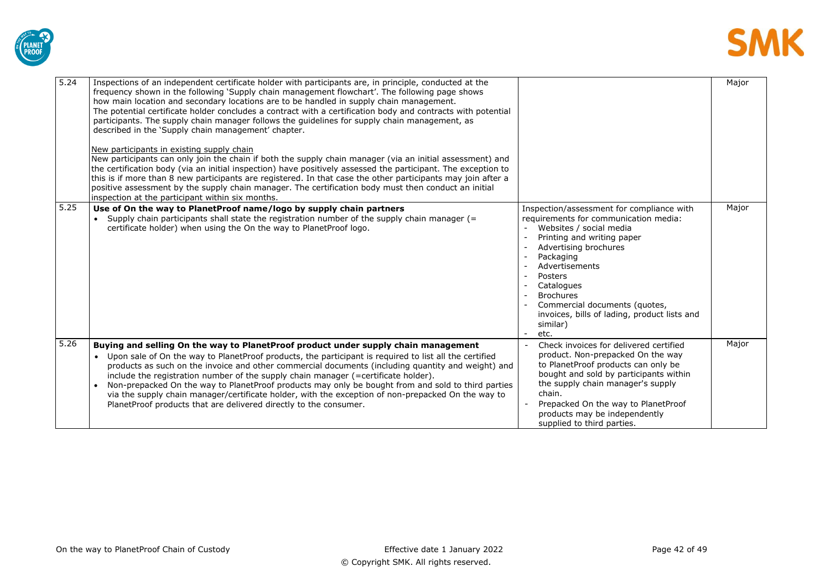



| 5.24 | Inspections of an independent certificate holder with participants are, in principle, conducted at the<br>frequency shown in the following 'Supply chain management flowchart'. The following page shows<br>how main location and secondary locations are to be handled in supply chain management.<br>The potential certificate holder concludes a contract with a certification body and contracts with potential<br>participants. The supply chain manager follows the guidelines for supply chain management, as<br>described in the 'Supply chain management' chapter.<br>New participants in existing supply chain<br>New participants can only join the chain if both the supply chain manager (via an initial assessment) and<br>the certification body (via an initial inspection) have positively assessed the participant. The exception to<br>this is if more than 8 new participants are registered. In that case the other participants may join after a<br>positive assessment by the supply chain manager. The certification body must then conduct an initial<br>inspection at the participant within six months. |                                                                                                                                                                                                                                                                                                                                                                         | Major |
|------|------------------------------------------------------------------------------------------------------------------------------------------------------------------------------------------------------------------------------------------------------------------------------------------------------------------------------------------------------------------------------------------------------------------------------------------------------------------------------------------------------------------------------------------------------------------------------------------------------------------------------------------------------------------------------------------------------------------------------------------------------------------------------------------------------------------------------------------------------------------------------------------------------------------------------------------------------------------------------------------------------------------------------------------------------------------------------------------------------------------------------------|-------------------------------------------------------------------------------------------------------------------------------------------------------------------------------------------------------------------------------------------------------------------------------------------------------------------------------------------------------------------------|-------|
| 5.25 | Use of On the way to PlanetProof name/logo by supply chain partners<br>Supply chain participants shall state the registration number of the supply chain manager (=<br>$\bullet$<br>certificate holder) when using the On the way to Planet Proof logo.                                                                                                                                                                                                                                                                                                                                                                                                                                                                                                                                                                                                                                                                                                                                                                                                                                                                            | Inspection/assessment for compliance with<br>requirements for communication media:<br>Websites / social media<br>Printing and writing paper<br>Advertising brochures<br>Packaging<br>Advertisements<br>Posters<br>$\overline{a}$<br>Catalogues<br><b>Brochures</b><br>Commercial documents (quotes,<br>invoices, bills of lading, product lists and<br>similar)<br>etc. | Major |
| 5.26 | Buying and selling On the way to Planet Proof product under supply chain management<br>Upon sale of On the way to PlanetProof products, the participant is required to list all the certified<br>products as such on the invoice and other commercial documents (including quantity and weight) and<br>include the registration number of the supply chain manager (=certificate holder).<br>Non-prepacked On the way to PlanetProof products may only be bought from and sold to third parties<br>via the supply chain manager/certificate holder, with the exception of non-prepacked On the way to<br>PlanetProof products that are delivered directly to the consumer.                                                                                                                                                                                                                                                                                                                                                                                                                                                         | Check invoices for delivered certified<br>product. Non-prepacked On the way<br>to PlanetProof products can only be<br>bought and sold by participants within<br>the supply chain manager's supply<br>chain.<br>Prepacked On the way to PlanetProof<br>products may be independently<br>supplied to third parties.                                                       | Major |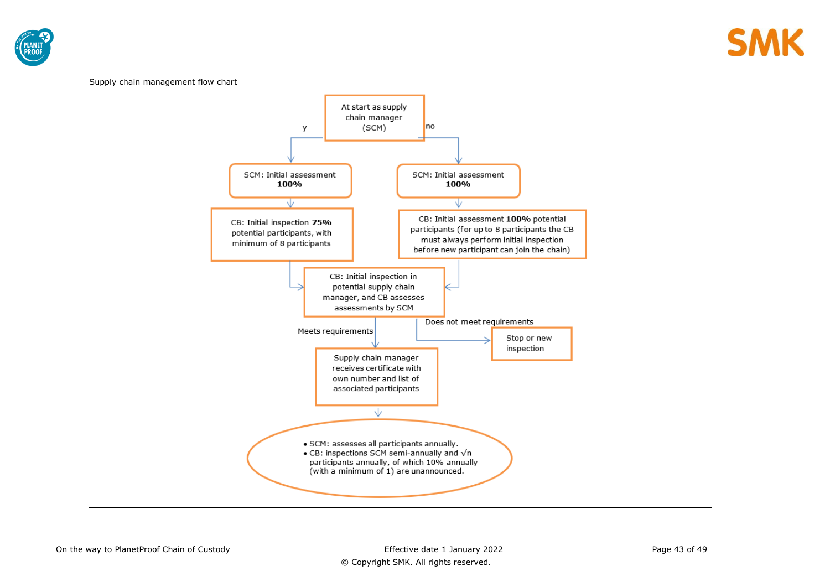



#### Supply chain management flow chart

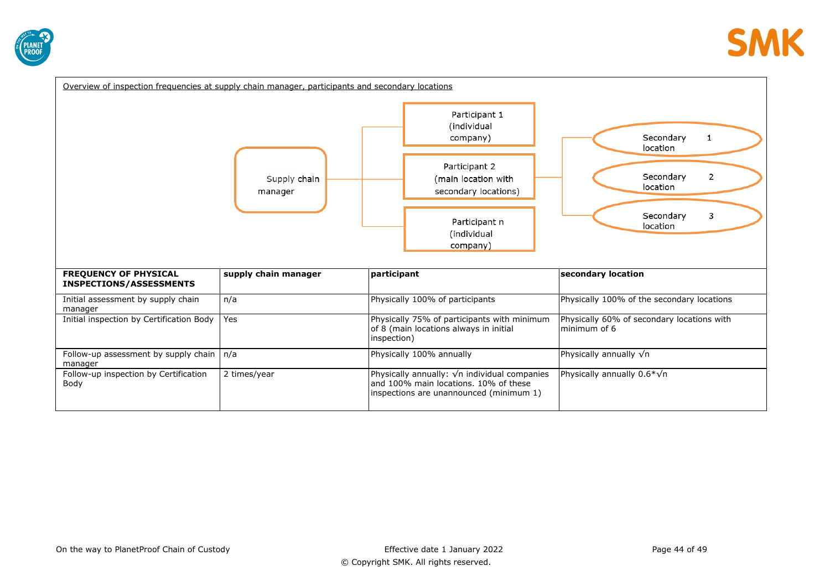![](_page_43_Picture_0.jpeg)

| Overview of inspection frequencies at supply chain manager, participants and secondary locations |                         |                                                                                                                                          |                                                            |
|--------------------------------------------------------------------------------------------------|-------------------------|------------------------------------------------------------------------------------------------------------------------------------------|------------------------------------------------------------|
|                                                                                                  | Supply chain<br>manager | Participant 1<br>(individual<br>company)<br>Participant 2<br>(main location with<br>secondary locations)                                 | Secondary<br>1<br>location<br>2<br>Secondary<br>location   |
|                                                                                                  |                         | Participant n<br>(individual<br>company)                                                                                                 | 3<br>Secondary<br>location                                 |
| <b>FREQUENCY OF PHYSICAL</b><br><b>INSPECTIONS/ASSESSMENTS</b>                                   | supply chain manager    | participant                                                                                                                              | secondary location                                         |
| Initial assessment by supply chain<br>manager                                                    | n/a                     | Physically 100% of participants                                                                                                          | Physically 100% of the secondary locations                 |
| Initial inspection by Certification Body                                                         | Yes                     | Physically 75% of participants with minimum<br>of 8 (main locations always in initial<br>inspection)                                     | Physically 60% of secondary locations with<br>minimum of 6 |
| Follow-up assessment by supply chain<br>manager                                                  | n/a                     | Physically 100% annually                                                                                                                 | Physically annually $\sqrt{n}$                             |
| Follow-up inspection by Certification<br>Body                                                    | 2 times/year            | Physically annually: $\sqrt{n}$ individual companies<br>and 100% main locations. 10% of these<br>inspections are unannounced (minimum 1) | Physically annually $0.6*\sqrt{n}$                         |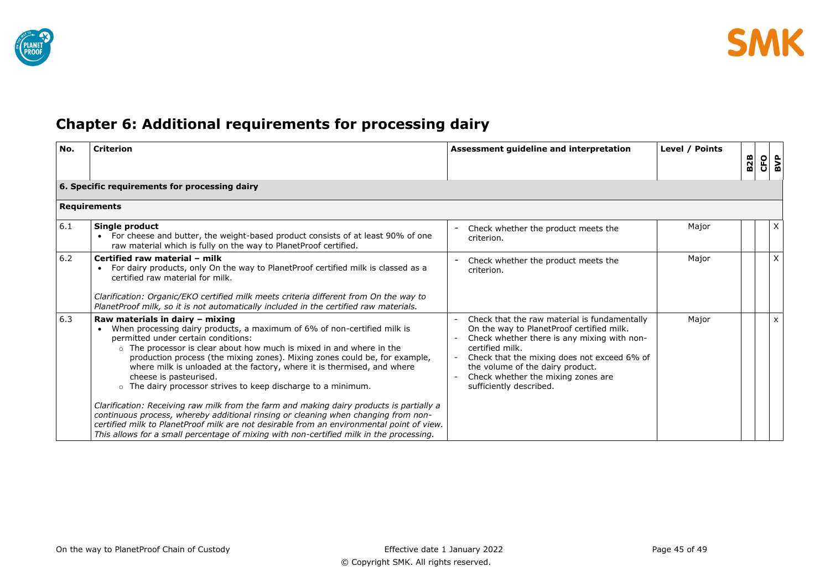![](_page_44_Picture_0.jpeg)

# <span id="page-44-0"></span>**Chapter 6: Additional requirements for processing dairy**

| No. | <b>Criterion</b>                                                                                                                                                                                                                                                                                                                                                                                                                                                                                                                                                                                                                                                                                                                                                                                                                                         | Assessment guideline and interpretation                                                                                                                                                                                                                                                                         | Level / Points |            |            |     |
|-----|----------------------------------------------------------------------------------------------------------------------------------------------------------------------------------------------------------------------------------------------------------------------------------------------------------------------------------------------------------------------------------------------------------------------------------------------------------------------------------------------------------------------------------------------------------------------------------------------------------------------------------------------------------------------------------------------------------------------------------------------------------------------------------------------------------------------------------------------------------|-----------------------------------------------------------------------------------------------------------------------------------------------------------------------------------------------------------------------------------------------------------------------------------------------------------------|----------------|------------|------------|-----|
|     |                                                                                                                                                                                                                                                                                                                                                                                                                                                                                                                                                                                                                                                                                                                                                                                                                                                          |                                                                                                                                                                                                                                                                                                                 |                | <b>B2B</b> | <b>CFO</b> | BVP |
|     | 6. Specific requirements for processing dairy                                                                                                                                                                                                                                                                                                                                                                                                                                                                                                                                                                                                                                                                                                                                                                                                            |                                                                                                                                                                                                                                                                                                                 |                |            |            |     |
|     | <b>Requirements</b>                                                                                                                                                                                                                                                                                                                                                                                                                                                                                                                                                                                                                                                                                                                                                                                                                                      |                                                                                                                                                                                                                                                                                                                 |                |            |            |     |
| 6.1 | Single product<br>For cheese and butter, the weight-based product consists of at least 90% of one<br>raw material which is fully on the way to PlanetProof certified.                                                                                                                                                                                                                                                                                                                                                                                                                                                                                                                                                                                                                                                                                    | Check whether the product meets the<br>criterion.                                                                                                                                                                                                                                                               | Major          |            |            | X   |
| 6.2 | Certified raw material - milk<br>For dairy products, only On the way to PlanetProof certified milk is classed as a<br>$\bullet$<br>certified raw material for milk.<br>Clarification: Organic/EKO certified milk meets criteria different from On the way to<br>PlanetProof milk, so it is not automatically included in the certified raw materials.                                                                                                                                                                                                                                                                                                                                                                                                                                                                                                    | Check whether the product meets the<br>criterion.                                                                                                                                                                                                                                                               | Major          |            |            | X   |
| 6.3 | Raw materials in dairy - mixing<br>When processing dairy products, a maximum of 6% of non-certified milk is<br>permitted under certain conditions:<br>o The processor is clear about how much is mixed in and where in the<br>production process (the mixing zones). Mixing zones could be, for example,<br>where milk is unloaded at the factory, where it is thermised, and where<br>cheese is pasteurised.<br>o The dairy processor strives to keep discharge to a minimum.<br>Clarification: Receiving raw milk from the farm and making dairy products is partially a<br>continuous process, whereby additional rinsing or cleaning when changing from non-<br>certified milk to PlanetProof milk are not desirable from an environmental point of view.<br>This allows for a small percentage of mixing with non-certified milk in the processing. | Check that the raw material is fundamentally<br>On the way to PlanetProof certified milk.<br>Check whether there is any mixing with non-<br>certified milk.<br>Check that the mixing does not exceed 6% of<br>the volume of the dairy product.<br>Check whether the mixing zones are<br>sufficiently described. | Major          |            |            | X   |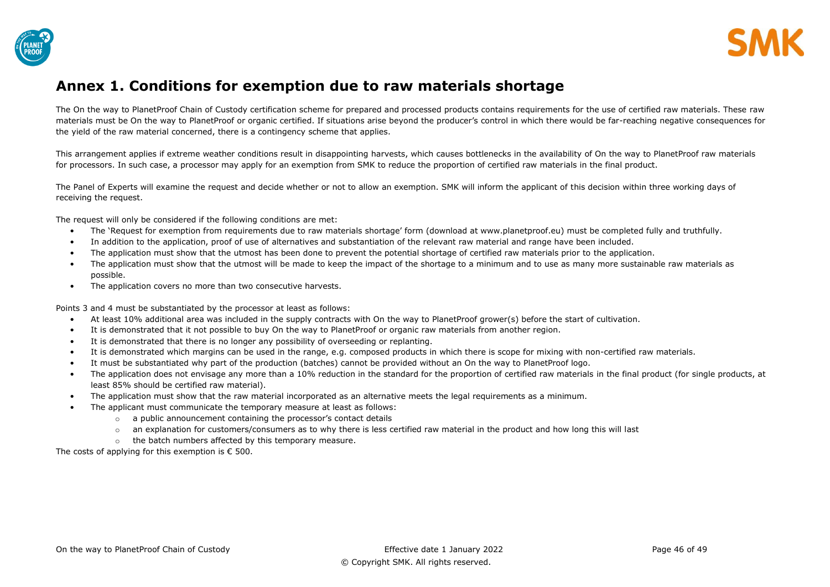![](_page_45_Picture_0.jpeg)

![](_page_45_Picture_1.jpeg)

## <span id="page-45-0"></span>**Annex 1. Conditions for exemption due to raw materials shortage**

The On the way to PlanetProof Chain of Custody certification scheme for prepared and processed products contains requirements for the use of certified raw materials. These raw materials must be On the way to PlanetProof or organic certified. If situations arise beyond the producer's control in which there would be far-reaching negative consequences for the yield of the raw material concerned, there is a contingency scheme that applies.

This arrangement applies if extreme weather conditions result in disappointing harvests, which causes bottlenecks in the availability of On the way to PlanetProof raw materials for processors. In such case, a processor may apply for an exemption from SMK to reduce the proportion of certified raw materials in the final product.

The Panel of Experts will examine the request and decide whether or not to allow an exemption. SMK will inform the applicant of this decision within three working days of receiving the request.

The request will only be considered if the following conditions are met:

- The 'Request for exemption from requirements due to raw materials shortage' form (download at www.planetproof.eu) must be completed fully and truthfully.
- In addition to the application, proof of use of alternatives and substantiation of the relevant raw material and range have been included.
- The application must show that the utmost has been done to prevent the potential shortage of certified raw materials prior to the application.
- The application must show that the utmost will be made to keep the impact of the shortage to a minimum and to use as many more sustainable raw materials as possible.
- The application covers no more than two consecutive harvests.

Points 3 and 4 must be substantiated by the processor at least as follows:

- At least 10% additional area was included in the supply contracts with On the way to PlanetProof grower(s) before the start of cultivation.
- It is demonstrated that it not possible to buy On the way to PlanetProof or organic raw materials from another region.
- It is demonstrated that there is no longer any possibility of overseeding or replanting.
- It is demonstrated which margins can be used in the range, e.g. composed products in which there is scope for mixing with non-certified raw materials.
- It must be substantiated why part of the production (batches) cannot be provided without an On the way to PlanetProof logo.
- The application does not envisage any more than a 10% reduction in the standard for the proportion of certified raw materials in the final product (for single products, at least 85% should be certified raw material).
- The application must show that the raw material incorporated as an alternative meets the legal requirements as a minimum.
- The applicant must communicate the temporary measure at least as follows:
	- o a public announcement containing the processor's contact details
	- $\circ$  an explanation for customers/consumers as to why there is less certified raw material in the product and how long this will last
	- o the batch numbers affected by this temporary measure.

The costs of applying for this exemption is  $\epsilon$  500.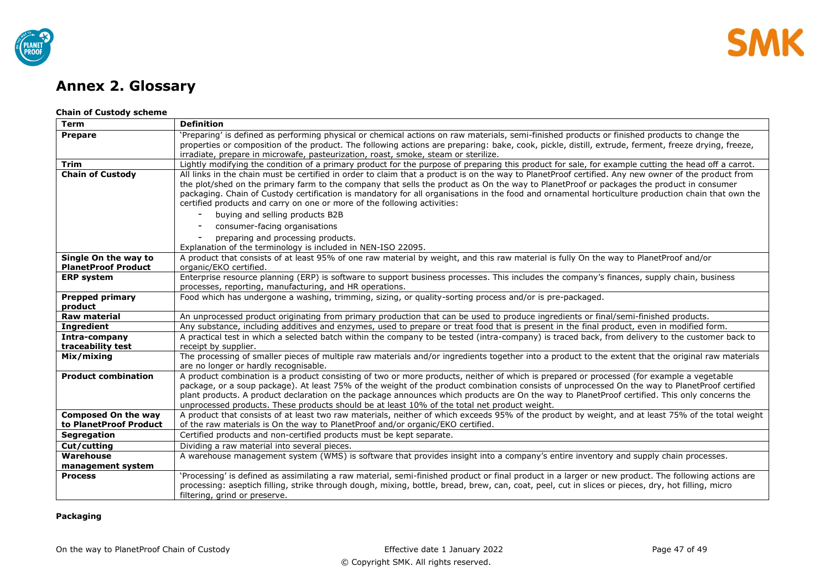![](_page_46_Picture_0.jpeg)

# <span id="page-46-0"></span>**Annex 2. Glossary**

### **Chain of Custody scheme**

| <b>Term</b>                | <b>Definition</b>                                                                                                                                                                                                                                  |
|----------------------------|----------------------------------------------------------------------------------------------------------------------------------------------------------------------------------------------------------------------------------------------------|
| <b>Prepare</b>             | 'Preparing' is defined as performing physical or chemical actions on raw materials, semi-finished products or finished products to change the                                                                                                      |
|                            | properties or composition of the product. The following actions are preparing: bake, cook, pickle, distill, extrude, ferment, freeze drying, freeze,                                                                                               |
|                            | irradiate, prepare in microwafe, pasteurization, roast, smoke, steam or sterilize.                                                                                                                                                                 |
| <b>Trim</b>                | Lightly modifying the condition of a primary product for the purpose of preparing this product for sale, for example cutting the head off a carrot.                                                                                                |
| <b>Chain of Custody</b>    | All links in the chain must be certified in order to claim that a product is on the way to PlanetProof certified. Any new owner of the product from                                                                                                |
|                            | the plot/shed on the primary farm to the company that sells the product as On the way to PlanetProof or packages the product in consumer                                                                                                           |
|                            | packaging. Chain of Custody certification is mandatory for all organisations in the food and ornamental horticulture production chain that own the                                                                                                 |
|                            | certified products and carry on one or more of the following activities:                                                                                                                                                                           |
|                            | buying and selling products B2B                                                                                                                                                                                                                    |
|                            | consumer-facing organisations                                                                                                                                                                                                                      |
|                            | preparing and processing products.                                                                                                                                                                                                                 |
|                            | Explanation of the terminology is included in NEN-ISO 22095.                                                                                                                                                                                       |
| Single On the way to       | A product that consists of at least 95% of one raw material by weight, and this raw material is fully On the way to PlanetProof and/or                                                                                                             |
| <b>PlanetProof Product</b> | organic/EKO certified.                                                                                                                                                                                                                             |
| <b>ERP system</b>          | Enterprise resource planning (ERP) is software to support business processes. This includes the company's finances, supply chain, business                                                                                                         |
|                            | processes, reporting, manufacturing, and HR operations.                                                                                                                                                                                            |
| <b>Prepped primary</b>     | Food which has undergone a washing, trimming, sizing, or quality-sorting process and/or is pre-packaged.                                                                                                                                           |
| product                    |                                                                                                                                                                                                                                                    |
| <b>Raw material</b>        | An unprocessed product originating from primary production that can be used to produce ingredients or final/semi-finished products.                                                                                                                |
| <b>Ingredient</b>          | Any substance, including additives and enzymes, used to prepare or treat food that is present in the final product, even in modified form.                                                                                                         |
| Intra-company              | A practical test in which a selected batch within the company to be tested (intra-company) is traced back, from delivery to the customer back to                                                                                                   |
| traceability test          | receipt by supplier.                                                                                                                                                                                                                               |
| Mix/mixing                 | The processing of smaller pieces of multiple raw materials and/or ingredients together into a product to the extent that the original raw materials                                                                                                |
|                            | are no longer or hardly recognisable.                                                                                                                                                                                                              |
| <b>Product combination</b> | A product combination is a product consisting of two or more products, neither of which is prepared or processed (for example a vegetable                                                                                                          |
|                            | package, or a soup package). At least 75% of the weight of the product combination consists of unprocessed On the way to PlanetProof certified                                                                                                     |
|                            | plant products. A product declaration on the package announces which products are On the way to PlanetProof certified. This only concerns the                                                                                                      |
| Composed On the way        | unprocessed products. These products should be at least 10% of the total net product weight.<br>A product that consists of at least two raw materials, neither of which exceeds 95% of the product by weight, and at least 75% of the total weight |
| to PlanetProof Product     | of the raw materials is On the way to PlanetProof and/or organic/EKO certified.                                                                                                                                                                    |
| <b>Segregation</b>         | Certified products and non-certified products must be kept separate.                                                                                                                                                                               |
| Cut/cutting                | Dividing a raw material into several pieces.                                                                                                                                                                                                       |
| Warehouse                  | A warehouse management system (WMS) is software that provides insight into a company's entire inventory and supply chain processes.                                                                                                                |
| management system          |                                                                                                                                                                                                                                                    |
| <b>Process</b>             | 'Processing' is defined as assimilating a raw material, semi-finished product or final product in a larger or new product. The following actions are                                                                                               |
|                            | processing: aseptich filling, strike through dough, mixing, bottle, bread, brew, can, coat, peel, cut in slices or pieces, dry, hot filling, micro                                                                                                 |
|                            | filtering, grind or preserve.                                                                                                                                                                                                                      |

## **Packaging**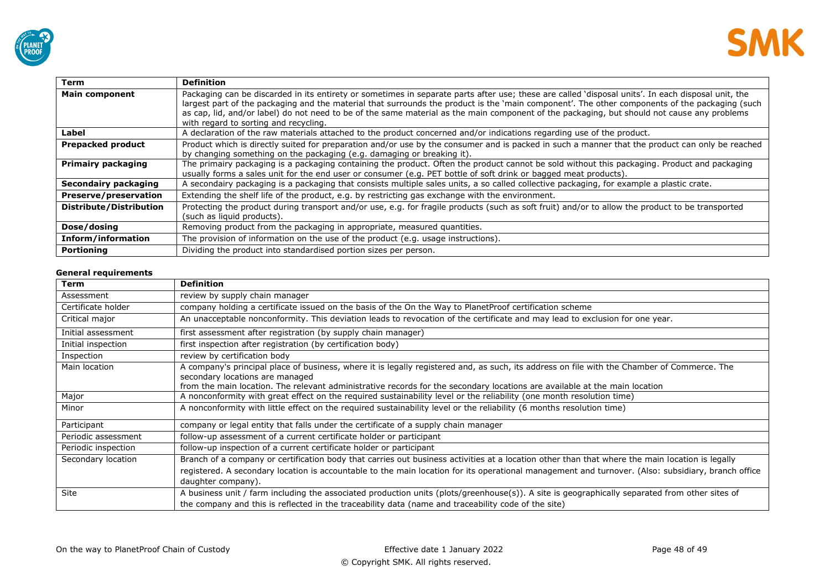![](_page_47_Picture_0.jpeg)

![](_page_47_Picture_1.jpeg)

| <b>Term</b>               | <b>Definition</b>                                                                                                                                  |
|---------------------------|----------------------------------------------------------------------------------------------------------------------------------------------------|
| <b>Main component</b>     | Packaging can be discarded in its entirety or sometimes in separate parts after use; these are called 'disposal units'. In each disposal unit, the |
|                           | largest part of the packaging and the material that surrounds the product is the 'main component'. The other components of the packaging (such     |
|                           | as cap, lid, and/or label) do not need to be of the same material as the main component of the packaging, but should not cause any problems        |
|                           | with regard to sorting and recycling.                                                                                                              |
| Label                     | A declaration of the raw materials attached to the product concerned and/or indications regarding use of the product.                              |
| Prepacked product         | Product which is directly suited for preparation and/or use by the consumer and is packed in such a manner that the product can only be reached    |
|                           | by changing something on the packaging (e.g. damaging or breaking it).                                                                             |
| <b>Primairy packaging</b> | The primairy packaging is a packaging containing the product. Often the product cannot be sold without this packaging. Product and packaging       |
|                           | usually forms a sales unit for the end user or consumer (e.g. PET bottle of soft drink or bagged meat products).                                   |
| Secondairy packaging      | A secondairy packaging is a packaging that consists multiple sales units, a so called collective packaging, for example a plastic crate.           |
| Preserve/preservation     | Extending the shelf life of the product, e.g. by restricting gas exchange with the environment.                                                    |
| Distribute/Distribution   | Protecting the product during transport and/or use, e.g. for fragile products (such as soft fruit) and/or to allow the product to be transported   |
|                           | (such as liquid products).                                                                                                                         |
| Dose/dosing               | Removing product from the packaging in appropriate, measured quantities.                                                                           |
| Inform/information        | The provision of information on the use of the product (e.g. usage instructions).                                                                  |
| Portioning                | Dividing the product into standardised portion sizes per person.                                                                                   |

### **General requirements**

| <b>Term</b>         | <b>Definition</b>                                                                                                                                                              |
|---------------------|--------------------------------------------------------------------------------------------------------------------------------------------------------------------------------|
| Assessment          | review by supply chain manager                                                                                                                                                 |
| Certificate holder  | company holding a certificate issued on the basis of the On the Way to PlanetProof certification scheme                                                                        |
| Critical major      | An unacceptable nonconformity. This deviation leads to revocation of the certificate and may lead to exclusion for one year.                                                   |
| Initial assessment  | first assessment after registration (by supply chain manager)                                                                                                                  |
| Initial inspection  | first inspection after registration (by certification body)                                                                                                                    |
| Inspection          | review by certification body                                                                                                                                                   |
| Main location       | A company's principal place of business, where it is legally registered and, as such, its address on file with the Chamber of Commerce. The<br>secondary locations are managed |
|                     | from the main location. The relevant administrative records for the secondary locations are available at the main location                                                     |
| Major               | A nonconformity with great effect on the required sustainability level or the reliability (one month resolution time)                                                          |
| Minor               | A nonconformity with little effect on the required sustainability level or the reliability (6 months resolution time)                                                          |
| Participant         | company or legal entity that falls under the certificate of a supply chain manager                                                                                             |
| Periodic assessment | follow-up assessment of a current certificate holder or participant                                                                                                            |
| Periodic inspection | follow-up inspection of a current certificate holder or participant                                                                                                            |
| Secondary location  | Branch of a company or certification body that carries out business activities at a location other than that where the main location is legally                                |
|                     | registered. A secondary location is accountable to the main location for its operational management and turnover. (Also: subsidiary, branch office                             |
|                     | daughter company).                                                                                                                                                             |
| Site                | A business unit / farm including the associated production units (plots/greenhouse(s)). A site is geographically separated from other sites of                                 |
|                     | the company and this is reflected in the traceability data (name and traceability code of the site)                                                                            |